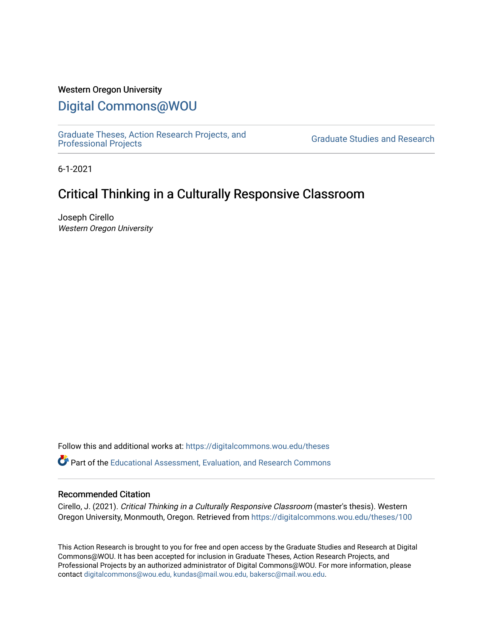### Western Oregon University

# [Digital Commons@WOU](https://digitalcommons.wou.edu/)

[Graduate Theses, Action Research Projects, and](https://digitalcommons.wou.edu/theses) 

**Graduate Studies and Research** 

6-1-2021

# Critical Thinking in a Culturally Responsive Classroom

Joseph Cirello Western Oregon University

Follow this and additional works at: [https://digitalcommons.wou.edu/theses](https://digitalcommons.wou.edu/theses?utm_source=digitalcommons.wou.edu%2Ftheses%2F100&utm_medium=PDF&utm_campaign=PDFCoverPages) 

Part of the [Educational Assessment, Evaluation, and Research Commons](https://network.bepress.com/hgg/discipline/796?utm_source=digitalcommons.wou.edu%2Ftheses%2F100&utm_medium=PDF&utm_campaign=PDFCoverPages)

#### Recommended Citation

Cirello, J. (2021). Critical Thinking in a Culturally Responsive Classroom (master's thesis). Western Oregon University, Monmouth, Oregon. Retrieved from [https://digitalcommons.wou.edu/theses/100](https://digitalcommons.wou.edu/theses/100?utm_source=digitalcommons.wou.edu%2Ftheses%2F100&utm_medium=PDF&utm_campaign=PDFCoverPages) 

This Action Research is brought to you for free and open access by the Graduate Studies and Research at Digital Commons@WOU. It has been accepted for inclusion in Graduate Theses, Action Research Projects, and Professional Projects by an authorized administrator of Digital Commons@WOU. For more information, please contact [digitalcommons@wou.edu, kundas@mail.wou.edu, bakersc@mail.wou.edu](mailto:digitalcommons@wou.edu,%20kundas@mail.wou.edu,%20bakersc@mail.wou.edu).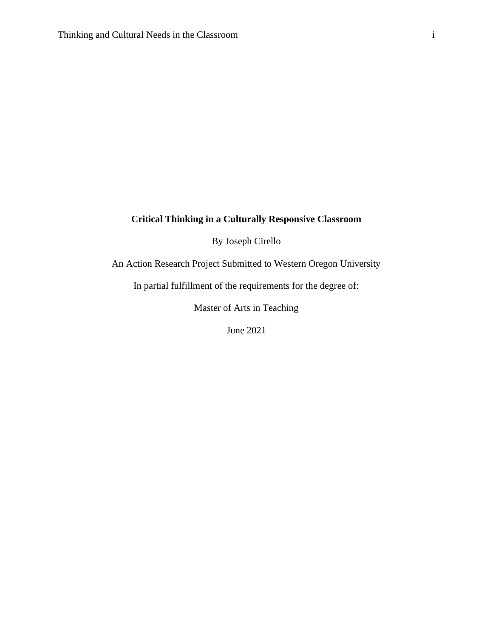## **Critical Thinking in a Culturally Responsive Classroom**

By Joseph Cirello

An Action Research Project Submitted to Western Oregon University

In partial fulfillment of the requirements for the degree of:

Master of Arts in Teaching

June 2021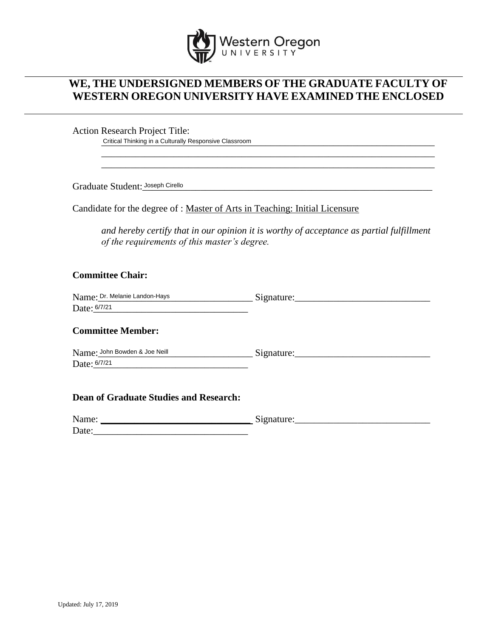

## **WE, THE UNDERSIGNED MEMBERS OF THE GRADUATE FACULTY OF WESTERN OREGON UNIVERSITY HAVE EXAMINED THE ENCLOSED**

Action Research Project Title:

\_\_\_\_\_\_\_\_\_\_\_\_\_\_\_\_\_\_\_\_\_\_\_\_\_\_\_\_\_\_\_\_\_\_\_\_\_\_\_\_\_\_\_\_\_\_\_\_\_\_\_\_\_\_\_\_\_\_\_\_\_\_\_\_\_\_\_\_\_ Critical Thinking in a Culturally Responsive Classroom

Graduate Student: Joseph Cirello **Superman City of Cirello** and the set of the set of the set of the set of the set of the set of the set of the set of the set of the set of the set of the set of the set of the set of the

Candidate for the degree of : Master of Arts in Teaching: Initial Licensure

*and hereby certify that in our opinion it is worthy of acceptance as partial fulfillment of the requirements of this master's degree.*

\_\_\_\_\_\_\_\_\_\_\_\_\_\_\_\_\_\_\_\_\_\_\_\_\_\_\_\_\_\_\_\_\_\_\_\_\_\_\_\_\_\_\_\_\_\_\_\_\_\_\_\_\_\_\_\_\_\_\_\_\_\_\_\_\_\_\_\_\_ \_\_\_\_\_\_\_\_\_\_\_\_\_\_\_\_\_\_\_\_\_\_\_\_\_\_\_\_\_\_\_\_\_\_\_\_\_\_\_\_\_\_\_\_\_\_\_\_\_\_\_\_\_\_\_\_\_\_\_\_\_\_\_\_\_\_\_\_\_

## **Committee Chair:**

| Name: Dr. Melanie Landon-Hays | →1gnature: |
|-------------------------------|------------|
| Date: 6/7/21                  |            |

### **Committee Member:**

| Name: John Bowden & Joe Neill | Signature: |
|-------------------------------|------------|
| Date: 6/7/21                  |            |

#### **Dean of Graduate Studies and Research:**

| Name: | ~<br>mature:<br>~<br>-------- |
|-------|-------------------------------|
| Date: |                               |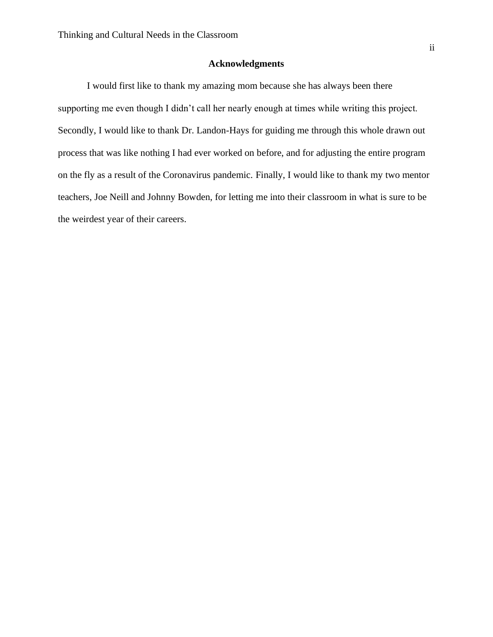### **Acknowledgments**

I would first like to thank my amazing mom because she has always been there supporting me even though I didn't call her nearly enough at times while writing this project. Secondly, I would like to thank Dr. Landon-Hays for guiding me through this whole drawn out process that was like nothing I had ever worked on before, and for adjusting the entire program on the fly as a result of the Coronavirus pandemic. Finally, I would like to thank my two mentor teachers, Joe Neill and Johnny Bowden, for letting me into their classroom in what is sure to be the weirdest year of their careers.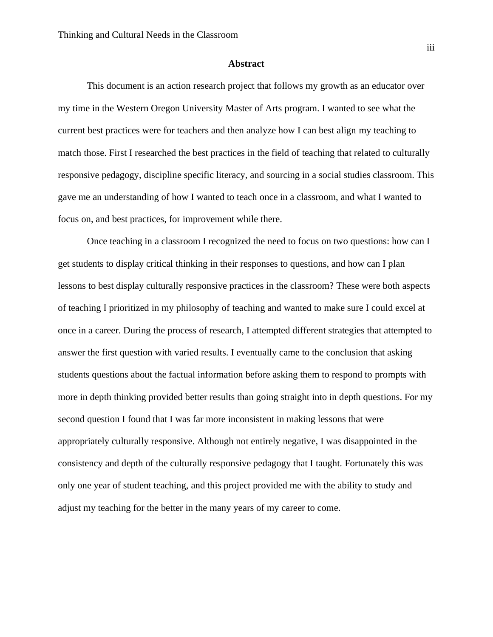#### **Abstract**

This document is an action research project that follows my growth as an educator over my time in the Western Oregon University Master of Arts program. I wanted to see what the current best practices were for teachers and then analyze how I can best align my teaching to match those. First I researched the best practices in the field of teaching that related to culturally responsive pedagogy, discipline specific literacy, and sourcing in a social studies classroom. This gave me an understanding of how I wanted to teach once in a classroom, and what I wanted to focus on, and best practices, for improvement while there.

Once teaching in a classroom I recognized the need to focus on two questions: how can I get students to display critical thinking in their responses to questions, and how can I plan lessons to best display culturally responsive practices in the classroom? These were both aspects of teaching I prioritized in my philosophy of teaching and wanted to make sure I could excel at once in a career. During the process of research, I attempted different strategies that attempted to answer the first question with varied results. I eventually came to the conclusion that asking students questions about the factual information before asking them to respond to prompts with more in depth thinking provided better results than going straight into in depth questions. For my second question I found that I was far more inconsistent in making lessons that were appropriately culturally responsive. Although not entirely negative, I was disappointed in the consistency and depth of the culturally responsive pedagogy that I taught. Fortunately this was only one year of student teaching, and this project provided me with the ability to study and adjust my teaching for the better in the many years of my career to come.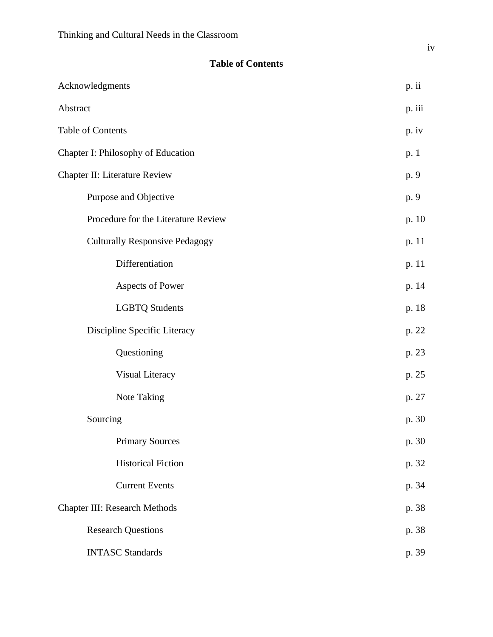## **Table of Contents**

| Acknowledgments                       | p. ii   |
|---------------------------------------|---------|
| Abstract                              | p. iii  |
| Table of Contents                     | $p.$ iv |
| Chapter I: Philosophy of Education    | p. 1    |
| Chapter II: Literature Review         | p. 9    |
| Purpose and Objective                 | p. 9    |
| Procedure for the Literature Review   | p. 10   |
| <b>Culturally Responsive Pedagogy</b> | p. 11   |
| Differentiation                       | p. 11   |
| Aspects of Power                      | p. 14   |
| <b>LGBTQ Students</b>                 | p. 18   |
| Discipline Specific Literacy          | p. 22   |
| Questioning                           | p. 23   |
| Visual Literacy                       | p. 25   |
| Note Taking                           | p. 27   |
| Sourcing                              | p. 30   |
| <b>Primary Sources</b>                | p. 30   |
| <b>Historical Fiction</b>             | p. 32   |
| <b>Current Events</b>                 | p. 34   |
| <b>Chapter III: Research Methods</b>  | p. 38   |
| <b>Research Questions</b>             | p. 38   |
| <b>INTASC Standards</b>               | p. 39   |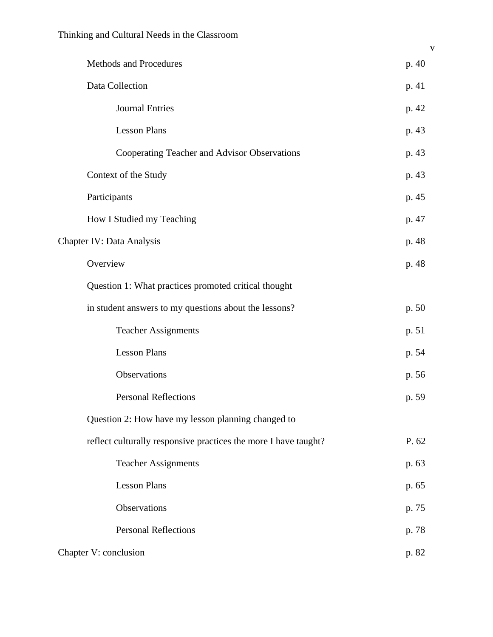| Methods and Procedures                                          | p. 40 |
|-----------------------------------------------------------------|-------|
| Data Collection                                                 | p. 41 |
| <b>Journal Entries</b>                                          | p. 42 |
| <b>Lesson Plans</b>                                             | p. 43 |
| Cooperating Teacher and Advisor Observations                    | p. 43 |
| Context of the Study                                            | p. 43 |
| Participants                                                    | p. 45 |
| How I Studied my Teaching                                       | p. 47 |
| Chapter IV: Data Analysis                                       | p. 48 |
| Overview                                                        | p. 48 |
| Question 1: What practices promoted critical thought            |       |
| in student answers to my questions about the lessons?           | p. 50 |
| <b>Teacher Assignments</b>                                      | p. 51 |
| <b>Lesson Plans</b>                                             | p. 54 |
| Observations                                                    | p. 56 |
| <b>Personal Reflections</b>                                     | p. 59 |
| Question 2: How have my lesson planning changed to              |       |
| reflect culturally responsive practices the more I have taught? | P. 62 |
| <b>Teacher Assignments</b>                                      | p. 63 |
| <b>Lesson Plans</b>                                             | p. 65 |
| Observations                                                    | p. 75 |
| <b>Personal Reflections</b>                                     | p. 78 |
| Chapter V: conclusion                                           | p. 82 |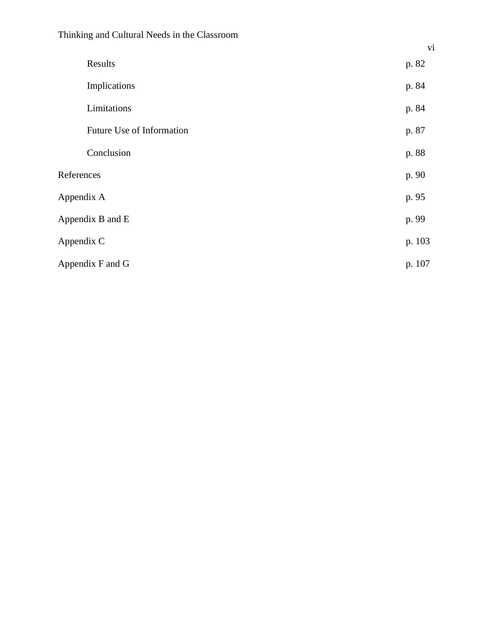|                  | Results                   | p. 82  |
|------------------|---------------------------|--------|
|                  |                           |        |
|                  | Implications              | p. 84  |
|                  | Limitations               | p. 84  |
|                  | Future Use of Information | p. 87  |
|                  | Conclusion                | p. 88  |
| References       |                           | p. 90  |
| Appendix A       |                           | p. 95  |
| Appendix B and E |                           | p. 99  |
| Appendix C       |                           | p. 103 |
| Appendix F and G |                           | p. 107 |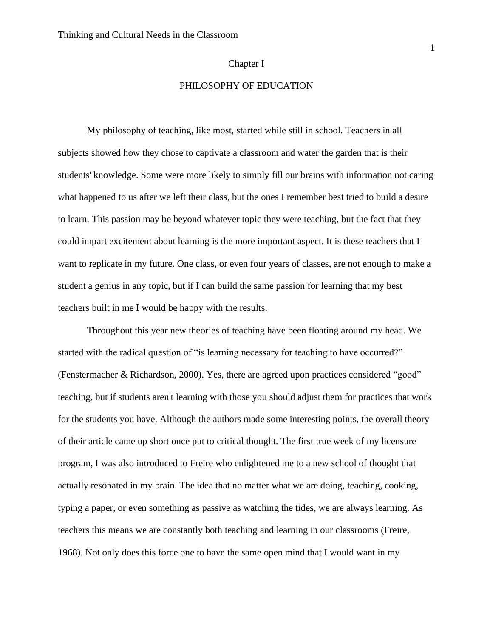#### Chapter I

## PHILOSOPHY OF EDUCATION

My philosophy of teaching, like most, started while still in school. Teachers in all subjects showed how they chose to captivate a classroom and water the garden that is their students' knowledge. Some were more likely to simply fill our brains with information not caring what happened to us after we left their class, but the ones I remember best tried to build a desire to learn. This passion may be beyond whatever topic they were teaching, but the fact that they could impart excitement about learning is the more important aspect. It is these teachers that I want to replicate in my future. One class, or even four years of classes, are not enough to make a student a genius in any topic, but if I can build the same passion for learning that my best teachers built in me I would be happy with the results.

Throughout this year new theories of teaching have been floating around my head. We started with the radical question of "is learning necessary for teaching to have occurred?" (Fenstermacher & Richardson, 2000). Yes, there are agreed upon practices considered "good" teaching, but if students aren't learning with those you should adjust them for practices that work for the students you have. Although the authors made some interesting points, the overall theory of their article came up short once put to critical thought. The first true week of my licensure program, I was also introduced to Freire who enlightened me to a new school of thought that actually resonated in my brain. The idea that no matter what we are doing, teaching, cooking, typing a paper, or even something as passive as watching the tides, we are always learning. As teachers this means we are constantly both teaching and learning in our classrooms (Freire, 1968). Not only does this force one to have the same open mind that I would want in my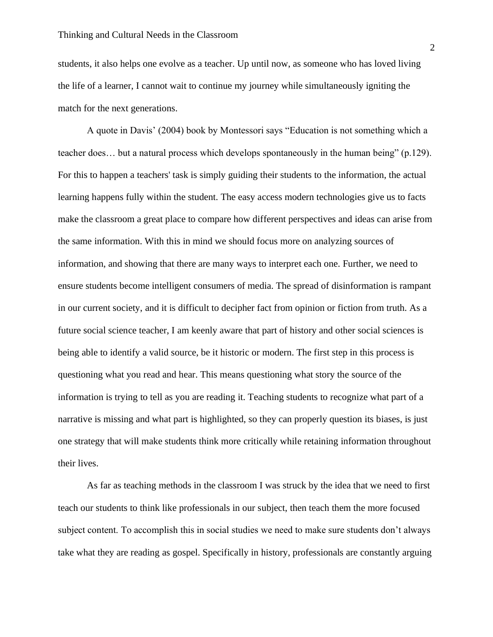students, it also helps one evolve as a teacher. Up until now, as someone who has loved living the life of a learner, I cannot wait to continue my journey while simultaneously igniting the match for the next generations.

A quote in Davis' (2004) book by Montessori says "Education is not something which a teacher does… but a natural process which develops spontaneously in the human being" (p.129). For this to happen a teachers' task is simply guiding their students to the information, the actual learning happens fully within the student. The easy access modern technologies give us to facts make the classroom a great place to compare how different perspectives and ideas can arise from the same information. With this in mind we should focus more on analyzing sources of information, and showing that there are many ways to interpret each one. Further, we need to ensure students become intelligent consumers of media. The spread of disinformation is rampant in our current society, and it is difficult to decipher fact from opinion or fiction from truth. As a future social science teacher, I am keenly aware that part of history and other social sciences is being able to identify a valid source, be it historic or modern. The first step in this process is questioning what you read and hear. This means questioning what story the source of the information is trying to tell as you are reading it. Teaching students to recognize what part of a narrative is missing and what part is highlighted, so they can properly question its biases, is just one strategy that will make students think more critically while retaining information throughout their lives.

As far as teaching methods in the classroom I was struck by the idea that we need to first teach our students to think like professionals in our subject, then teach them the more focused subject content. To accomplish this in social studies we need to make sure students don't always take what they are reading as gospel. Specifically in history, professionals are constantly arguing

2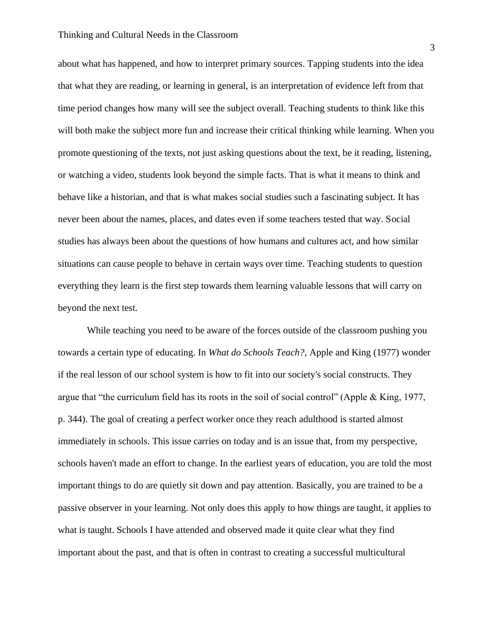#### Thinking and Cultural Needs in the Classroom

about what has happened, and how to interpret primary sources. Tapping students into the idea that what they are reading, or learning in general, is an interpretation of evidence left from that time period changes how many will see the subject overall. Teaching students to think like this will both make the subject more fun and increase their critical thinking while learning. When you promote questioning of the texts, not just asking questions about the text, be it reading, listening, or watching a video, students look beyond the simple facts. That is what it means to think and behave like a historian, and that is what makes social studies such a fascinating subject. It has never been about the names, places, and dates even if some teachers tested that way. Social studies has always been about the questions of how humans and cultures act, and how similar situations can cause people to behave in certain ways over time. Teaching students to question everything they learn is the first step towards them learning valuable lessons that will carry on beyond the next test.

While teaching you need to be aware of the forces outside of the classroom pushing you towards a certain type of educating. In *What do Schools Teach?*, Apple and King (1977) wonder if the real lesson of our school system is how to fit into our society's social constructs. They argue that "the curriculum field has its roots in the soil of social control" (Apple & King, 1977, p. 344). The goal of creating a perfect worker once they reach adulthood is started almost immediately in schools. This issue carries on today and is an issue that, from my perspective, schools haven't made an effort to change. In the earliest years of education, you are told the most important things to do are quietly sit down and pay attention. Basically, you are trained to be a passive observer in your learning. Not only does this apply to how things are taught, it applies to what is taught. Schools I have attended and observed made it quite clear what they find important about the past, and that is often in contrast to creating a successful multicultural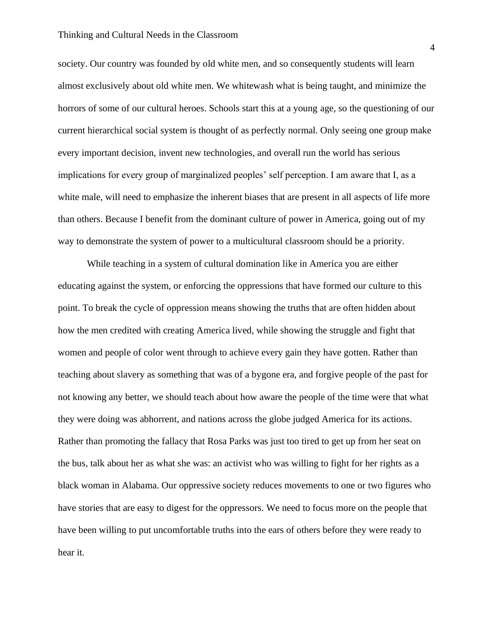#### Thinking and Cultural Needs in the Classroom

society. Our country was founded by old white men, and so consequently students will learn almost exclusively about old white men. We whitewash what is being taught, and minimize the horrors of some of our cultural heroes. Schools start this at a young age, so the questioning of our current hierarchical social system is thought of as perfectly normal. Only seeing one group make every important decision, invent new technologies, and overall run the world has serious implications for every group of marginalized peoples' self perception. I am aware that I, as a white male, will need to emphasize the inherent biases that are present in all aspects of life more than others. Because I benefit from the dominant culture of power in America, going out of my way to demonstrate the system of power to a multicultural classroom should be a priority.

While teaching in a system of cultural domination like in America you are either educating against the system, or enforcing the oppressions that have formed our culture to this point. To break the cycle of oppression means showing the truths that are often hidden about how the men credited with creating America lived, while showing the struggle and fight that women and people of color went through to achieve every gain they have gotten. Rather than teaching about slavery as something that was of a bygone era, and forgive people of the past for not knowing any better, we should teach about how aware the people of the time were that what they were doing was abhorrent, and nations across the globe judged America for its actions. Rather than promoting the fallacy that Rosa Parks was just too tired to get up from her seat on the bus, talk about her as what she was: an activist who was willing to fight for her rights as a black woman in Alabama. Our oppressive society reduces movements to one or two figures who have stories that are easy to digest for the oppressors. We need to focus more on the people that have been willing to put uncomfortable truths into the ears of others before they were ready to hear it.

4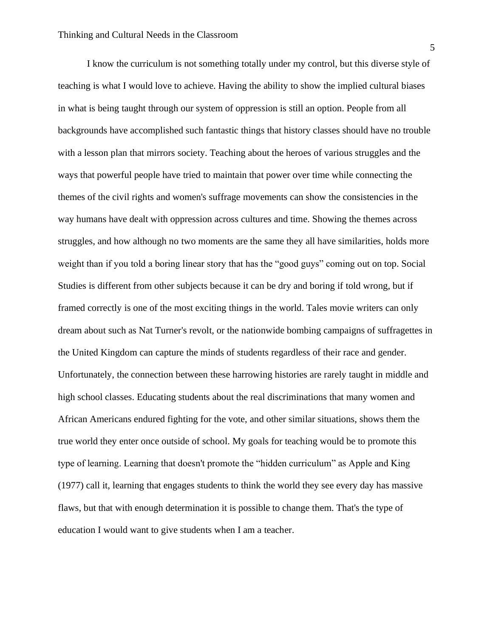I know the curriculum is not something totally under my control, but this diverse style of teaching is what I would love to achieve. Having the ability to show the implied cultural biases in what is being taught through our system of oppression is still an option. People from all backgrounds have accomplished such fantastic things that history classes should have no trouble with a lesson plan that mirrors society. Teaching about the heroes of various struggles and the ways that powerful people have tried to maintain that power over time while connecting the themes of the civil rights and women's suffrage movements can show the consistencies in the way humans have dealt with oppression across cultures and time. Showing the themes across struggles, and how although no two moments are the same they all have similarities, holds more weight than if you told a boring linear story that has the "good guys" coming out on top. Social Studies is different from other subjects because it can be dry and boring if told wrong, but if framed correctly is one of the most exciting things in the world. Tales movie writers can only dream about such as Nat Turner's revolt, or the nationwide bombing campaigns of suffragettes in the United Kingdom can capture the minds of students regardless of their race and gender. Unfortunately, the connection between these harrowing histories are rarely taught in middle and high school classes. Educating students about the real discriminations that many women and African Americans endured fighting for the vote, and other similar situations, shows them the true world they enter once outside of school. My goals for teaching would be to promote this type of learning. Learning that doesn't promote the "hidden curriculum" as Apple and King (1977) call it, learning that engages students to think the world they see every day has massive flaws, but that with enough determination it is possible to change them. That's the type of education I would want to give students when I am a teacher.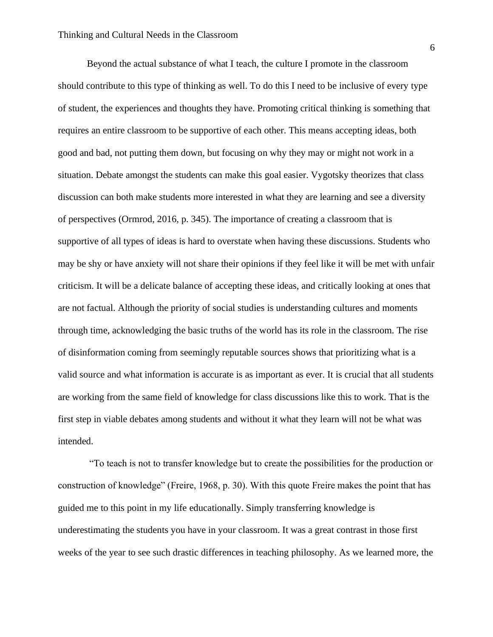Beyond the actual substance of what I teach, the culture I promote in the classroom should contribute to this type of thinking as well. To do this I need to be inclusive of every type of student, the experiences and thoughts they have. Promoting critical thinking is something that requires an entire classroom to be supportive of each other. This means accepting ideas, both good and bad, not putting them down, but focusing on why they may or might not work in a situation. Debate amongst the students can make this goal easier. Vygotsky theorizes that class discussion can both make students more interested in what they are learning and see a diversity of perspectives (Ormrod, 2016, p. 345). The importance of creating a classroom that is supportive of all types of ideas is hard to overstate when having these discussions. Students who may be shy or have anxiety will not share their opinions if they feel like it will be met with unfair criticism. It will be a delicate balance of accepting these ideas, and critically looking at ones that are not factual. Although the priority of social studies is understanding cultures and moments through time, acknowledging the basic truths of the world has its role in the classroom. The rise of disinformation coming from seemingly reputable sources shows that prioritizing what is a valid source and what information is accurate is as important as ever. It is crucial that all students are working from the same field of knowledge for class discussions like this to work. That is the first step in viable debates among students and without it what they learn will not be what was intended.

"To teach is not to transfer knowledge but to create the possibilities for the production or construction of knowledge" (Freire, 1968, p. 30). With this quote Freire makes the point that has guided me to this point in my life educationally. Simply transferring knowledge is underestimating the students you have in your classroom. It was a great contrast in those first weeks of the year to see such drastic differences in teaching philosophy. As we learned more, the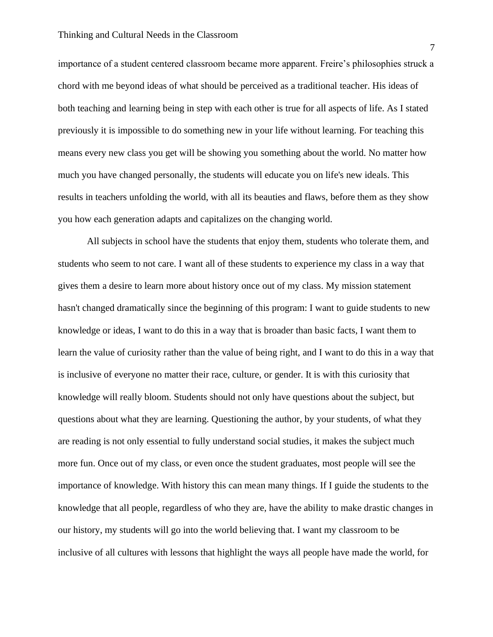#### Thinking and Cultural Needs in the Classroom

importance of a student centered classroom became more apparent. Freire's philosophies struck a chord with me beyond ideas of what should be perceived as a traditional teacher. His ideas of both teaching and learning being in step with each other is true for all aspects of life. As I stated previously it is impossible to do something new in your life without learning. For teaching this means every new class you get will be showing you something about the world. No matter how much you have changed personally, the students will educate you on life's new ideals. This results in teachers unfolding the world, with all its beauties and flaws, before them as they show you how each generation adapts and capitalizes on the changing world.

All subjects in school have the students that enjoy them, students who tolerate them, and students who seem to not care. I want all of these students to experience my class in a way that gives them a desire to learn more about history once out of my class. My mission statement hasn't changed dramatically since the beginning of this program: I want to guide students to new knowledge or ideas, I want to do this in a way that is broader than basic facts, I want them to learn the value of curiosity rather than the value of being right, and I want to do this in a way that is inclusive of everyone no matter their race, culture, or gender. It is with this curiosity that knowledge will really bloom. Students should not only have questions about the subject, but questions about what they are learning. Questioning the author, by your students, of what they are reading is not only essential to fully understand social studies, it makes the subject much more fun. Once out of my class, or even once the student graduates, most people will see the importance of knowledge. With history this can mean many things. If I guide the students to the knowledge that all people, regardless of who they are, have the ability to make drastic changes in our history, my students will go into the world believing that. I want my classroom to be inclusive of all cultures with lessons that highlight the ways all people have made the world, for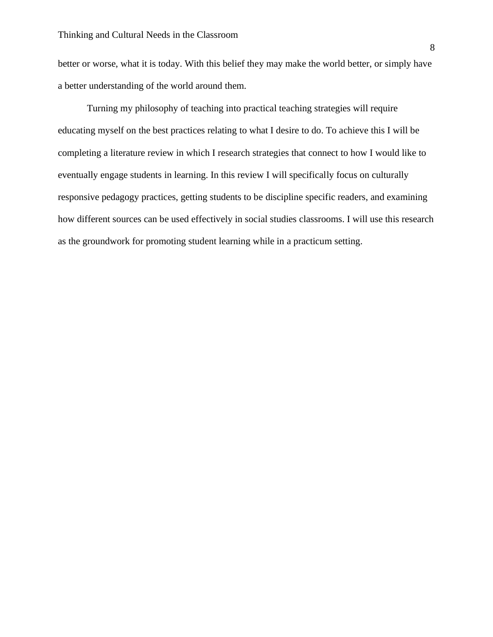better or worse, what it is today. With this belief they may make the world better, or simply have a better understanding of the world around them.

Turning my philosophy of teaching into practical teaching strategies will require educating myself on the best practices relating to what I desire to do. To achieve this I will be completing a literature review in which I research strategies that connect to how I would like to eventually engage students in learning. In this review I will specifically focus on culturally responsive pedagogy practices, getting students to be discipline specific readers, and examining how different sources can be used effectively in social studies classrooms. I will use this research as the groundwork for promoting student learning while in a practicum setting.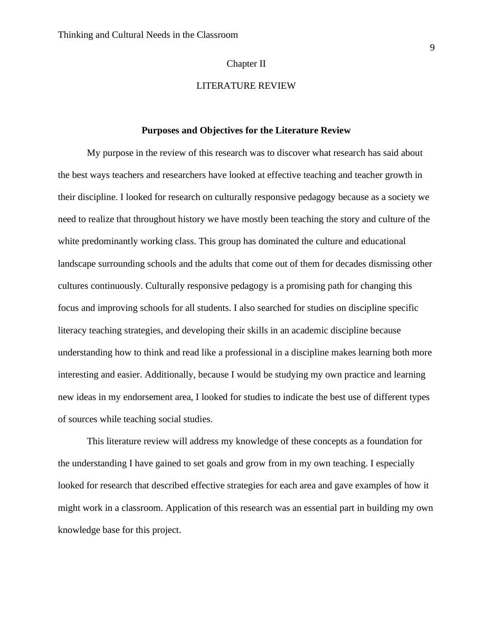#### Chapter II

## LITERATURE REVIEW

#### **Purposes and Objectives for the Literature Review**

My purpose in the review of this research was to discover what research has said about the best ways teachers and researchers have looked at effective teaching and teacher growth in their discipline. I looked for research on culturally responsive pedagogy because as a society we need to realize that throughout history we have mostly been teaching the story and culture of the white predominantly working class. This group has dominated the culture and educational landscape surrounding schools and the adults that come out of them for decades dismissing other cultures continuously. Culturally responsive pedagogy is a promising path for changing this focus and improving schools for all students. I also searched for studies on discipline specific literacy teaching strategies, and developing their skills in an academic discipline because understanding how to think and read like a professional in a discipline makes learning both more interesting and easier. Additionally, because I would be studying my own practice and learning new ideas in my endorsement area, I looked for studies to indicate the best use of different types of sources while teaching social studies.

This literature review will address my knowledge of these concepts as a foundation for the understanding I have gained to set goals and grow from in my own teaching. I especially looked for research that described effective strategies for each area and gave examples of how it might work in a classroom. Application of this research was an essential part in building my own knowledge base for this project.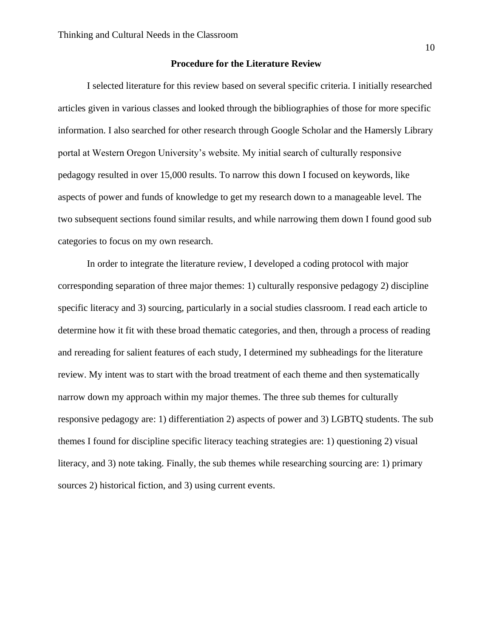#### **Procedure for the Literature Review**

I selected literature for this review based on several specific criteria. I initially researched articles given in various classes and looked through the bibliographies of those for more specific information. I also searched for other research through Google Scholar and the Hamersly Library portal at Western Oregon University's website. My initial search of culturally responsive pedagogy resulted in over 15,000 results. To narrow this down I focused on keywords, like aspects of power and funds of knowledge to get my research down to a manageable level. The two subsequent sections found similar results, and while narrowing them down I found good sub categories to focus on my own research.

In order to integrate the literature review, I developed a coding protocol with major corresponding separation of three major themes: 1) culturally responsive pedagogy 2) discipline specific literacy and 3) sourcing, particularly in a social studies classroom. I read each article to determine how it fit with these broad thematic categories, and then, through a process of reading and rereading for salient features of each study, I determined my subheadings for the literature review. My intent was to start with the broad treatment of each theme and then systematically narrow down my approach within my major themes. The three sub themes for culturally responsive pedagogy are: 1) differentiation 2) aspects of power and 3) LGBTQ students. The sub themes I found for discipline specific literacy teaching strategies are: 1) questioning 2) visual literacy, and 3) note taking. Finally, the sub themes while researching sourcing are: 1) primary sources 2) historical fiction, and 3) using current events.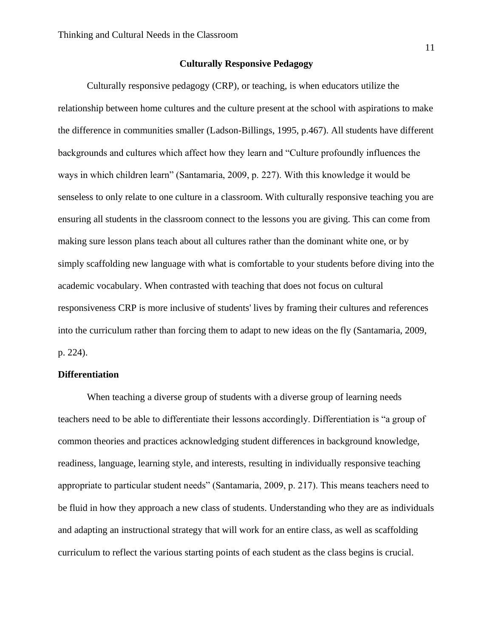#### **Culturally Responsive Pedagogy**

Culturally responsive pedagogy (CRP), or teaching, is when educators utilize the relationship between home cultures and the culture present at the school with aspirations to make the difference in communities smaller (Ladson-Billings, 1995, p.467). All students have different backgrounds and cultures which affect how they learn and "Culture profoundly influences the ways in which children learn" (Santamaria, 2009, p. 227). With this knowledge it would be senseless to only relate to one culture in a classroom. With culturally responsive teaching you are ensuring all students in the classroom connect to the lessons you are giving. This can come from making sure lesson plans teach about all cultures rather than the dominant white one, or by simply scaffolding new language with what is comfortable to your students before diving into the academic vocabulary. When contrasted with teaching that does not focus on cultural responsiveness CRP is more inclusive of students' lives by framing their cultures and references into the curriculum rather than forcing them to adapt to new ideas on the fly (Santamaria, 2009, p. 224).

#### **Differentiation**

When teaching a diverse group of students with a diverse group of learning needs teachers need to be able to differentiate their lessons accordingly. Differentiation is "a group of common theories and practices acknowledging student differences in background knowledge, readiness, language, learning style, and interests, resulting in individually responsive teaching appropriate to particular student needs" (Santamaria, 2009, p. 217). This means teachers need to be fluid in how they approach a new class of students. Understanding who they are as individuals and adapting an instructional strategy that will work for an entire class, as well as scaffolding curriculum to reflect the various starting points of each student as the class begins is crucial.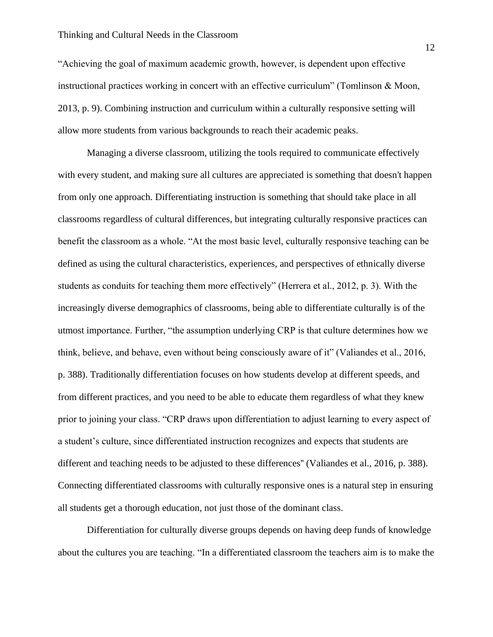#### Thinking and Cultural Needs in the Classroom

"Achieving the goal of maximum academic growth, however, is dependent upon effective instructional practices working in concert with an effective curriculum" (Tomlinson & Moon, 2013, p. 9). Combining instruction and curriculum within a culturally responsive setting will allow more students from various backgrounds to reach their academic peaks.

Managing a diverse classroom, utilizing the tools required to communicate effectively with every student, and making sure all cultures are appreciated is something that doesn't happen from only one approach. Differentiating instruction is something that should take place in all classrooms regardless of cultural differences, but integrating culturally responsive practices can benefit the classroom as a whole. "At the most basic level, culturally responsive teaching can be defined as using the cultural characteristics, experiences, and perspectives of ethnically diverse students as conduits for teaching them more effectively" (Herrera et al., 2012, p. 3). With the increasingly diverse demographics of classrooms, being able to differentiate culturally is of the utmost importance. Further, "the assumption underlying CRP is that culture determines how we think, believe, and behave, even without being consciously aware of it" (Valiandes et al., 2016, p. 388). Traditionally differentiation focuses on how students develop at different speeds, and from different practices, and you need to be able to educate them regardless of what they knew prior to joining your class. "CRP draws upon differentiation to adjust learning to every aspect of a student's culture, since differentiated instruction recognizes and expects that students are different and teaching needs to be adjusted to these differences'' (Valiandes et al., 2016, p. 388). Connecting differentiated classrooms with culturally responsive ones is a natural step in ensuring all students get a thorough education, not just those of the dominant class.

Differentiation for culturally diverse groups depends on having deep funds of knowledge about the cultures you are teaching. "In a differentiated classroom the teachers aim is to make the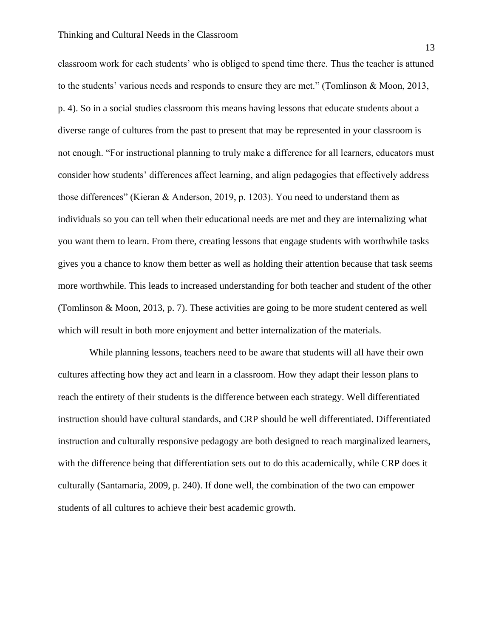classroom work for each students' who is obliged to spend time there. Thus the teacher is attuned to the students' various needs and responds to ensure they are met." (Tomlinson & Moon, 2013, p. 4). So in a social studies classroom this means having lessons that educate students about a diverse range of cultures from the past to present that may be represented in your classroom is not enough. "For instructional planning to truly make a difference for all learners, educators must consider how students' differences affect learning, and align pedagogies that effectively address those differences" (Kieran & Anderson, 2019, p. 1203). You need to understand them as individuals so you can tell when their educational needs are met and they are internalizing what you want them to learn. From there, creating lessons that engage students with worthwhile tasks gives you a chance to know them better as well as holding their attention because that task seems more worthwhile. This leads to increased understanding for both teacher and student of the other (Tomlinson & Moon, 2013, p. 7). These activities are going to be more student centered as well which will result in both more enjoyment and better internalization of the materials.

While planning lessons, teachers need to be aware that students will all have their own cultures affecting how they act and learn in a classroom. How they adapt their lesson plans to reach the entirety of their students is the difference between each strategy. Well differentiated instruction should have cultural standards, and CRP should be well differentiated. Differentiated instruction and culturally responsive pedagogy are both designed to reach marginalized learners, with the difference being that differentiation sets out to do this academically, while CRP does it culturally (Santamaria, 2009, p. 240). If done well, the combination of the two can empower students of all cultures to achieve their best academic growth.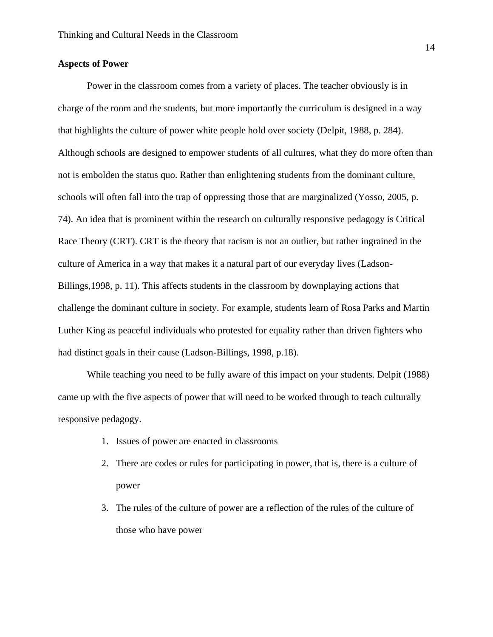#### **Aspects of Power**

Power in the classroom comes from a variety of places. The teacher obviously is in charge of the room and the students, but more importantly the curriculum is designed in a way that highlights the culture of power white people hold over society (Delpit, 1988, p. 284). Although schools are designed to empower students of all cultures, what they do more often than not is embolden the status quo. Rather than enlightening students from the dominant culture, schools will often fall into the trap of oppressing those that are marginalized (Yosso, 2005, p. 74). An idea that is prominent within the research on culturally responsive pedagogy is Critical Race Theory (CRT). CRT is the theory that racism is not an outlier, but rather ingrained in the culture of America in a way that makes it a natural part of our everyday lives (Ladson-Billings,1998, p. 11). This affects students in the classroom by downplaying actions that challenge the dominant culture in society. For example, students learn of Rosa Parks and Martin Luther King as peaceful individuals who protested for equality rather than driven fighters who had distinct goals in their cause (Ladson-Billings, 1998, p.18).

While teaching you need to be fully aware of this impact on your students. Delpit (1988) came up with the five aspects of power that will need to be worked through to teach culturally responsive pedagogy.

- 1. Issues of power are enacted in classrooms
- 2. There are codes or rules for participating in power, that is, there is a culture of power
- 3. The rules of the culture of power are a reflection of the rules of the culture of those who have power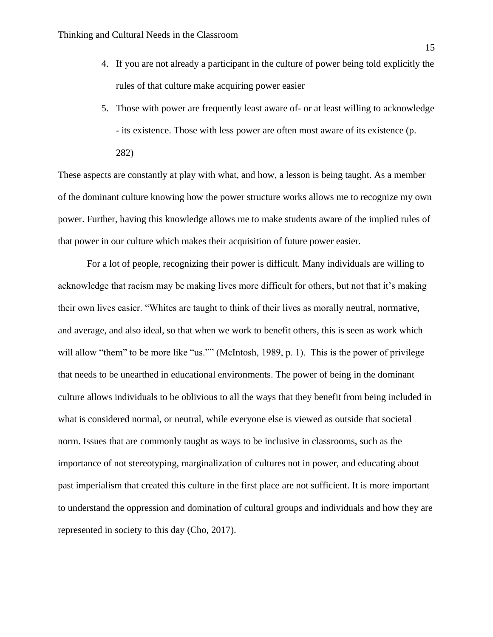- 4. If you are not already a participant in the culture of power being told explicitly the rules of that culture make acquiring power easier
- 5. Those with power are frequently least aware of- or at least willing to acknowledge - its existence. Those with less power are often most aware of its existence (p. 282)

These aspects are constantly at play with what, and how, a lesson is being taught. As a member of the dominant culture knowing how the power structure works allows me to recognize my own power. Further, having this knowledge allows me to make students aware of the implied rules of that power in our culture which makes their acquisition of future power easier.

For a lot of people, recognizing their power is difficult. Many individuals are willing to acknowledge that racism may be making lives more difficult for others, but not that it's making their own lives easier. "Whites are taught to think of their lives as morally neutral, normative, and average, and also ideal, so that when we work to benefit others, this is seen as work which will allow "them" to be more like "us."" (McIntosh, 1989, p. 1). This is the power of privilege that needs to be unearthed in educational environments. The power of being in the dominant culture allows individuals to be oblivious to all the ways that they benefit from being included in what is considered normal, or neutral, while everyone else is viewed as outside that societal norm. Issues that are commonly taught as ways to be inclusive in classrooms, such as the importance of not stereotyping, marginalization of cultures not in power, and educating about past imperialism that created this culture in the first place are not sufficient. It is more important to understand the oppression and domination of cultural groups and individuals and how they are represented in society to this day (Cho, 2017).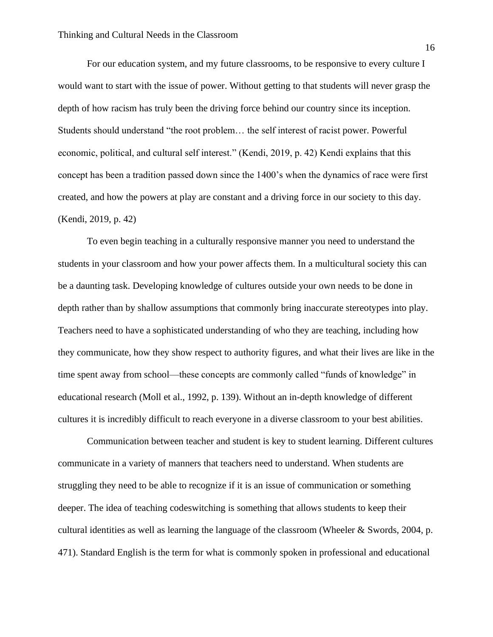For our education system, and my future classrooms, to be responsive to every culture I would want to start with the issue of power. Without getting to that students will never grasp the depth of how racism has truly been the driving force behind our country since its inception. Students should understand "the root problem… the self interest of racist power. Powerful economic, political, and cultural self interest." (Kendi, 2019, p. 42) Kendi explains that this concept has been a tradition passed down since the 1400's when the dynamics of race were first created, and how the powers at play are constant and a driving force in our society to this day. (Kendi, 2019, p. 42)

To even begin teaching in a culturally responsive manner you need to understand the students in your classroom and how your power affects them. In a multicultural society this can be a daunting task. Developing knowledge of cultures outside your own needs to be done in depth rather than by shallow assumptions that commonly bring inaccurate stereotypes into play. Teachers need to have a sophisticated understanding of who they are teaching, including how they communicate, how they show respect to authority figures, and what their lives are like in the time spent away from school—these concepts are commonly called "funds of knowledge" in educational research (Moll et al., 1992, p. 139). Without an in-depth knowledge of different cultures it is incredibly difficult to reach everyone in a diverse classroom to your best abilities.

Communication between teacher and student is key to student learning. Different cultures communicate in a variety of manners that teachers need to understand. When students are struggling they need to be able to recognize if it is an issue of communication or something deeper. The idea of teaching codeswitching is something that allows students to keep their cultural identities as well as learning the language of the classroom (Wheeler & Swords, 2004, p. 471). Standard English is the term for what is commonly spoken in professional and educational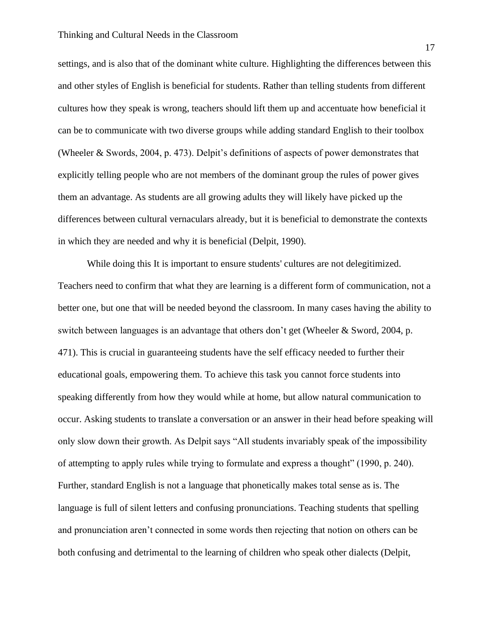settings, and is also that of the dominant white culture. Highlighting the differences between this and other styles of English is beneficial for students. Rather than telling students from different cultures how they speak is wrong, teachers should lift them up and accentuate how beneficial it can be to communicate with two diverse groups while adding standard English to their toolbox (Wheeler & Swords, 2004, p. 473). Delpit's definitions of aspects of power demonstrates that explicitly telling people who are not members of the dominant group the rules of power gives them an advantage. As students are all growing adults they will likely have picked up the differences between cultural vernaculars already, but it is beneficial to demonstrate the contexts in which they are needed and why it is beneficial (Delpit, 1990).

While doing this It is important to ensure students' cultures are not delegitimized. Teachers need to confirm that what they are learning is a different form of communication, not a better one, but one that will be needed beyond the classroom. In many cases having the ability to switch between languages is an advantage that others don't get (Wheeler & Sword, 2004, p. 471). This is crucial in guaranteeing students have the self efficacy needed to further their educational goals, empowering them. To achieve this task you cannot force students into speaking differently from how they would while at home, but allow natural communication to occur. Asking students to translate a conversation or an answer in their head before speaking will only slow down their growth. As Delpit says "All students invariably speak of the impossibility of attempting to apply rules while trying to formulate and express a thought" (1990, p. 240). Further, standard English is not a language that phonetically makes total sense as is. The language is full of silent letters and confusing pronunciations. Teaching students that spelling and pronunciation aren't connected in some words then rejecting that notion on others can be both confusing and detrimental to the learning of children who speak other dialects (Delpit,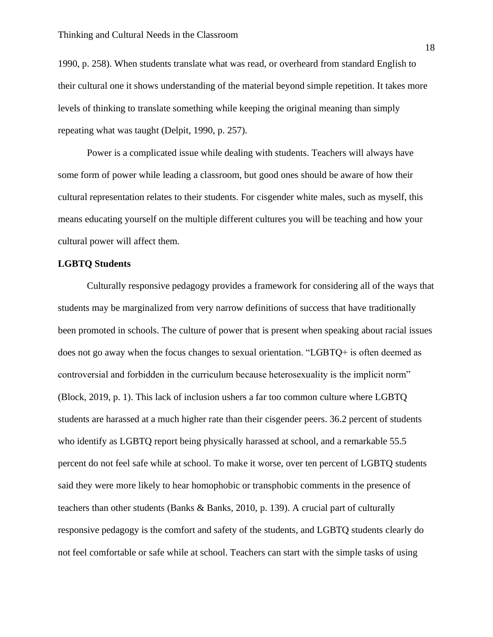1990, p. 258). When students translate what was read, or overheard from standard English to their cultural one it shows understanding of the material beyond simple repetition. It takes more levels of thinking to translate something while keeping the original meaning than simply repeating what was taught (Delpit, 1990, p. 257).

Power is a complicated issue while dealing with students. Teachers will always have some form of power while leading a classroom, but good ones should be aware of how their cultural representation relates to their students. For cisgender white males, such as myself, this means educating yourself on the multiple different cultures you will be teaching and how your cultural power will affect them.

#### **LGBTQ Students**

Culturally responsive pedagogy provides a framework for considering all of the ways that students may be marginalized from very narrow definitions of success that have traditionally been promoted in schools. The culture of power that is present when speaking about racial issues does not go away when the focus changes to sexual orientation. "LGBTQ+ is often deemed as controversial and forbidden in the curriculum because heterosexuality is the implicit norm" (Block, 2019, p. 1). This lack of inclusion ushers a far too common culture where LGBTQ students are harassed at a much higher rate than their cisgender peers. 36.2 percent of students who identify as LGBTQ report being physically harassed at school, and a remarkable 55.5 percent do not feel safe while at school. To make it worse, over ten percent of LGBTQ students said they were more likely to hear homophobic or transphobic comments in the presence of teachers than other students (Banks & Banks, 2010, p. 139). A crucial part of culturally responsive pedagogy is the comfort and safety of the students, and LGBTQ students clearly do not feel comfortable or safe while at school. Teachers can start with the simple tasks of using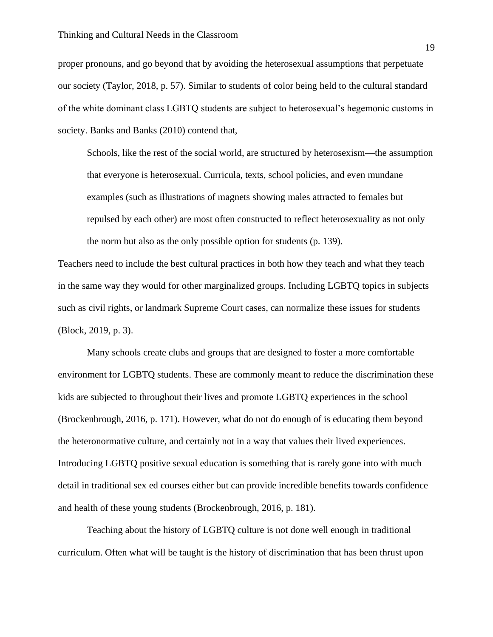proper pronouns, and go beyond that by avoiding the heterosexual assumptions that perpetuate our society (Taylor, 2018, p. 57). Similar to students of color being held to the cultural standard of the white dominant class LGBTQ students are subject to heterosexual's hegemonic customs in society. Banks and Banks (2010) contend that,

Schools, like the rest of the social world, are structured by heterosexism—the assumption that everyone is heterosexual. Curricula, texts, school policies, and even mundane examples (such as illustrations of magnets showing males attracted to females but repulsed by each other) are most often constructed to reflect heterosexuality as not only the norm but also as the only possible option for students (p. 139).

Teachers need to include the best cultural practices in both how they teach and what they teach in the same way they would for other marginalized groups. Including LGBTQ topics in subjects such as civil rights, or landmark Supreme Court cases, can normalize these issues for students (Block, 2019, p. 3).

Many schools create clubs and groups that are designed to foster a more comfortable environment for LGBTQ students. These are commonly meant to reduce the discrimination these kids are subjected to throughout their lives and promote LGBTQ experiences in the school (Brockenbrough, 2016, p. 171). However, what do not do enough of is educating them beyond the heteronormative culture, and certainly not in a way that values their lived experiences. Introducing LGBTQ positive sexual education is something that is rarely gone into with much detail in traditional sex ed courses either but can provide incredible benefits towards confidence and health of these young students (Brockenbrough, 2016, p. 181).

Teaching about the history of LGBTQ culture is not done well enough in traditional curriculum. Often what will be taught is the history of discrimination that has been thrust upon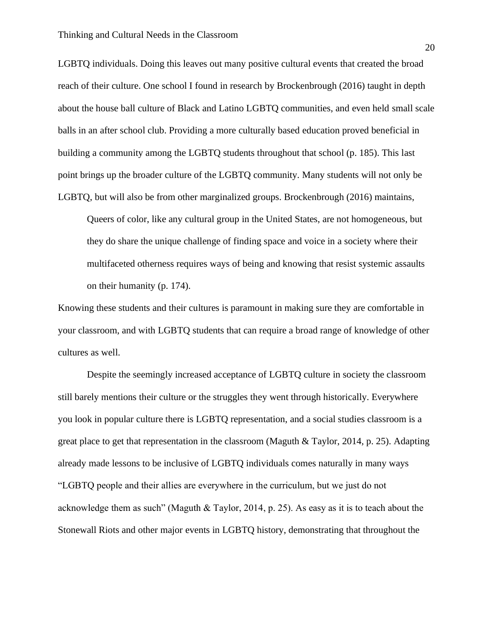LGBTQ individuals. Doing this leaves out many positive cultural events that created the broad reach of their culture. One school I found in research by Brockenbrough (2016) taught in depth about the house ball culture of Black and Latino LGBTQ communities, and even held small scale balls in an after school club. Providing a more culturally based education proved beneficial in building a community among the LGBTQ students throughout that school (p. 185). This last point brings up the broader culture of the LGBTQ community. Many students will not only be LGBTQ, but will also be from other marginalized groups. Brockenbrough (2016) maintains,

Queers of color, like any cultural group in the United States, are not homogeneous, but they do share the unique challenge of finding space and voice in a society where their multifaceted otherness requires ways of being and knowing that resist systemic assaults on their humanity (p. 174).

Knowing these students and their cultures is paramount in making sure they are comfortable in your classroom, and with LGBTQ students that can require a broad range of knowledge of other cultures as well.

Despite the seemingly increased acceptance of LGBTQ culture in society the classroom still barely mentions their culture or the struggles they went through historically. Everywhere you look in popular culture there is LGBTQ representation, and a social studies classroom is a great place to get that representation in the classroom (Maguth & Taylor, 2014, p. 25). Adapting already made lessons to be inclusive of LGBTQ individuals comes naturally in many ways "LGBTQ people and their allies are everywhere in the curriculum, but we just do not acknowledge them as such" (Maguth & Taylor, 2014, p. 25). As easy as it is to teach about the Stonewall Riots and other major events in LGBTQ history, demonstrating that throughout the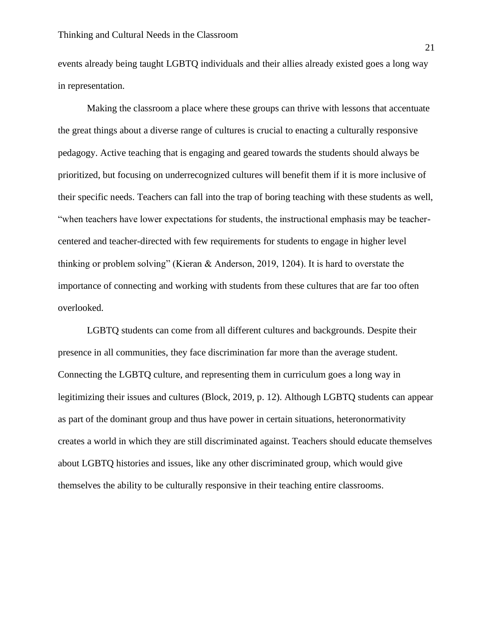events already being taught LGBTQ individuals and their allies already existed goes a long way in representation.

Making the classroom a place where these groups can thrive with lessons that accentuate the great things about a diverse range of cultures is crucial to enacting a culturally responsive pedagogy. Active teaching that is engaging and geared towards the students should always be prioritized, but focusing on underrecognized cultures will benefit them if it is more inclusive of their specific needs. Teachers can fall into the trap of boring teaching with these students as well, "when teachers have lower expectations for students, the instructional emphasis may be teachercentered and teacher-directed with few requirements for students to engage in higher level thinking or problem solving" (Kieran & Anderson, 2019, 1204). It is hard to overstate the importance of connecting and working with students from these cultures that are far too often overlooked.

LGBTQ students can come from all different cultures and backgrounds. Despite their presence in all communities, they face discrimination far more than the average student. Connecting the LGBTQ culture, and representing them in curriculum goes a long way in legitimizing their issues and cultures (Block, 2019, p. 12). Although LGBTQ students can appear as part of the dominant group and thus have power in certain situations, heteronormativity creates a world in which they are still discriminated against. Teachers should educate themselves about LGBTQ histories and issues, like any other discriminated group, which would give themselves the ability to be culturally responsive in their teaching entire classrooms.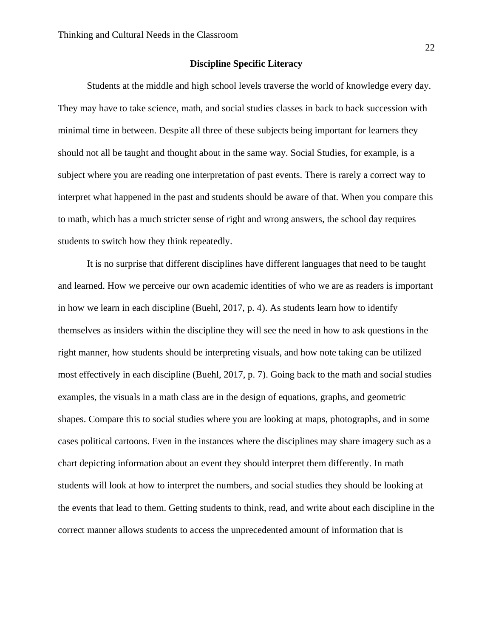#### **Discipline Specific Literacy**

Students at the middle and high school levels traverse the world of knowledge every day. They may have to take science, math, and social studies classes in back to back succession with minimal time in between. Despite all three of these subjects being important for learners they should not all be taught and thought about in the same way. Social Studies, for example, is a subject where you are reading one interpretation of past events. There is rarely a correct way to interpret what happened in the past and students should be aware of that. When you compare this to math, which has a much stricter sense of right and wrong answers, the school day requires students to switch how they think repeatedly.

It is no surprise that different disciplines have different languages that need to be taught and learned. How we perceive our own academic identities of who we are as readers is important in how we learn in each discipline (Buehl, 2017, p. 4). As students learn how to identify themselves as insiders within the discipline they will see the need in how to ask questions in the right manner, how students should be interpreting visuals, and how note taking can be utilized most effectively in each discipline (Buehl, 2017, p. 7). Going back to the math and social studies examples, the visuals in a math class are in the design of equations, graphs, and geometric shapes. Compare this to social studies where you are looking at maps, photographs, and in some cases political cartoons. Even in the instances where the disciplines may share imagery such as a chart depicting information about an event they should interpret them differently. In math students will look at how to interpret the numbers, and social studies they should be looking at the events that lead to them. Getting students to think, read, and write about each discipline in the correct manner allows students to access the unprecedented amount of information that is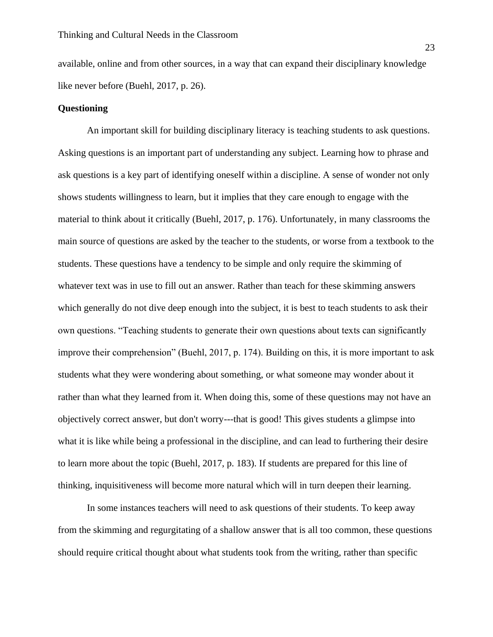available, online and from other sources, in a way that can expand their disciplinary knowledge like never before (Buehl, 2017, p. 26).

#### **Questioning**

An important skill for building disciplinary literacy is teaching students to ask questions. Asking questions is an important part of understanding any subject. Learning how to phrase and ask questions is a key part of identifying oneself within a discipline. A sense of wonder not only shows students willingness to learn, but it implies that they care enough to engage with the material to think about it critically (Buehl, 2017, p. 176). Unfortunately, in many classrooms the main source of questions are asked by the teacher to the students, or worse from a textbook to the students. These questions have a tendency to be simple and only require the skimming of whatever text was in use to fill out an answer. Rather than teach for these skimming answers which generally do not dive deep enough into the subject, it is best to teach students to ask their own questions. "Teaching students to generate their own questions about texts can significantly improve their comprehension" (Buehl, 2017, p. 174). Building on this, it is more important to ask students what they were wondering about something, or what someone may wonder about it rather than what they learned from it. When doing this, some of these questions may not have an objectively correct answer, but don't worry---that is good! This gives students a glimpse into what it is like while being a professional in the discipline, and can lead to furthering their desire to learn more about the topic (Buehl, 2017, p. 183). If students are prepared for this line of thinking, inquisitiveness will become more natural which will in turn deepen their learning.

In some instances teachers will need to ask questions of their students. To keep away from the skimming and regurgitating of a shallow answer that is all too common, these questions should require critical thought about what students took from the writing, rather than specific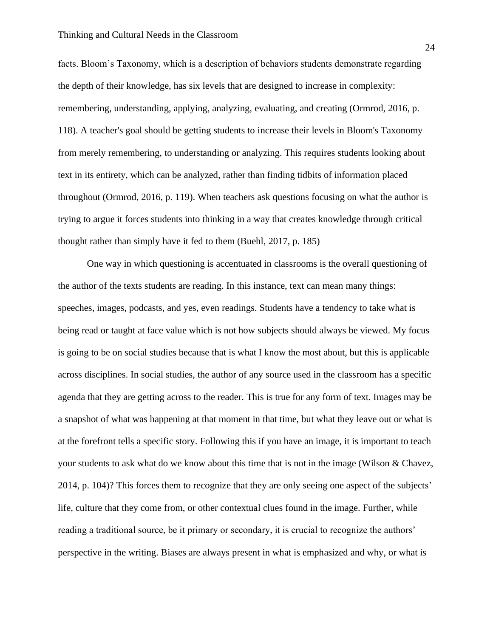facts. Bloom's Taxonomy, which is a description of behaviors students demonstrate regarding the depth of their knowledge, has six levels that are designed to increase in complexity: remembering, understanding, applying, analyzing, evaluating, and creating (Ormrod, 2016, p. 118). A teacher's goal should be getting students to increase their levels in Bloom's Taxonomy from merely remembering, to understanding or analyzing. This requires students looking about text in its entirety, which can be analyzed, rather than finding tidbits of information placed throughout (Ormrod, 2016, p. 119). When teachers ask questions focusing on what the author is trying to argue it forces students into thinking in a way that creates knowledge through critical thought rather than simply have it fed to them (Buehl, 2017, p. 185)

One way in which questioning is accentuated in classrooms is the overall questioning of the author of the texts students are reading. In this instance, text can mean many things: speeches, images, podcasts, and yes, even readings. Students have a tendency to take what is being read or taught at face value which is not how subjects should always be viewed. My focus is going to be on social studies because that is what I know the most about, but this is applicable across disciplines. In social studies, the author of any source used in the classroom has a specific agenda that they are getting across to the reader. This is true for any form of text. Images may be a snapshot of what was happening at that moment in that time, but what they leave out or what is at the forefront tells a specific story. Following this if you have an image, it is important to teach your students to ask what do we know about this time that is not in the image (Wilson & Chavez, 2014, p. 104)? This forces them to recognize that they are only seeing one aspect of the subjects' life, culture that they come from, or other contextual clues found in the image. Further, while reading a traditional source, be it primary or secondary, it is crucial to recognize the authors' perspective in the writing. Biases are always present in what is emphasized and why, or what is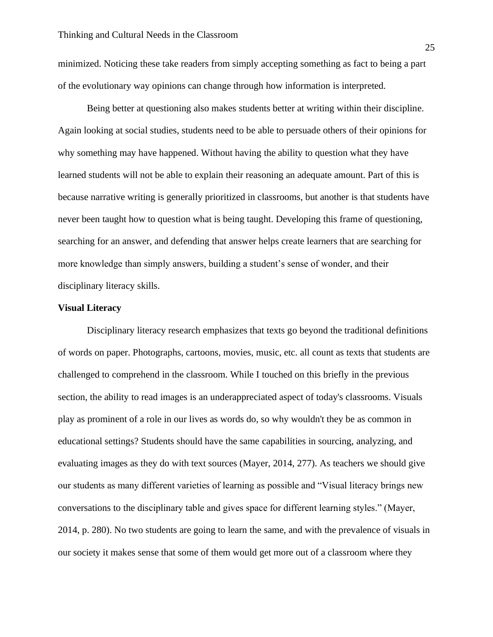minimized. Noticing these take readers from simply accepting something as fact to being a part of the evolutionary way opinions can change through how information is interpreted.

Being better at questioning also makes students better at writing within their discipline. Again looking at social studies, students need to be able to persuade others of their opinions for why something may have happened. Without having the ability to question what they have learned students will not be able to explain their reasoning an adequate amount. Part of this is because narrative writing is generally prioritized in classrooms, but another is that students have never been taught how to question what is being taught. Developing this frame of questioning, searching for an answer, and defending that answer helps create learners that are searching for more knowledge than simply answers, building a student's sense of wonder, and their disciplinary literacy skills.

#### **Visual Literacy**

Disciplinary literacy research emphasizes that texts go beyond the traditional definitions of words on paper. Photographs, cartoons, movies, music, etc. all count as texts that students are challenged to comprehend in the classroom. While I touched on this briefly in the previous section, the ability to read images is an underappreciated aspect of today's classrooms. Visuals play as prominent of a role in our lives as words do, so why wouldn't they be as common in educational settings? Students should have the same capabilities in sourcing, analyzing, and evaluating images as they do with text sources (Mayer, 2014, 277). As teachers we should give our students as many different varieties of learning as possible and "Visual literacy brings new conversations to the disciplinary table and gives space for different learning styles." (Mayer, 2014, p. 280). No two students are going to learn the same, and with the prevalence of visuals in our society it makes sense that some of them would get more out of a classroom where they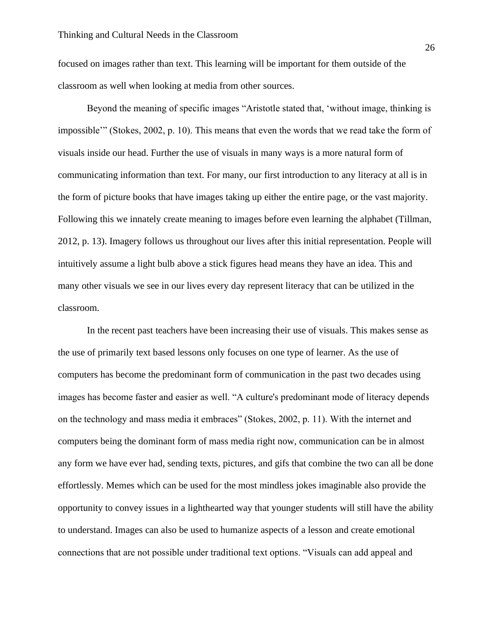focused on images rather than text. This learning will be important for them outside of the classroom as well when looking at media from other sources.

Beyond the meaning of specific images "Aristotle stated that, 'without image, thinking is impossible'" (Stokes, 2002, p. 10). This means that even the words that we read take the form of visuals inside our head. Further the use of visuals in many ways is a more natural form of communicating information than text. For many, our first introduction to any literacy at all is in the form of picture books that have images taking up either the entire page, or the vast majority. Following this we innately create meaning to images before even learning the alphabet (Tillman, 2012, p. 13). Imagery follows us throughout our lives after this initial representation. People will intuitively assume a light bulb above a stick figures head means they have an idea. This and many other visuals we see in our lives every day represent literacy that can be utilized in the classroom.

In the recent past teachers have been increasing their use of visuals. This makes sense as the use of primarily text based lessons only focuses on one type of learner. As the use of computers has become the predominant form of communication in the past two decades using images has become faster and easier as well. "A culture's predominant mode of literacy depends on the technology and mass media it embraces" (Stokes, 2002, p. 11). With the internet and computers being the dominant form of mass media right now, communication can be in almost any form we have ever had, sending texts, pictures, and gifs that combine the two can all be done effortlessly. Memes which can be used for the most mindless jokes imaginable also provide the opportunity to convey issues in a lighthearted way that younger students will still have the ability to understand. Images can also be used to humanize aspects of a lesson and create emotional connections that are not possible under traditional text options. "Visuals can add appeal and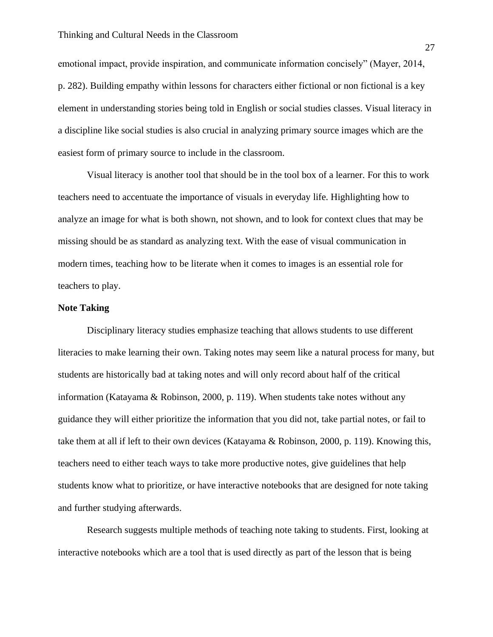emotional impact, provide inspiration, and communicate information concisely" (Mayer, 2014, p. 282). Building empathy within lessons for characters either fictional or non fictional is a key element in understanding stories being told in English or social studies classes. Visual literacy in a discipline like social studies is also crucial in analyzing primary source images which are the easiest form of primary source to include in the classroom.

Visual literacy is another tool that should be in the tool box of a learner. For this to work teachers need to accentuate the importance of visuals in everyday life. Highlighting how to analyze an image for what is both shown, not shown, and to look for context clues that may be missing should be as standard as analyzing text. With the ease of visual communication in modern times, teaching how to be literate when it comes to images is an essential role for teachers to play.

#### **Note Taking**

Disciplinary literacy studies emphasize teaching that allows students to use different literacies to make learning their own. Taking notes may seem like a natural process for many, but students are historically bad at taking notes and will only record about half of the critical information (Katayama & Robinson, 2000, p. 119). When students take notes without any guidance they will either prioritize the information that you did not, take partial notes, or fail to take them at all if left to their own devices (Katayama & Robinson, 2000, p. 119). Knowing this, teachers need to either teach ways to take more productive notes, give guidelines that help students know what to prioritize, or have interactive notebooks that are designed for note taking and further studying afterwards.

Research suggests multiple methods of teaching note taking to students. First, looking at interactive notebooks which are a tool that is used directly as part of the lesson that is being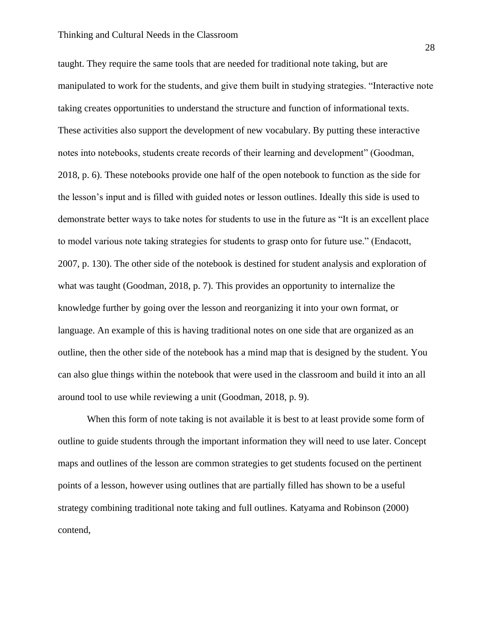#### Thinking and Cultural Needs in the Classroom

taught. They require the same tools that are needed for traditional note taking, but are manipulated to work for the students, and give them built in studying strategies. "Interactive note taking creates opportunities to understand the structure and function of informational texts. These activities also support the development of new vocabulary. By putting these interactive notes into notebooks, students create records of their learning and development" (Goodman, 2018, p. 6). These notebooks provide one half of the open notebook to function as the side for the lesson's input and is filled with guided notes or lesson outlines. Ideally this side is used to demonstrate better ways to take notes for students to use in the future as "It is an excellent place to model various note taking strategies for students to grasp onto for future use." (Endacott, 2007, p. 130). The other side of the notebook is destined for student analysis and exploration of what was taught (Goodman, 2018, p. 7). This provides an opportunity to internalize the knowledge further by going over the lesson and reorganizing it into your own format, or language. An example of this is having traditional notes on one side that are organized as an outline, then the other side of the notebook has a mind map that is designed by the student. You can also glue things within the notebook that were used in the classroom and build it into an all around tool to use while reviewing a unit (Goodman, 2018, p. 9).

When this form of note taking is not available it is best to at least provide some form of outline to guide students through the important information they will need to use later. Concept maps and outlines of the lesson are common strategies to get students focused on the pertinent points of a lesson, however using outlines that are partially filled has shown to be a useful strategy combining traditional note taking and full outlines. Katyama and Robinson (2000) contend,

28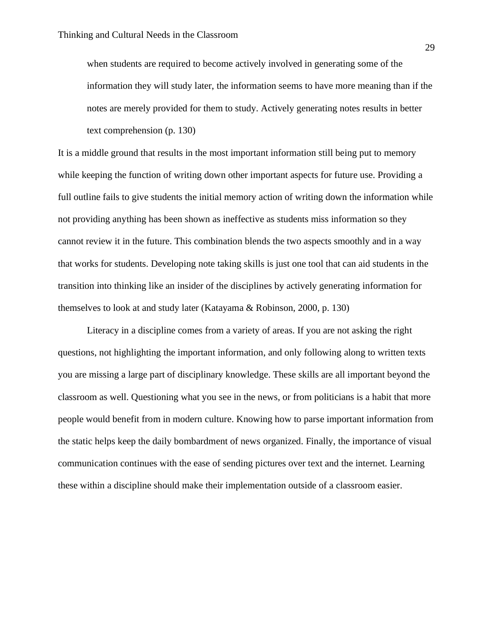when students are required to become actively involved in generating some of the information they will study later, the information seems to have more meaning than if the notes are merely provided for them to study. Actively generating notes results in better text comprehension (p. 130)

It is a middle ground that results in the most important information still being put to memory while keeping the function of writing down other important aspects for future use. Providing a full outline fails to give students the initial memory action of writing down the information while not providing anything has been shown as ineffective as students miss information so they cannot review it in the future. This combination blends the two aspects smoothly and in a way that works for students. Developing note taking skills is just one tool that can aid students in the transition into thinking like an insider of the disciplines by actively generating information for themselves to look at and study later (Katayama & Robinson, 2000, p. 130)

Literacy in a discipline comes from a variety of areas. If you are not asking the right questions, not highlighting the important information, and only following along to written texts you are missing a large part of disciplinary knowledge. These skills are all important beyond the classroom as well. Questioning what you see in the news, or from politicians is a habit that more people would benefit from in modern culture. Knowing how to parse important information from the static helps keep the daily bombardment of news organized. Finally, the importance of visual communication continues with the ease of sending pictures over text and the internet. Learning these within a discipline should make their implementation outside of a classroom easier.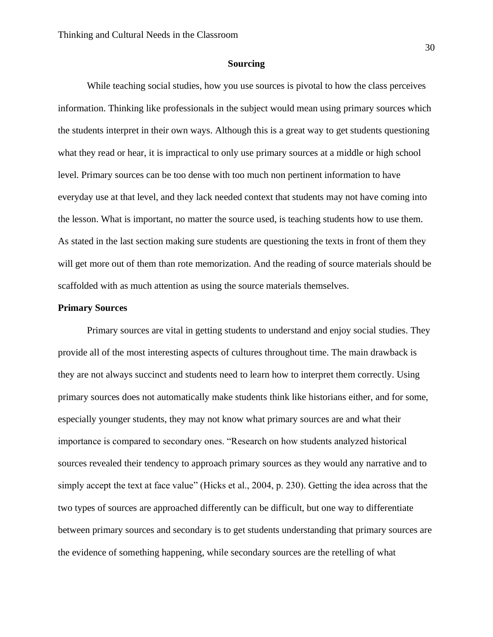#### **Sourcing**

While teaching social studies, how you use sources is pivotal to how the class perceives information. Thinking like professionals in the subject would mean using primary sources which the students interpret in their own ways. Although this is a great way to get students questioning what they read or hear, it is impractical to only use primary sources at a middle or high school level. Primary sources can be too dense with too much non pertinent information to have everyday use at that level, and they lack needed context that students may not have coming into the lesson. What is important, no matter the source used, is teaching students how to use them. As stated in the last section making sure students are questioning the texts in front of them they will get more out of them than rote memorization. And the reading of source materials should be scaffolded with as much attention as using the source materials themselves.

#### **Primary Sources**

Primary sources are vital in getting students to understand and enjoy social studies. They provide all of the most interesting aspects of cultures throughout time. The main drawback is they are not always succinct and students need to learn how to interpret them correctly. Using primary sources does not automatically make students think like historians either, and for some, especially younger students, they may not know what primary sources are and what their importance is compared to secondary ones. "Research on how students analyzed historical sources revealed their tendency to approach primary sources as they would any narrative and to simply accept the text at face value" (Hicks et al., 2004, p. 230). Getting the idea across that the two types of sources are approached differently can be difficult, but one way to differentiate between primary sources and secondary is to get students understanding that primary sources are the evidence of something happening, while secondary sources are the retelling of what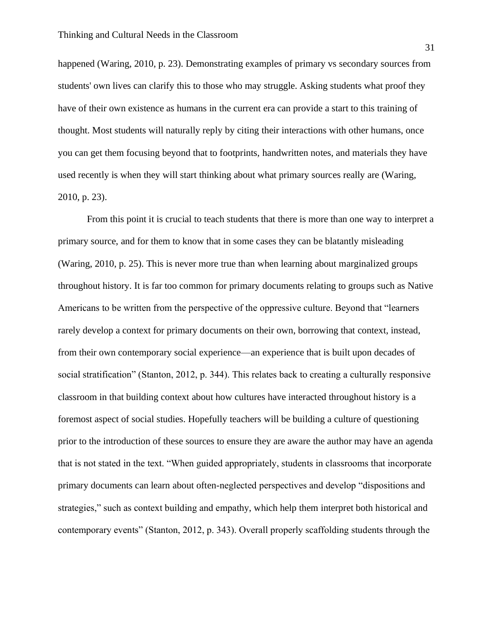happened (Waring, 2010, p. 23). Demonstrating examples of primary vs secondary sources from students' own lives can clarify this to those who may struggle. Asking students what proof they have of their own existence as humans in the current era can provide a start to this training of thought. Most students will naturally reply by citing their interactions with other humans, once you can get them focusing beyond that to footprints, handwritten notes, and materials they have used recently is when they will start thinking about what primary sources really are (Waring, 2010, p. 23).

From this point it is crucial to teach students that there is more than one way to interpret a primary source, and for them to know that in some cases they can be blatantly misleading (Waring, 2010, p. 25). This is never more true than when learning about marginalized groups throughout history. It is far too common for primary documents relating to groups such as Native Americans to be written from the perspective of the oppressive culture. Beyond that "learners rarely develop a context for primary documents on their own, borrowing that context, instead, from their own contemporary social experience—an experience that is built upon decades of social stratification" (Stanton, 2012, p. 344). This relates back to creating a culturally responsive classroom in that building context about how cultures have interacted throughout history is a foremost aspect of social studies. Hopefully teachers will be building a culture of questioning prior to the introduction of these sources to ensure they are aware the author may have an agenda that is not stated in the text. "When guided appropriately, students in classrooms that incorporate primary documents can learn about often-neglected perspectives and develop "dispositions and strategies," such as context building and empathy, which help them interpret both historical and contemporary events" (Stanton, 2012, p. 343). Overall properly scaffolding students through the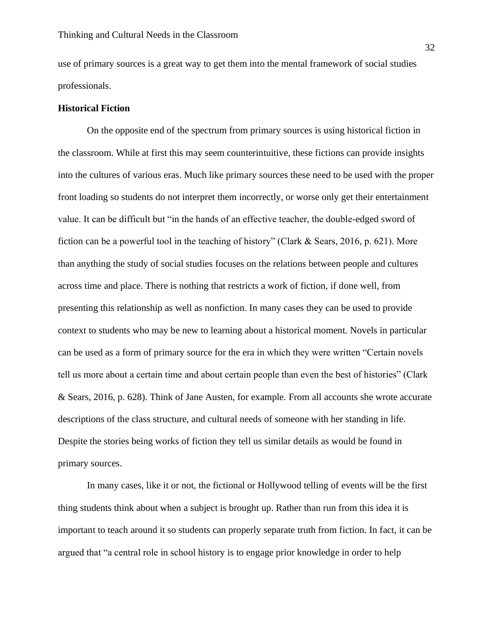use of primary sources is a great way to get them into the mental framework of social studies professionals.

#### **Historical Fiction**

On the opposite end of the spectrum from primary sources is using historical fiction in the classroom. While at first this may seem counterintuitive, these fictions can provide insights into the cultures of various eras. Much like primary sources these need to be used with the proper front loading so students do not interpret them incorrectly, or worse only get their entertainment value. It can be difficult but "in the hands of an effective teacher, the double-edged sword of fiction can be a powerful tool in the teaching of history" (Clark & Sears, 2016, p. 621). More than anything the study of social studies focuses on the relations between people and cultures across time and place. There is nothing that restricts a work of fiction, if done well, from presenting this relationship as well as nonfiction. In many cases they can be used to provide context to students who may be new to learning about a historical moment. Novels in particular can be used as a form of primary source for the era in which they were written "Certain novels tell us more about a certain time and about certain people than even the best of histories" (Clark & Sears, 2016, p. 628). Think of Jane Austen, for example. From all accounts she wrote accurate descriptions of the class structure, and cultural needs of someone with her standing in life. Despite the stories being works of fiction they tell us similar details as would be found in primary sources.

In many cases, like it or not, the fictional or Hollywood telling of events will be the first thing students think about when a subject is brought up. Rather than run from this idea it is important to teach around it so students can properly separate truth from fiction. In fact, it can be argued that "a central role in school history is to engage prior knowledge in order to help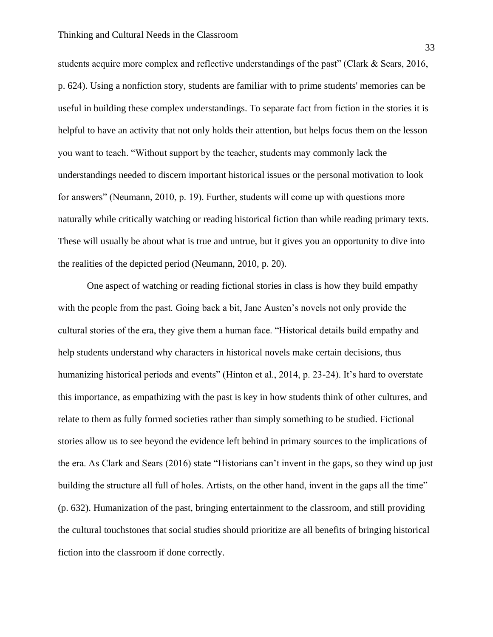students acquire more complex and reflective understandings of the past" (Clark & Sears, 2016, p. 624). Using a nonfiction story, students are familiar with to prime students' memories can be useful in building these complex understandings. To separate fact from fiction in the stories it is helpful to have an activity that not only holds their attention, but helps focus them on the lesson you want to teach. "Without support by the teacher, students may commonly lack the understandings needed to discern important historical issues or the personal motivation to look for answers" (Neumann, 2010, p. 19). Further, students will come up with questions more naturally while critically watching or reading historical fiction than while reading primary texts. These will usually be about what is true and untrue, but it gives you an opportunity to dive into the realities of the depicted period (Neumann, 2010, p. 20).

One aspect of watching or reading fictional stories in class is how they build empathy with the people from the past. Going back a bit, Jane Austen's novels not only provide the cultural stories of the era, they give them a human face. "Historical details build empathy and help students understand why characters in historical novels make certain decisions, thus humanizing historical periods and events" (Hinton et al., 2014, p. 23-24). It's hard to overstate this importance, as empathizing with the past is key in how students think of other cultures, and relate to them as fully formed societies rather than simply something to be studied. Fictional stories allow us to see beyond the evidence left behind in primary sources to the implications of the era. As Clark and Sears (2016) state "Historians can't invent in the gaps, so they wind up just building the structure all full of holes. Artists, on the other hand, invent in the gaps all the time" (p. 632). Humanization of the past, bringing entertainment to the classroom, and still providing the cultural touchstones that social studies should prioritize are all benefits of bringing historical fiction into the classroom if done correctly.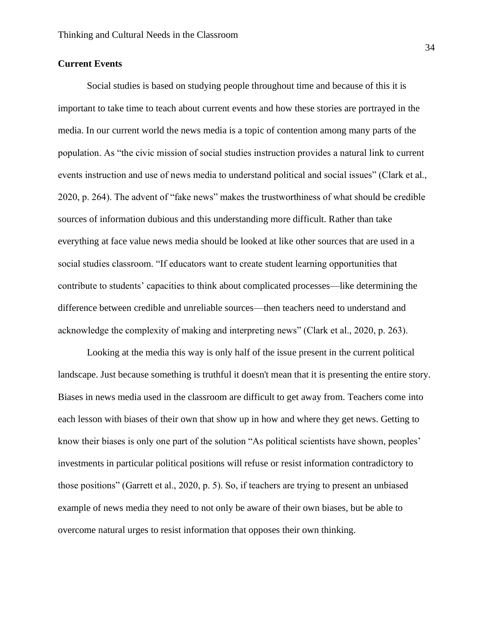# **Current Events**

Social studies is based on studying people throughout time and because of this it is important to take time to teach about current events and how these stories are portrayed in the media. In our current world the news media is a topic of contention among many parts of the population. As "the civic mission of social studies instruction provides a natural link to current events instruction and use of news media to understand political and social issues" (Clark et al., 2020, p. 264). The advent of "fake news" makes the trustworthiness of what should be credible sources of information dubious and this understanding more difficult. Rather than take everything at face value news media should be looked at like other sources that are used in a social studies classroom. "If educators want to create student learning opportunities that contribute to students' capacities to think about complicated processes—like determining the difference between credible and unreliable sources—then teachers need to understand and acknowledge the complexity of making and interpreting news" (Clark et al., 2020, p. 263).

Looking at the media this way is only half of the issue present in the current political landscape. Just because something is truthful it doesn't mean that it is presenting the entire story. Biases in news media used in the classroom are difficult to get away from. Teachers come into each lesson with biases of their own that show up in how and where they get news. Getting to know their biases is only one part of the solution "As political scientists have shown, peoples' investments in particular political positions will refuse or resist information contradictory to those positions" (Garrett et al., 2020, p. 5). So, if teachers are trying to present an unbiased example of news media they need to not only be aware of their own biases, but be able to overcome natural urges to resist information that opposes their own thinking.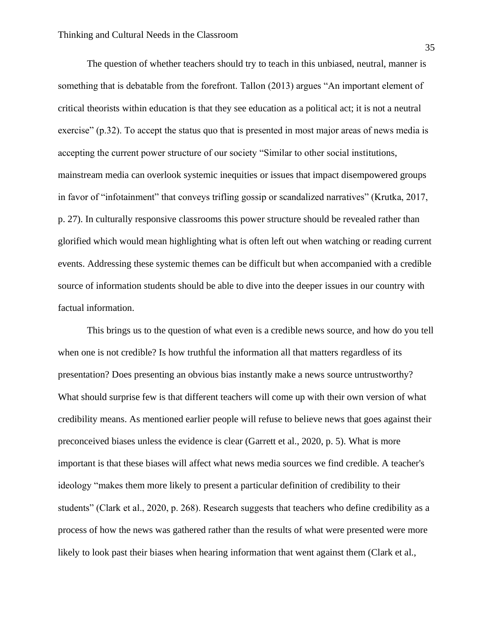The question of whether teachers should try to teach in this unbiased, neutral, manner is something that is debatable from the forefront. Tallon (2013) argues "An important element of critical theorists within education is that they see education as a political act; it is not a neutral exercise" (p.32). To accept the status quo that is presented in most major areas of news media is accepting the current power structure of our society "Similar to other social institutions, mainstream media can overlook systemic inequities or issues that impact disempowered groups in favor of "infotainment" that conveys trifling gossip or scandalized narratives" (Krutka, 2017, p. 27). In culturally responsive classrooms this power structure should be revealed rather than glorified which would mean highlighting what is often left out when watching or reading current events. Addressing these systemic themes can be difficult but when accompanied with a credible source of information students should be able to dive into the deeper issues in our country with factual information.

This brings us to the question of what even is a credible news source, and how do you tell when one is not credible? Is how truthful the information all that matters regardless of its presentation? Does presenting an obvious bias instantly make a news source untrustworthy? What should surprise few is that different teachers will come up with their own version of what credibility means. As mentioned earlier people will refuse to believe news that goes against their preconceived biases unless the evidence is clear (Garrett et al., 2020, p. 5). What is more important is that these biases will affect what news media sources we find credible. A teacher's ideology "makes them more likely to present a particular definition of credibility to their students" (Clark et al., 2020, p. 268). Research suggests that teachers who define credibility as a process of how the news was gathered rather than the results of what were presented were more likely to look past their biases when hearing information that went against them (Clark et al.,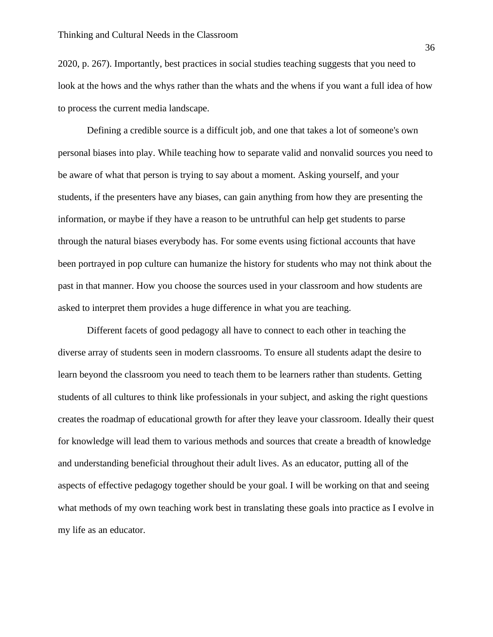2020, p. 267). Importantly, best practices in social studies teaching suggests that you need to look at the hows and the whys rather than the whats and the whens if you want a full idea of how to process the current media landscape.

Defining a credible source is a difficult job, and one that takes a lot of someone's own personal biases into play. While teaching how to separate valid and nonvalid sources you need to be aware of what that person is trying to say about a moment. Asking yourself, and your students, if the presenters have any biases, can gain anything from how they are presenting the information, or maybe if they have a reason to be untruthful can help get students to parse through the natural biases everybody has. For some events using fictional accounts that have been portrayed in pop culture can humanize the history for students who may not think about the past in that manner. How you choose the sources used in your classroom and how students are asked to interpret them provides a huge difference in what you are teaching.

Different facets of good pedagogy all have to connect to each other in teaching the diverse array of students seen in modern classrooms. To ensure all students adapt the desire to learn beyond the classroom you need to teach them to be learners rather than students. Getting students of all cultures to think like professionals in your subject, and asking the right questions creates the roadmap of educational growth for after they leave your classroom. Ideally their quest for knowledge will lead them to various methods and sources that create a breadth of knowledge and understanding beneficial throughout their adult lives. As an educator, putting all of the aspects of effective pedagogy together should be your goal. I will be working on that and seeing what methods of my own teaching work best in translating these goals into practice as I evolve in my life as an educator.

36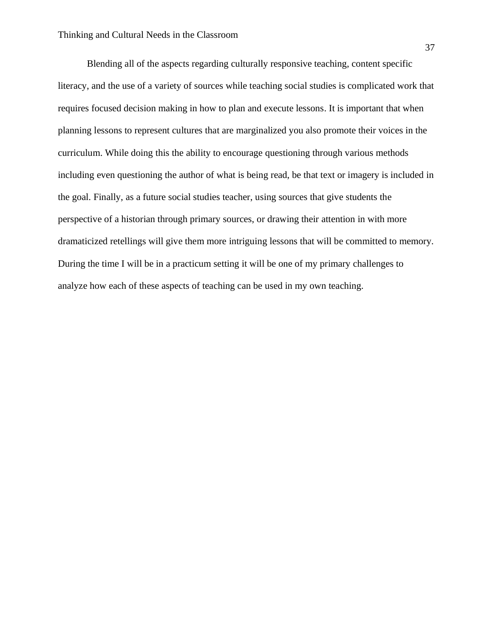Blending all of the aspects regarding culturally responsive teaching, content specific literacy, and the use of a variety of sources while teaching social studies is complicated work that requires focused decision making in how to plan and execute lessons. It is important that when planning lessons to represent cultures that are marginalized you also promote their voices in the curriculum. While doing this the ability to encourage questioning through various methods including even questioning the author of what is being read, be that text or imagery is included in the goal. Finally, as a future social studies teacher, using sources that give students the perspective of a historian through primary sources, or drawing their attention in with more dramaticized retellings will give them more intriguing lessons that will be committed to memory. During the time I will be in a practicum setting it will be one of my primary challenges to analyze how each of these aspects of teaching can be used in my own teaching.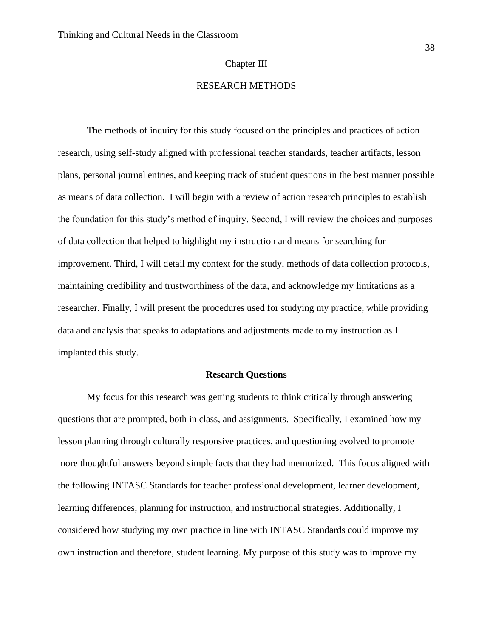#### Chapter III

# RESEARCH METHODS

The methods of inquiry for this study focused on the principles and practices of action research, using self-study aligned with professional teacher standards, teacher artifacts, lesson plans, personal journal entries, and keeping track of student questions in the best manner possible as means of data collection. I will begin with a review of action research principles to establish the foundation for this study's method of inquiry. Second, I will review the choices and purposes of data collection that helped to highlight my instruction and means for searching for improvement. Third, I will detail my context for the study, methods of data collection protocols, maintaining credibility and trustworthiness of the data, and acknowledge my limitations as a researcher. Finally, I will present the procedures used for studying my practice, while providing data and analysis that speaks to adaptations and adjustments made to my instruction as I implanted this study.

#### **Research Questions**

My focus for this research was getting students to think critically through answering questions that are prompted, both in class, and assignments. Specifically, I examined how my lesson planning through culturally responsive practices, and questioning evolved to promote more thoughtful answers beyond simple facts that they had memorized. This focus aligned with the following INTASC Standards for teacher professional development, learner development, learning differences, planning for instruction, and instructional strategies. Additionally, I considered how studying my own practice in line with INTASC Standards could improve my own instruction and therefore, student learning. My purpose of this study was to improve my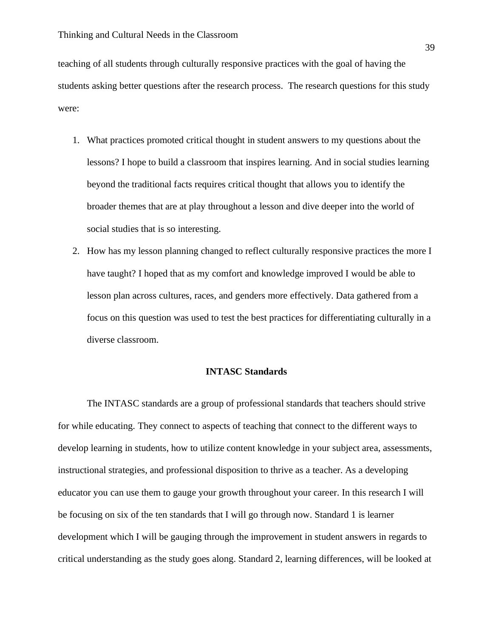teaching of all students through culturally responsive practices with the goal of having the students asking better questions after the research process. The research questions for this study were:

- 1. What practices promoted critical thought in student answers to my questions about the lessons? I hope to build a classroom that inspires learning. And in social studies learning beyond the traditional facts requires critical thought that allows you to identify the broader themes that are at play throughout a lesson and dive deeper into the world of social studies that is so interesting.
- 2. How has my lesson planning changed to reflect culturally responsive practices the more I have taught? I hoped that as my comfort and knowledge improved I would be able to lesson plan across cultures, races, and genders more effectively. Data gathered from a focus on this question was used to test the best practices for differentiating culturally in a diverse classroom.

## **INTASC Standards**

The INTASC standards are a group of professional standards that teachers should strive for while educating. They connect to aspects of teaching that connect to the different ways to develop learning in students, how to utilize content knowledge in your subject area, assessments, instructional strategies, and professional disposition to thrive as a teacher. As a developing educator you can use them to gauge your growth throughout your career. In this research I will be focusing on six of the ten standards that I will go through now. Standard 1 is learner development which I will be gauging through the improvement in student answers in regards to critical understanding as the study goes along. Standard 2, learning differences, will be looked at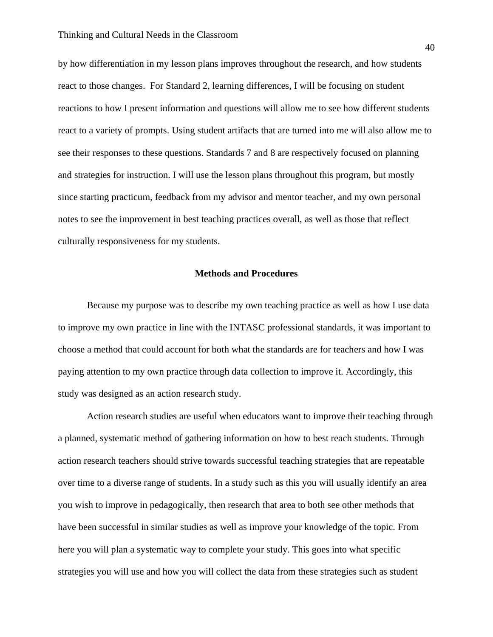by how differentiation in my lesson plans improves throughout the research, and how students react to those changes. For Standard 2, learning differences, I will be focusing on student reactions to how I present information and questions will allow me to see how different students react to a variety of prompts. Using student artifacts that are turned into me will also allow me to see their responses to these questions. Standards 7 and 8 are respectively focused on planning and strategies for instruction. I will use the lesson plans throughout this program, but mostly since starting practicum, feedback from my advisor and mentor teacher, and my own personal notes to see the improvement in best teaching practices overall, as well as those that reflect culturally responsiveness for my students.

#### **Methods and Procedures**

Because my purpose was to describe my own teaching practice as well as how I use data to improve my own practice in line with the INTASC professional standards, it was important to choose a method that could account for both what the standards are for teachers and how I was paying attention to my own practice through data collection to improve it. Accordingly, this study was designed as an action research study.

Action research studies are useful when educators want to improve their teaching through a planned, systematic method of gathering information on how to best reach students. Through action research teachers should strive towards successful teaching strategies that are repeatable over time to a diverse range of students. In a study such as this you will usually identify an area you wish to improve in pedagogically, then research that area to both see other methods that have been successful in similar studies as well as improve your knowledge of the topic. From here you will plan a systematic way to complete your study. This goes into what specific strategies you will use and how you will collect the data from these strategies such as student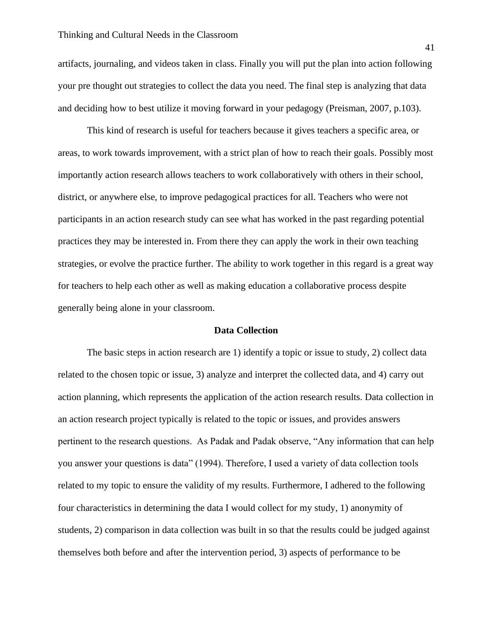artifacts, journaling, and videos taken in class. Finally you will put the plan into action following your pre thought out strategies to collect the data you need. The final step is analyzing that data and deciding how to best utilize it moving forward in your pedagogy (Preisman, 2007, p.103).

This kind of research is useful for teachers because it gives teachers a specific area, or areas, to work towards improvement, with a strict plan of how to reach their goals. Possibly most importantly action research allows teachers to work collaboratively with others in their school, district, or anywhere else, to improve pedagogical practices for all. Teachers who were not participants in an action research study can see what has worked in the past regarding potential practices they may be interested in. From there they can apply the work in their own teaching strategies, or evolve the practice further. The ability to work together in this regard is a great way for teachers to help each other as well as making education a collaborative process despite generally being alone in your classroom.

#### **Data Collection**

The basic steps in action research are 1) identify a topic or issue to study, 2) collect data related to the chosen topic or issue, 3) analyze and interpret the collected data, and 4) carry out action planning, which represents the application of the action research results. Data collection in an action research project typically is related to the topic or issues, and provides answers pertinent to the research questions. As Padak and Padak observe, "Any information that can help you answer your questions is data" (1994). Therefore, I used a variety of data collection tools related to my topic to ensure the validity of my results. Furthermore, I adhered to the following four characteristics in determining the data I would collect for my study, 1) anonymity of students, 2) comparison in data collection was built in so that the results could be judged against themselves both before and after the intervention period, 3) aspects of performance to be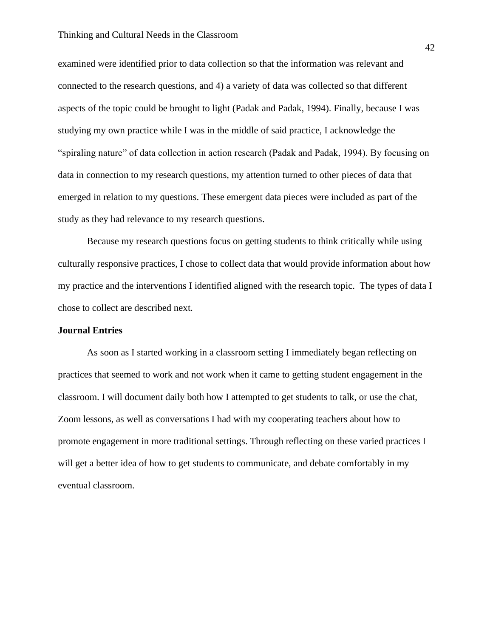#### Thinking and Cultural Needs in the Classroom

examined were identified prior to data collection so that the information was relevant and connected to the research questions, and 4) a variety of data was collected so that different aspects of the topic could be brought to light (Padak and Padak, 1994). Finally, because I was studying my own practice while I was in the middle of said practice, I acknowledge the "spiraling nature" of data collection in action research (Padak and Padak, 1994). By focusing on data in connection to my research questions, my attention turned to other pieces of data that emerged in relation to my questions. These emergent data pieces were included as part of the study as they had relevance to my research questions.

Because my research questions focus on getting students to think critically while using culturally responsive practices, I chose to collect data that would provide information about how my practice and the interventions I identified aligned with the research topic. The types of data I chose to collect are described next.

#### **Journal Entries**

As soon as I started working in a classroom setting I immediately began reflecting on practices that seemed to work and not work when it came to getting student engagement in the classroom. I will document daily both how I attempted to get students to talk, or use the chat, Zoom lessons, as well as conversations I had with my cooperating teachers about how to promote engagement in more traditional settings. Through reflecting on these varied practices I will get a better idea of how to get students to communicate, and debate comfortably in my eventual classroom.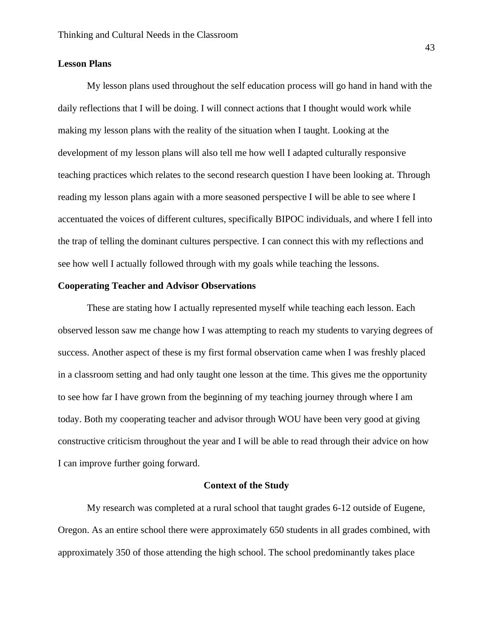## **Lesson Plans**

My lesson plans used throughout the self education process will go hand in hand with the daily reflections that I will be doing. I will connect actions that I thought would work while making my lesson plans with the reality of the situation when I taught. Looking at the development of my lesson plans will also tell me how well I adapted culturally responsive teaching practices which relates to the second research question I have been looking at. Through reading my lesson plans again with a more seasoned perspective I will be able to see where I accentuated the voices of different cultures, specifically BIPOC individuals, and where I fell into the trap of telling the dominant cultures perspective. I can connect this with my reflections and see how well I actually followed through with my goals while teaching the lessons.

#### **Cooperating Teacher and Advisor Observations**

These are stating how I actually represented myself while teaching each lesson. Each observed lesson saw me change how I was attempting to reach my students to varying degrees of success. Another aspect of these is my first formal observation came when I was freshly placed in a classroom setting and had only taught one lesson at the time. This gives me the opportunity to see how far I have grown from the beginning of my teaching journey through where I am today. Both my cooperating teacher and advisor through WOU have been very good at giving constructive criticism throughout the year and I will be able to read through their advice on how I can improve further going forward.

#### **Context of the Study**

My research was completed at a rural school that taught grades 6-12 outside of Eugene, Oregon. As an entire school there were approximately 650 students in all grades combined, with approximately 350 of those attending the high school. The school predominantly takes place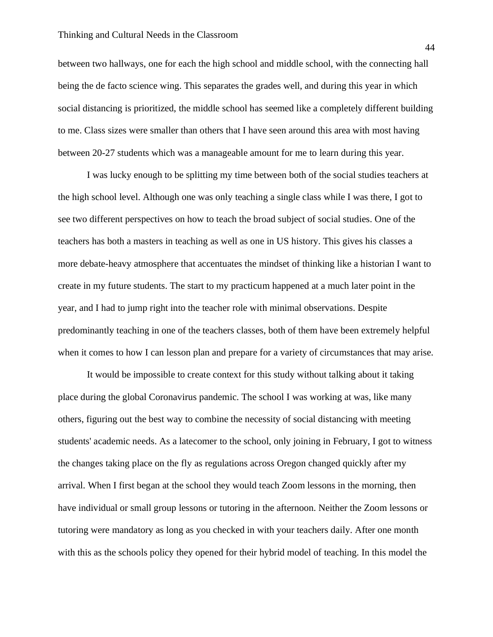#### Thinking and Cultural Needs in the Classroom

between two hallways, one for each the high school and middle school, with the connecting hall being the de facto science wing. This separates the grades well, and during this year in which social distancing is prioritized, the middle school has seemed like a completely different building to me. Class sizes were smaller than others that I have seen around this area with most having between 20-27 students which was a manageable amount for me to learn during this year.

I was lucky enough to be splitting my time between both of the social studies teachers at the high school level. Although one was only teaching a single class while I was there, I got to see two different perspectives on how to teach the broad subject of social studies. One of the teachers has both a masters in teaching as well as one in US history. This gives his classes a more debate-heavy atmosphere that accentuates the mindset of thinking like a historian I want to create in my future students. The start to my practicum happened at a much later point in the year, and I had to jump right into the teacher role with minimal observations. Despite predominantly teaching in one of the teachers classes, both of them have been extremely helpful when it comes to how I can lesson plan and prepare for a variety of circumstances that may arise.

It would be impossible to create context for this study without talking about it taking place during the global Coronavirus pandemic. The school I was working at was, like many others, figuring out the best way to combine the necessity of social distancing with meeting students' academic needs. As a latecomer to the school, only joining in February, I got to witness the changes taking place on the fly as regulations across Oregon changed quickly after my arrival. When I first began at the school they would teach Zoom lessons in the morning, then have individual or small group lessons or tutoring in the afternoon. Neither the Zoom lessons or tutoring were mandatory as long as you checked in with your teachers daily. After one month with this as the schools policy they opened for their hybrid model of teaching. In this model the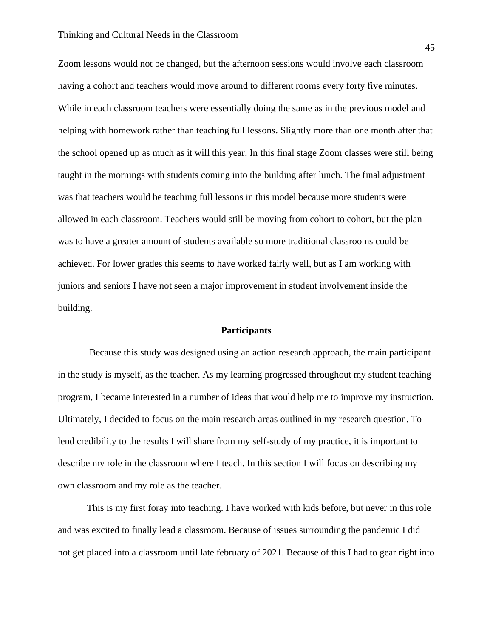Zoom lessons would not be changed, but the afternoon sessions would involve each classroom having a cohort and teachers would move around to different rooms every forty five minutes. While in each classroom teachers were essentially doing the same as in the previous model and helping with homework rather than teaching full lessons. Slightly more than one month after that the school opened up as much as it will this year. In this final stage Zoom classes were still being taught in the mornings with students coming into the building after lunch. The final adjustment was that teachers would be teaching full lessons in this model because more students were allowed in each classroom. Teachers would still be moving from cohort to cohort, but the plan was to have a greater amount of students available so more traditional classrooms could be achieved. For lower grades this seems to have worked fairly well, but as I am working with juniors and seniors I have not seen a major improvement in student involvement inside the building.

#### **Participants**

Because this study was designed using an action research approach, the main participant in the study is myself, as the teacher. As my learning progressed throughout my student teaching program, I became interested in a number of ideas that would help me to improve my instruction. Ultimately, I decided to focus on the main research areas outlined in my research question. To lend credibility to the results I will share from my self-study of my practice, it is important to describe my role in the classroom where I teach. In this section I will focus on describing my own classroom and my role as the teacher.

This is my first foray into teaching. I have worked with kids before, but never in this role and was excited to finally lead a classroom. Because of issues surrounding the pandemic I did not get placed into a classroom until late february of 2021. Because of this I had to gear right into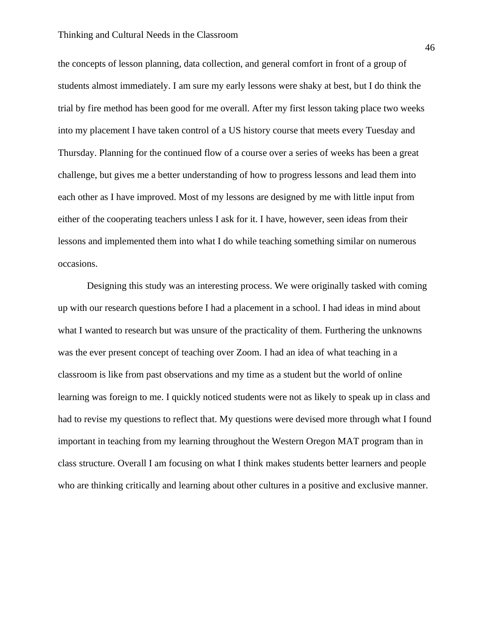#### Thinking and Cultural Needs in the Classroom

the concepts of lesson planning, data collection, and general comfort in front of a group of students almost immediately. I am sure my early lessons were shaky at best, but I do think the trial by fire method has been good for me overall. After my first lesson taking place two weeks into my placement I have taken control of a US history course that meets every Tuesday and Thursday. Planning for the continued flow of a course over a series of weeks has been a great challenge, but gives me a better understanding of how to progress lessons and lead them into each other as I have improved. Most of my lessons are designed by me with little input from either of the cooperating teachers unless I ask for it. I have, however, seen ideas from their lessons and implemented them into what I do while teaching something similar on numerous occasions.

Designing this study was an interesting process. We were originally tasked with coming up with our research questions before I had a placement in a school. I had ideas in mind about what I wanted to research but was unsure of the practicality of them. Furthering the unknowns was the ever present concept of teaching over Zoom. I had an idea of what teaching in a classroom is like from past observations and my time as a student but the world of online learning was foreign to me. I quickly noticed students were not as likely to speak up in class and had to revise my questions to reflect that. My questions were devised more through what I found important in teaching from my learning throughout the Western Oregon MAT program than in class structure. Overall I am focusing on what I think makes students better learners and people who are thinking critically and learning about other cultures in a positive and exclusive manner.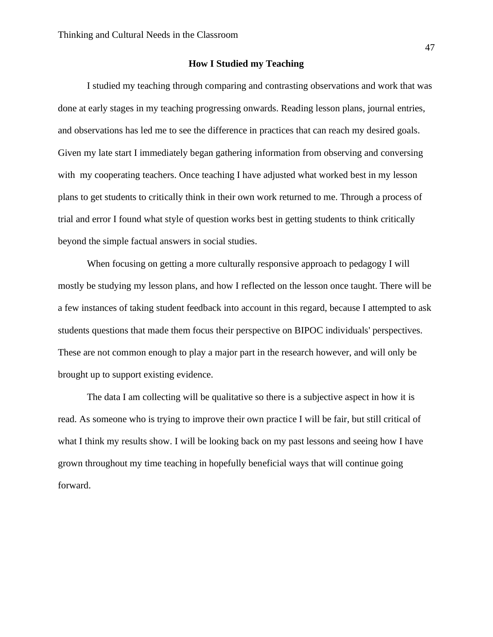#### **How I Studied my Teaching**

I studied my teaching through comparing and contrasting observations and work that was done at early stages in my teaching progressing onwards. Reading lesson plans, journal entries, and observations has led me to see the difference in practices that can reach my desired goals. Given my late start I immediately began gathering information from observing and conversing with my cooperating teachers. Once teaching I have adjusted what worked best in my lesson plans to get students to critically think in their own work returned to me. Through a process of trial and error I found what style of question works best in getting students to think critically beyond the simple factual answers in social studies.

When focusing on getting a more culturally responsive approach to pedagogy I will mostly be studying my lesson plans, and how I reflected on the lesson once taught. There will be a few instances of taking student feedback into account in this regard, because I attempted to ask students questions that made them focus their perspective on BIPOC individuals' perspectives. These are not common enough to play a major part in the research however, and will only be brought up to support existing evidence.

The data I am collecting will be qualitative so there is a subjective aspect in how it is read. As someone who is trying to improve their own practice I will be fair, but still critical of what I think my results show. I will be looking back on my past lessons and seeing how I have grown throughout my time teaching in hopefully beneficial ways that will continue going forward.

47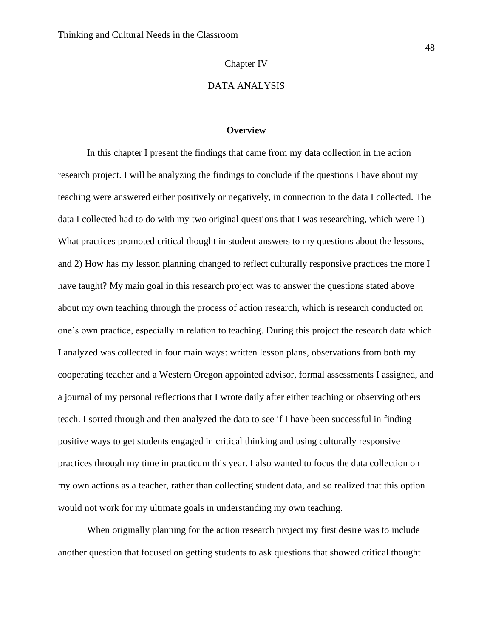#### Chapter IV

## DATA ANALYSIS

#### **Overview**

In this chapter I present the findings that came from my data collection in the action research project. I will be analyzing the findings to conclude if the questions I have about my teaching were answered either positively or negatively, in connection to the data I collected. The data I collected had to do with my two original questions that I was researching, which were 1) What practices promoted critical thought in student answers to my questions about the lessons, and 2) How has my lesson planning changed to reflect culturally responsive practices the more I have taught? My main goal in this research project was to answer the questions stated above about my own teaching through the process of action research, which is research conducted on one's own practice, especially in relation to teaching. During this project the research data which I analyzed was collected in four main ways: written lesson plans, observations from both my cooperating teacher and a Western Oregon appointed advisor, formal assessments I assigned, and a journal of my personal reflections that I wrote daily after either teaching or observing others teach. I sorted through and then analyzed the data to see if I have been successful in finding positive ways to get students engaged in critical thinking and using culturally responsive practices through my time in practicum this year. I also wanted to focus the data collection on my own actions as a teacher, rather than collecting student data, and so realized that this option would not work for my ultimate goals in understanding my own teaching.

When originally planning for the action research project my first desire was to include another question that focused on getting students to ask questions that showed critical thought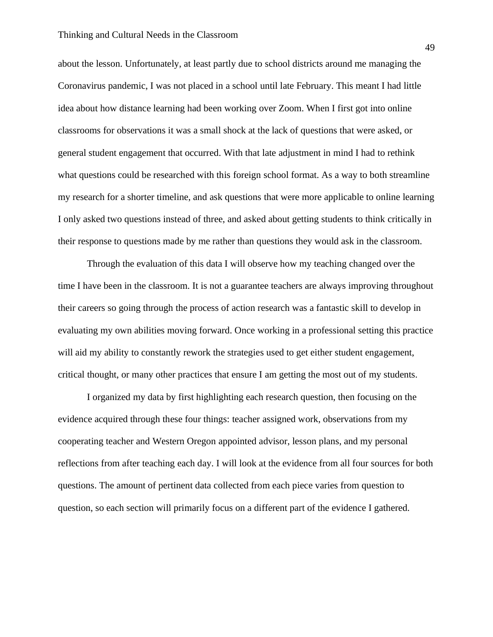about the lesson. Unfortunately, at least partly due to school districts around me managing the Coronavirus pandemic, I was not placed in a school until late February. This meant I had little idea about how distance learning had been working over Zoom. When I first got into online classrooms for observations it was a small shock at the lack of questions that were asked, or general student engagement that occurred. With that late adjustment in mind I had to rethink what questions could be researched with this foreign school format. As a way to both streamline my research for a shorter timeline, and ask questions that were more applicable to online learning I only asked two questions instead of three, and asked about getting students to think critically in their response to questions made by me rather than questions they would ask in the classroom.

Through the evaluation of this data I will observe how my teaching changed over the time I have been in the classroom. It is not a guarantee teachers are always improving throughout their careers so going through the process of action research was a fantastic skill to develop in evaluating my own abilities moving forward. Once working in a professional setting this practice will aid my ability to constantly rework the strategies used to get either student engagement, critical thought, or many other practices that ensure I am getting the most out of my students.

I organized my data by first highlighting each research question, then focusing on the evidence acquired through these four things: teacher assigned work, observations from my cooperating teacher and Western Oregon appointed advisor, lesson plans, and my personal reflections from after teaching each day. I will look at the evidence from all four sources for both questions. The amount of pertinent data collected from each piece varies from question to question, so each section will primarily focus on a different part of the evidence I gathered.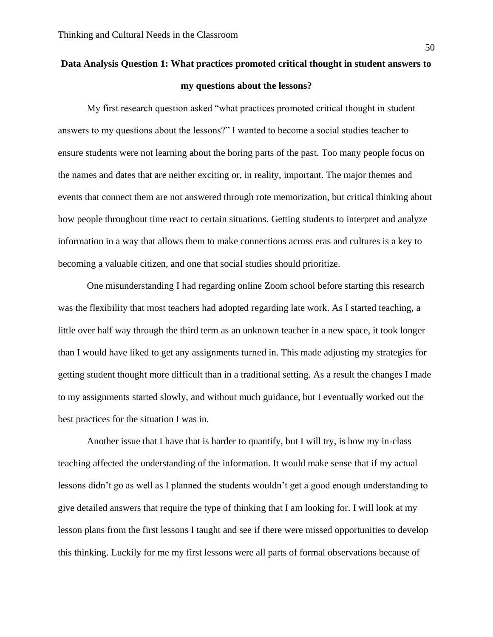# **Data Analysis Question 1: What practices promoted critical thought in student answers to my questions about the lessons?**

My first research question asked "what practices promoted critical thought in student answers to my questions about the lessons?" I wanted to become a social studies teacher to ensure students were not learning about the boring parts of the past. Too many people focus on the names and dates that are neither exciting or, in reality, important. The major themes and events that connect them are not answered through rote memorization, but critical thinking about how people throughout time react to certain situations. Getting students to interpret and analyze information in a way that allows them to make connections across eras and cultures is a key to becoming a valuable citizen, and one that social studies should prioritize.

One misunderstanding I had regarding online Zoom school before starting this research was the flexibility that most teachers had adopted regarding late work. As I started teaching, a little over half way through the third term as an unknown teacher in a new space, it took longer than I would have liked to get any assignments turned in. This made adjusting my strategies for getting student thought more difficult than in a traditional setting. As a result the changes I made to my assignments started slowly, and without much guidance, but I eventually worked out the best practices for the situation I was in.

Another issue that I have that is harder to quantify, but I will try, is how my in-class teaching affected the understanding of the information. It would make sense that if my actual lessons didn't go as well as I planned the students wouldn't get a good enough understanding to give detailed answers that require the type of thinking that I am looking for. I will look at my lesson plans from the first lessons I taught and see if there were missed opportunities to develop this thinking. Luckily for me my first lessons were all parts of formal observations because of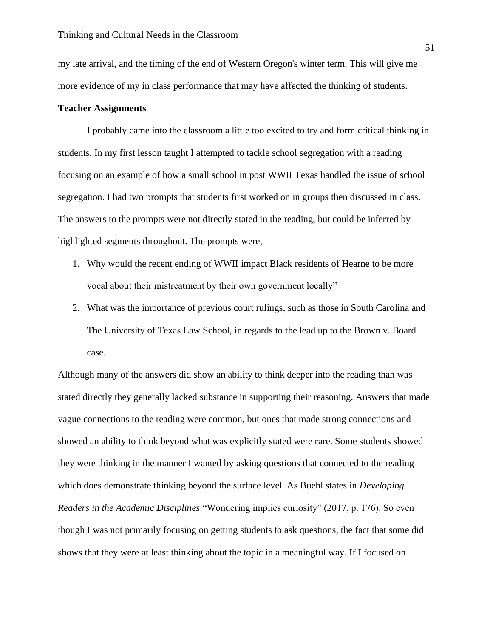my late arrival, and the timing of the end of Western Oregon's winter term. This will give me more evidence of my in class performance that may have affected the thinking of students.

#### **Teacher Assignments**

I probably came into the classroom a little too excited to try and form critical thinking in students. In my first lesson taught I attempted to tackle school segregation with a reading focusing on an example of how a small school in post WWII Texas handled the issue of school segregation. I had two prompts that students first worked on in groups then discussed in class. The answers to the prompts were not directly stated in the reading, but could be inferred by highlighted segments throughout. The prompts were,

- 1. Why would the recent ending of WWII impact Black residents of Hearne to be more vocal about their mistreatment by their own government locally"
- 2. What was the importance of previous court rulings, such as those in South Carolina and The University of Texas Law School, in regards to the lead up to the Brown v. Board case.

Although many of the answers did show an ability to think deeper into the reading than was stated directly they generally lacked substance in supporting their reasoning. Answers that made vague connections to the reading were common, but ones that made strong connections and showed an ability to think beyond what was explicitly stated were rare. Some students showed they were thinking in the manner I wanted by asking questions that connected to the reading which does demonstrate thinking beyond the surface level. As Buehl states in *Developing Readers in the Academic Disciplines* "Wondering implies curiosity" (2017, p. 176). So even though I was not primarily focusing on getting students to ask questions, the fact that some did shows that they were at least thinking about the topic in a meaningful way. If I focused on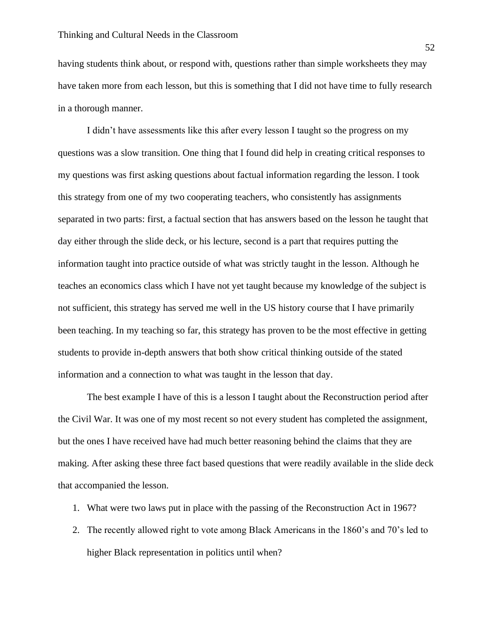having students think about, or respond with, questions rather than simple worksheets they may have taken more from each lesson, but this is something that I did not have time to fully research in a thorough manner.

I didn't have assessments like this after every lesson I taught so the progress on my questions was a slow transition. One thing that I found did help in creating critical responses to my questions was first asking questions about factual information regarding the lesson. I took this strategy from one of my two cooperating teachers, who consistently has assignments separated in two parts: first, a factual section that has answers based on the lesson he taught that day either through the slide deck, or his lecture, second is a part that requires putting the information taught into practice outside of what was strictly taught in the lesson. Although he teaches an economics class which I have not yet taught because my knowledge of the subject is not sufficient, this strategy has served me well in the US history course that I have primarily been teaching. In my teaching so far, this strategy has proven to be the most effective in getting students to provide in-depth answers that both show critical thinking outside of the stated information and a connection to what was taught in the lesson that day.

The best example I have of this is a lesson I taught about the Reconstruction period after the Civil War. It was one of my most recent so not every student has completed the assignment, but the ones I have received have had much better reasoning behind the claims that they are making. After asking these three fact based questions that were readily available in the slide deck that accompanied the lesson.

- 1. What were two laws put in place with the passing of the Reconstruction Act in 1967?
- 2. The recently allowed right to vote among Black Americans in the 1860's and 70's led to higher Black representation in politics until when?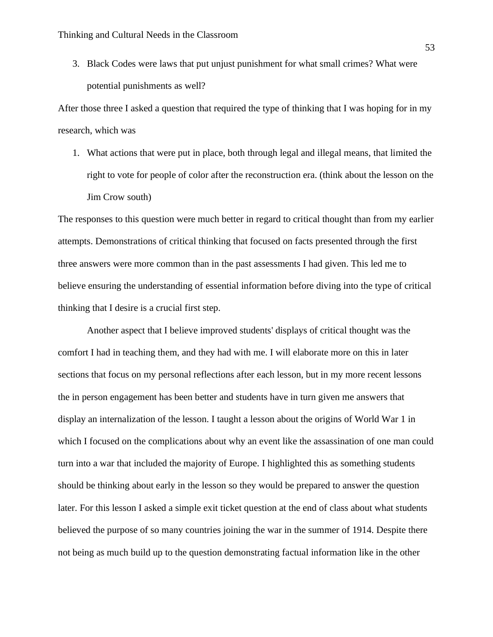3. Black Codes were laws that put unjust punishment for what small crimes? What were potential punishments as well?

After those three I asked a question that required the type of thinking that I was hoping for in my research, which was

1. What actions that were put in place, both through legal and illegal means, that limited the right to vote for people of color after the reconstruction era. (think about the lesson on the Jim Crow south)

The responses to this question were much better in regard to critical thought than from my earlier attempts. Demonstrations of critical thinking that focused on facts presented through the first three answers were more common than in the past assessments I had given. This led me to believe ensuring the understanding of essential information before diving into the type of critical thinking that I desire is a crucial first step.

Another aspect that I believe improved students' displays of critical thought was the comfort I had in teaching them, and they had with me. I will elaborate more on this in later sections that focus on my personal reflections after each lesson, but in my more recent lessons the in person engagement has been better and students have in turn given me answers that display an internalization of the lesson. I taught a lesson about the origins of World War 1 in which I focused on the complications about why an event like the assassination of one man could turn into a war that included the majority of Europe. I highlighted this as something students should be thinking about early in the lesson so they would be prepared to answer the question later. For this lesson I asked a simple exit ticket question at the end of class about what students believed the purpose of so many countries joining the war in the summer of 1914. Despite there not being as much build up to the question demonstrating factual information like in the other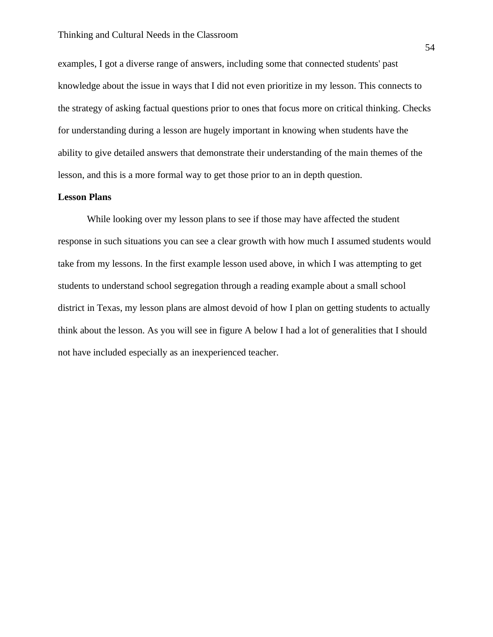examples, I got a diverse range of answers, including some that connected students' past knowledge about the issue in ways that I did not even prioritize in my lesson. This connects to the strategy of asking factual questions prior to ones that focus more on critical thinking. Checks for understanding during a lesson are hugely important in knowing when students have the ability to give detailed answers that demonstrate their understanding of the main themes of the lesson, and this is a more formal way to get those prior to an in depth question.

## **Lesson Plans**

While looking over my lesson plans to see if those may have affected the student response in such situations you can see a clear growth with how much I assumed students would take from my lessons. In the first example lesson used above, in which I was attempting to get students to understand school segregation through a reading example about a small school district in Texas, my lesson plans are almost devoid of how I plan on getting students to actually think about the lesson. As you will see in figure A below I had a lot of generalities that I should not have included especially as an inexperienced teacher.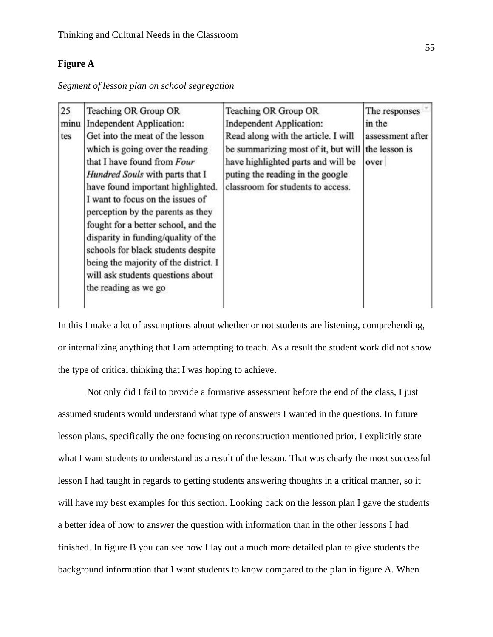# **Figure A**

| Segment of lesson plan on school segregation |  |  |  |  |
|----------------------------------------------|--|--|--|--|
|                                              |  |  |  |  |

| 25<br>minu<br>tes | Teaching OR Group OR<br>Independent Application:<br>Get into the meat of the lesson<br>which is going over the reading<br>that I have found from Four<br>Hundred Souls with parts that I<br>have found important highlighted.<br>I want to focus on the issues of<br>perception by the parents as they<br>fought for a better school, and the<br>disparity in funding/quality of the<br>schools for black students despite<br>being the majority of the district. I<br>will ask students questions about<br>the reading as we go | Teaching OR Group OR<br>Independent Application:<br>Read along with the article. I will<br>be summarizing most of it, but will<br>have highlighted parts and will be<br>puting the reading in the google<br>classroom for students to access. | The responses<br>in the<br>assessment after<br>the lesson is<br>over |
|-------------------|----------------------------------------------------------------------------------------------------------------------------------------------------------------------------------------------------------------------------------------------------------------------------------------------------------------------------------------------------------------------------------------------------------------------------------------------------------------------------------------------------------------------------------|-----------------------------------------------------------------------------------------------------------------------------------------------------------------------------------------------------------------------------------------------|----------------------------------------------------------------------|
|                   |                                                                                                                                                                                                                                                                                                                                                                                                                                                                                                                                  |                                                                                                                                                                                                                                               |                                                                      |

In this I make a lot of assumptions about whether or not students are listening, comprehending, or internalizing anything that I am attempting to teach. As a result the student work did not show the type of critical thinking that I was hoping to achieve.

Not only did I fail to provide a formative assessment before the end of the class, I just assumed students would understand what type of answers I wanted in the questions. In future lesson plans, specifically the one focusing on reconstruction mentioned prior, I explicitly state what I want students to understand as a result of the lesson. That was clearly the most successful lesson I had taught in regards to getting students answering thoughts in a critical manner, so it will have my best examples for this section. Looking back on the lesson plan I gave the students a better idea of how to answer the question with information than in the other lessons I had finished. In figure B you can see how I lay out a much more detailed plan to give students the background information that I want students to know compared to the plan in figure A. When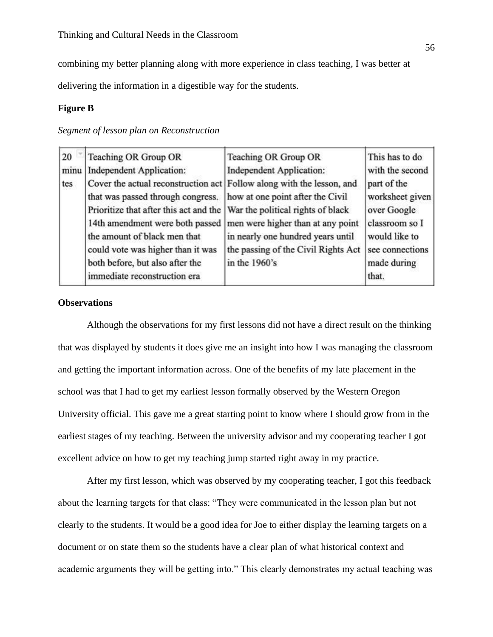combining my better planning along with more experience in class teaching, I was better at

delivering the information in a digestible way for the students.

## **Figure B**

## *Segment of lesson plan on Reconstruction*

| 20   | <b>Teaching OR Group OR</b>                                                                                | Teaching OR Group OR                | This has to do                 |
|------|------------------------------------------------------------------------------------------------------------|-------------------------------------|--------------------------------|
| minu | <b>Independent Application:</b>                                                                            | <b>Independent Application:</b>     | with the second                |
| tes  | Cover the actual reconstruction act Follow along with the lesson, and<br>that was passed through congress. | how at one point after the Civil    | part of the<br>worksheet given |
|      |                                                                                                            |                                     |                                |
|      | Prioritize that after this act and the                                                                     | War the political rights of black   | over Google                    |
|      | 14th amendment were both passed                                                                            | men were higher than at any point   | classroom so I                 |
|      | the amount of black men that                                                                               | in nearly one hundred years until   | would like to                  |
|      | could vote was higher than it was                                                                          | the passing of the Civil Rights Act | see connections                |
|      | both before, but also after the                                                                            | in the 1960's                       | made during                    |
|      | immediate reconstruction era                                                                               |                                     | that.                          |

# **Observations**

Although the observations for my first lessons did not have a direct result on the thinking that was displayed by students it does give me an insight into how I was managing the classroom and getting the important information across. One of the benefits of my late placement in the school was that I had to get my earliest lesson formally observed by the Western Oregon University official. This gave me a great starting point to know where I should grow from in the earliest stages of my teaching. Between the university advisor and my cooperating teacher I got excellent advice on how to get my teaching jump started right away in my practice.

After my first lesson, which was observed by my cooperating teacher, I got this feedback about the learning targets for that class: "They were communicated in the lesson plan but not clearly to the students. It would be a good idea for Joe to either display the learning targets on a document or on state them so the students have a clear plan of what historical context and academic arguments they will be getting into." This clearly demonstrates my actual teaching was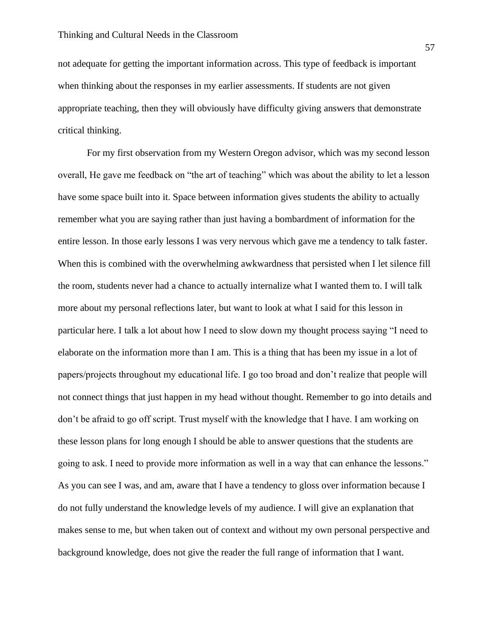not adequate for getting the important information across. This type of feedback is important when thinking about the responses in my earlier assessments. If students are not given appropriate teaching, then they will obviously have difficulty giving answers that demonstrate critical thinking.

For my first observation from my Western Oregon advisor, which was my second lesson overall, He gave me feedback on "the art of teaching" which was about the ability to let a lesson have some space built into it. Space between information gives students the ability to actually remember what you are saying rather than just having a bombardment of information for the entire lesson. In those early lessons I was very nervous which gave me a tendency to talk faster. When this is combined with the overwhelming awkwardness that persisted when I let silence fill the room, students never had a chance to actually internalize what I wanted them to. I will talk more about my personal reflections later, but want to look at what I said for this lesson in particular here. I talk a lot about how I need to slow down my thought process saying "I need to elaborate on the information more than I am. This is a thing that has been my issue in a lot of papers/projects throughout my educational life. I go too broad and don't realize that people will not connect things that just happen in my head without thought. Remember to go into details and don't be afraid to go off script. Trust myself with the knowledge that I have. I am working on these lesson plans for long enough I should be able to answer questions that the students are going to ask. I need to provide more information as well in a way that can enhance the lessons." As you can see I was, and am, aware that I have a tendency to gloss over information because I do not fully understand the knowledge levels of my audience. I will give an explanation that makes sense to me, but when taken out of context and without my own personal perspective and background knowledge, does not give the reader the full range of information that I want.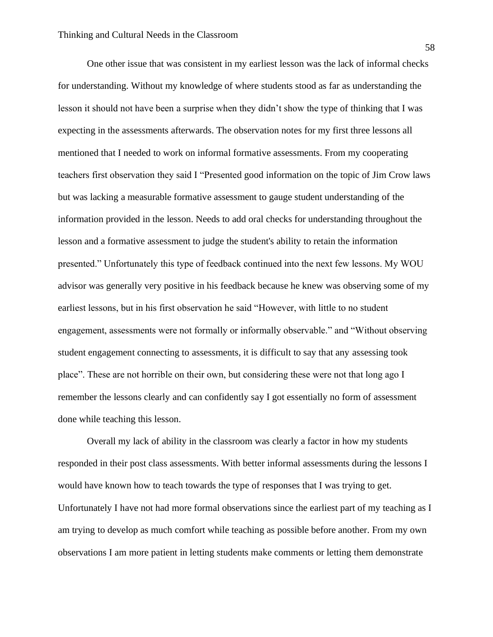One other issue that was consistent in my earliest lesson was the lack of informal checks for understanding. Without my knowledge of where students stood as far as understanding the lesson it should not have been a surprise when they didn't show the type of thinking that I was expecting in the assessments afterwards. The observation notes for my first three lessons all mentioned that I needed to work on informal formative assessments. From my cooperating teachers first observation they said I "Presented good information on the topic of Jim Crow laws but was lacking a measurable formative assessment to gauge student understanding of the information provided in the lesson. Needs to add oral checks for understanding throughout the lesson and a formative assessment to judge the student's ability to retain the information presented." Unfortunately this type of feedback continued into the next few lessons. My WOU advisor was generally very positive in his feedback because he knew was observing some of my earliest lessons, but in his first observation he said "However, with little to no student engagement, assessments were not formally or informally observable." and "Without observing student engagement connecting to assessments, it is difficult to say that any assessing took place". These are not horrible on their own, but considering these were not that long ago I remember the lessons clearly and can confidently say I got essentially no form of assessment done while teaching this lesson.

Overall my lack of ability in the classroom was clearly a factor in how my students responded in their post class assessments. With better informal assessments during the lessons I would have known how to teach towards the type of responses that I was trying to get. Unfortunately I have not had more formal observations since the earliest part of my teaching as I am trying to develop as much comfort while teaching as possible before another. From my own observations I am more patient in letting students make comments or letting them demonstrate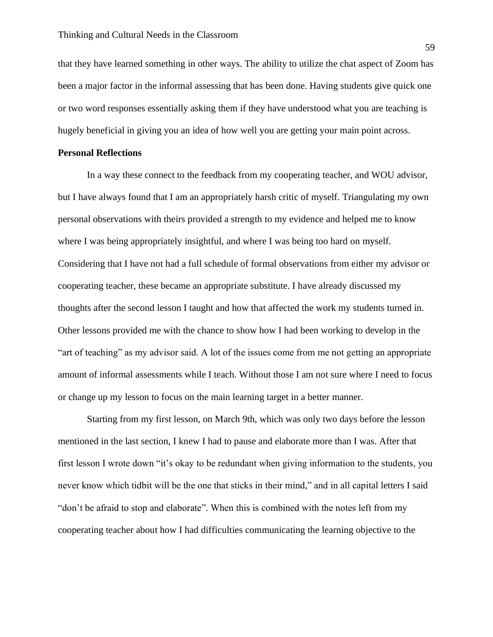that they have learned something in other ways. The ability to utilize the chat aspect of Zoom has been a major factor in the informal assessing that has been done. Having students give quick one or two word responses essentially asking them if they have understood what you are teaching is hugely beneficial in giving you an idea of how well you are getting your main point across.

#### **Personal Reflections**

In a way these connect to the feedback from my cooperating teacher, and WOU advisor, but I have always found that I am an appropriately harsh critic of myself. Triangulating my own personal observations with theirs provided a strength to my evidence and helped me to know where I was being appropriately insightful, and where I was being too hard on myself. Considering that I have not had a full schedule of formal observations from either my advisor or cooperating teacher, these became an appropriate substitute. I have already discussed my thoughts after the second lesson I taught and how that affected the work my students turned in. Other lessons provided me with the chance to show how I had been working to develop in the "art of teaching" as my advisor said. A lot of the issues come from me not getting an appropriate amount of informal assessments while I teach. Without those I am not sure where I need to focus or change up my lesson to focus on the main learning target in a better manner.

Starting from my first lesson, on March 9th, which was only two days before the lesson mentioned in the last section, I knew I had to pause and elaborate more than I was. After that first lesson I wrote down "it's okay to be redundant when giving information to the students, you never know which tidbit will be the one that sticks in their mind," and in all capital letters I said "don't be afraid to stop and elaborate". When this is combined with the notes left from my cooperating teacher about how I had difficulties communicating the learning objective to the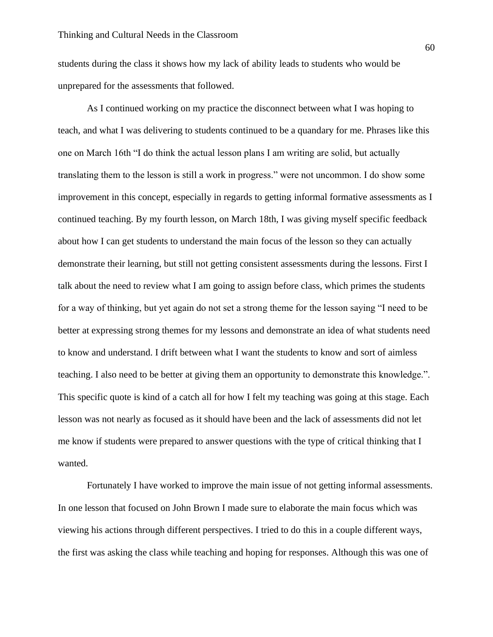students during the class it shows how my lack of ability leads to students who would be unprepared for the assessments that followed.

As I continued working on my practice the disconnect between what I was hoping to teach, and what I was delivering to students continued to be a quandary for me. Phrases like this one on March 16th "I do think the actual lesson plans I am writing are solid, but actually translating them to the lesson is still a work in progress." were not uncommon. I do show some improvement in this concept, especially in regards to getting informal formative assessments as I continued teaching. By my fourth lesson, on March 18th, I was giving myself specific feedback about how I can get students to understand the main focus of the lesson so they can actually demonstrate their learning, but still not getting consistent assessments during the lessons. First I talk about the need to review what I am going to assign before class, which primes the students for a way of thinking, but yet again do not set a strong theme for the lesson saying "I need to be better at expressing strong themes for my lessons and demonstrate an idea of what students need to know and understand. I drift between what I want the students to know and sort of aimless teaching. I also need to be better at giving them an opportunity to demonstrate this knowledge.". This specific quote is kind of a catch all for how I felt my teaching was going at this stage. Each lesson was not nearly as focused as it should have been and the lack of assessments did not let me know if students were prepared to answer questions with the type of critical thinking that I wanted.

Fortunately I have worked to improve the main issue of not getting informal assessments. In one lesson that focused on John Brown I made sure to elaborate the main focus which was viewing his actions through different perspectives. I tried to do this in a couple different ways, the first was asking the class while teaching and hoping for responses. Although this was one of

60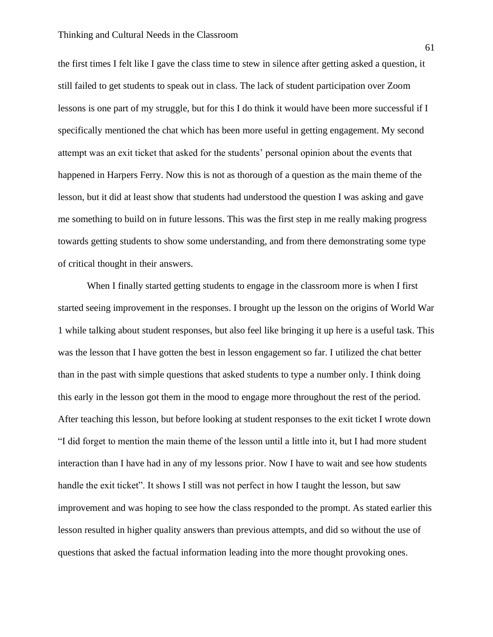#### Thinking and Cultural Needs in the Classroom

the first times I felt like I gave the class time to stew in silence after getting asked a question, it still failed to get students to speak out in class. The lack of student participation over Zoom lessons is one part of my struggle, but for this I do think it would have been more successful if I specifically mentioned the chat which has been more useful in getting engagement. My second attempt was an exit ticket that asked for the students' personal opinion about the events that happened in Harpers Ferry. Now this is not as thorough of a question as the main theme of the lesson, but it did at least show that students had understood the question I was asking and gave me something to build on in future lessons. This was the first step in me really making progress towards getting students to show some understanding, and from there demonstrating some type of critical thought in their answers.

When I finally started getting students to engage in the classroom more is when I first started seeing improvement in the responses. I brought up the lesson on the origins of World War 1 while talking about student responses, but also feel like bringing it up here is a useful task. This was the lesson that I have gotten the best in lesson engagement so far. I utilized the chat better than in the past with simple questions that asked students to type a number only. I think doing this early in the lesson got them in the mood to engage more throughout the rest of the period. After teaching this lesson, but before looking at student responses to the exit ticket I wrote down "I did forget to mention the main theme of the lesson until a little into it, but I had more student interaction than I have had in any of my lessons prior. Now I have to wait and see how students handle the exit ticket". It shows I still was not perfect in how I taught the lesson, but saw improvement and was hoping to see how the class responded to the prompt. As stated earlier this lesson resulted in higher quality answers than previous attempts, and did so without the use of questions that asked the factual information leading into the more thought provoking ones.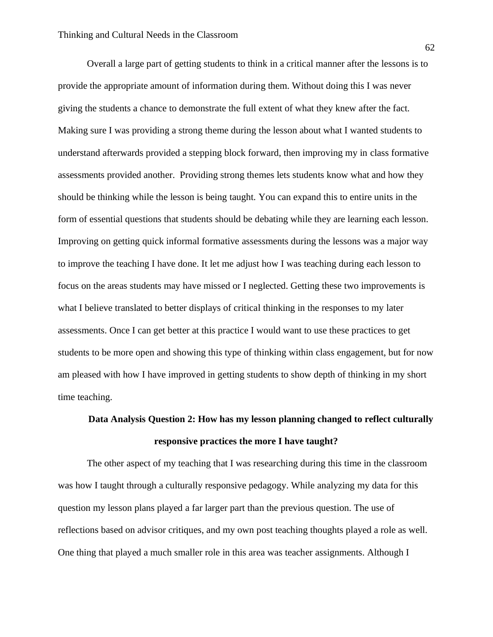Overall a large part of getting students to think in a critical manner after the lessons is to provide the appropriate amount of information during them. Without doing this I was never giving the students a chance to demonstrate the full extent of what they knew after the fact. Making sure I was providing a strong theme during the lesson about what I wanted students to understand afterwards provided a stepping block forward, then improving my in class formative assessments provided another. Providing strong themes lets students know what and how they should be thinking while the lesson is being taught. You can expand this to entire units in the form of essential questions that students should be debating while they are learning each lesson. Improving on getting quick informal formative assessments during the lessons was a major way to improve the teaching I have done. It let me adjust how I was teaching during each lesson to focus on the areas students may have missed or I neglected. Getting these two improvements is what I believe translated to better displays of critical thinking in the responses to my later assessments. Once I can get better at this practice I would want to use these practices to get students to be more open and showing this type of thinking within class engagement, but for now am pleased with how I have improved in getting students to show depth of thinking in my short time teaching.

# **Data Analysis Question 2: How has my lesson planning changed to reflect culturally responsive practices the more I have taught?**

The other aspect of my teaching that I was researching during this time in the classroom was how I taught through a culturally responsive pedagogy. While analyzing my data for this question my lesson plans played a far larger part than the previous question. The use of reflections based on advisor critiques, and my own post teaching thoughts played a role as well. One thing that played a much smaller role in this area was teacher assignments. Although I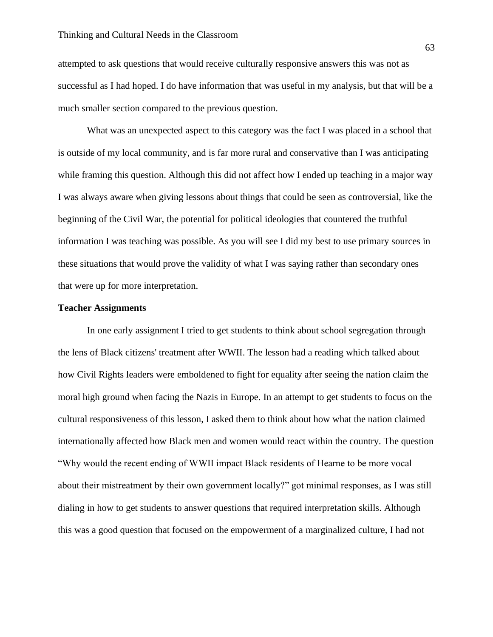attempted to ask questions that would receive culturally responsive answers this was not as successful as I had hoped. I do have information that was useful in my analysis, but that will be a much smaller section compared to the previous question.

What was an unexpected aspect to this category was the fact I was placed in a school that is outside of my local community, and is far more rural and conservative than I was anticipating while framing this question. Although this did not affect how I ended up teaching in a major way I was always aware when giving lessons about things that could be seen as controversial, like the beginning of the Civil War, the potential for political ideologies that countered the truthful information I was teaching was possible. As you will see I did my best to use primary sources in these situations that would prove the validity of what I was saying rather than secondary ones that were up for more interpretation.

#### **Teacher Assignments**

In one early assignment I tried to get students to think about school segregation through the lens of Black citizens' treatment after WWII. The lesson had a reading which talked about how Civil Rights leaders were emboldened to fight for equality after seeing the nation claim the moral high ground when facing the Nazis in Europe. In an attempt to get students to focus on the cultural responsiveness of this lesson, I asked them to think about how what the nation claimed internationally affected how Black men and women would react within the country. The question "Why would the recent ending of WWII impact Black residents of Hearne to be more vocal about their mistreatment by their own government locally?" got minimal responses, as I was still dialing in how to get students to answer questions that required interpretation skills. Although this was a good question that focused on the empowerment of a marginalized culture, I had not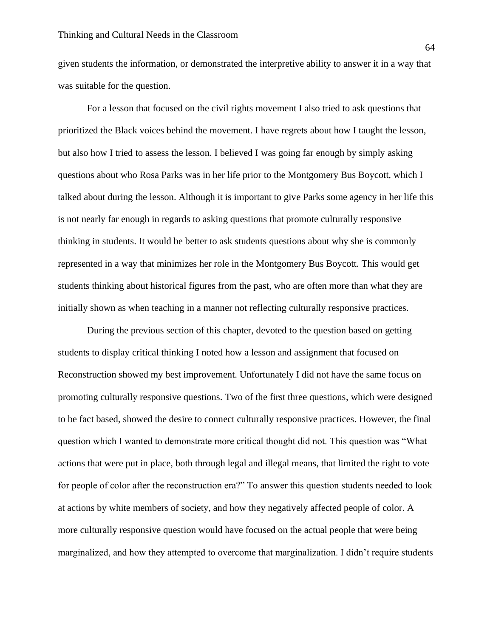given students the information, or demonstrated the interpretive ability to answer it in a way that was suitable for the question.

For a lesson that focused on the civil rights movement I also tried to ask questions that prioritized the Black voices behind the movement. I have regrets about how I taught the lesson, but also how I tried to assess the lesson. I believed I was going far enough by simply asking questions about who Rosa Parks was in her life prior to the Montgomery Bus Boycott, which I talked about during the lesson. Although it is important to give Parks some agency in her life this is not nearly far enough in regards to asking questions that promote culturally responsive thinking in students. It would be better to ask students questions about why she is commonly represented in a way that minimizes her role in the Montgomery Bus Boycott. This would get students thinking about historical figures from the past, who are often more than what they are initially shown as when teaching in a manner not reflecting culturally responsive practices.

During the previous section of this chapter, devoted to the question based on getting students to display critical thinking I noted how a lesson and assignment that focused on Reconstruction showed my best improvement. Unfortunately I did not have the same focus on promoting culturally responsive questions. Two of the first three questions, which were designed to be fact based, showed the desire to connect culturally responsive practices. However, the final question which I wanted to demonstrate more critical thought did not. This question was "What actions that were put in place, both through legal and illegal means, that limited the right to vote for people of color after the reconstruction era?" To answer this question students needed to look at actions by white members of society, and how they negatively affected people of color. A more culturally responsive question would have focused on the actual people that were being marginalized, and how they attempted to overcome that marginalization. I didn't require students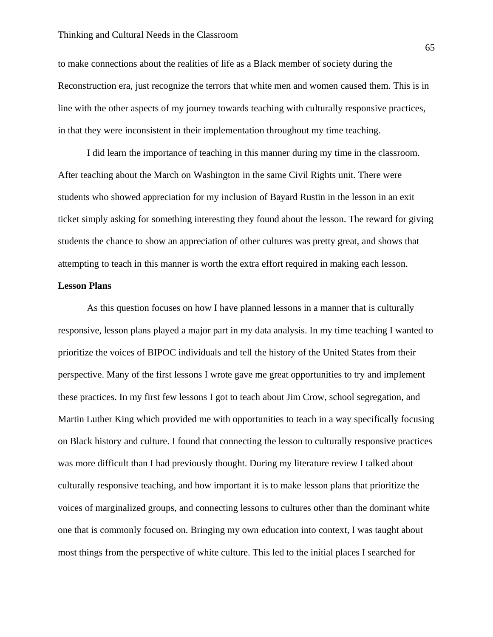to make connections about the realities of life as a Black member of society during the Reconstruction era, just recognize the terrors that white men and women caused them. This is in line with the other aspects of my journey towards teaching with culturally responsive practices, in that they were inconsistent in their implementation throughout my time teaching.

I did learn the importance of teaching in this manner during my time in the classroom. After teaching about the March on Washington in the same Civil Rights unit. There were students who showed appreciation for my inclusion of Bayard Rustin in the lesson in an exit ticket simply asking for something interesting they found about the lesson. The reward for giving students the chance to show an appreciation of other cultures was pretty great, and shows that attempting to teach in this manner is worth the extra effort required in making each lesson.

#### **Lesson Plans**

As this question focuses on how I have planned lessons in a manner that is culturally responsive, lesson plans played a major part in my data analysis. In my time teaching I wanted to prioritize the voices of BIPOC individuals and tell the history of the United States from their perspective. Many of the first lessons I wrote gave me great opportunities to try and implement these practices. In my first few lessons I got to teach about Jim Crow, school segregation, and Martin Luther King which provided me with opportunities to teach in a way specifically focusing on Black history and culture. I found that connecting the lesson to culturally responsive practices was more difficult than I had previously thought. During my literature review I talked about culturally responsive teaching, and how important it is to make lesson plans that prioritize the voices of marginalized groups, and connecting lessons to cultures other than the dominant white one that is commonly focused on. Bringing my own education into context, I was taught about most things from the perspective of white culture. This led to the initial places I searched for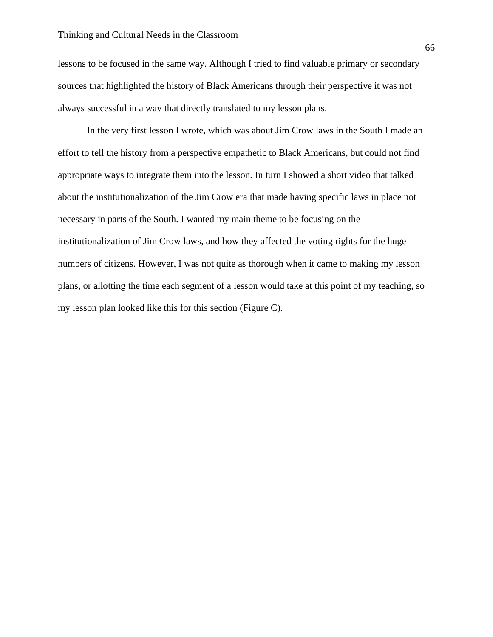lessons to be focused in the same way. Although I tried to find valuable primary or secondary sources that highlighted the history of Black Americans through their perspective it was not always successful in a way that directly translated to my lesson plans.

In the very first lesson I wrote, which was about Jim Crow laws in the South I made an effort to tell the history from a perspective empathetic to Black Americans, but could not find appropriate ways to integrate them into the lesson. In turn I showed a short video that talked about the institutionalization of the Jim Crow era that made having specific laws in place not necessary in parts of the South. I wanted my main theme to be focusing on the institutionalization of Jim Crow laws, and how they affected the voting rights for the huge numbers of citizens. However, I was not quite as thorough when it came to making my lesson plans, or allotting the time each segment of a lesson would take at this point of my teaching, so my lesson plan looked like this for this section (Figure C).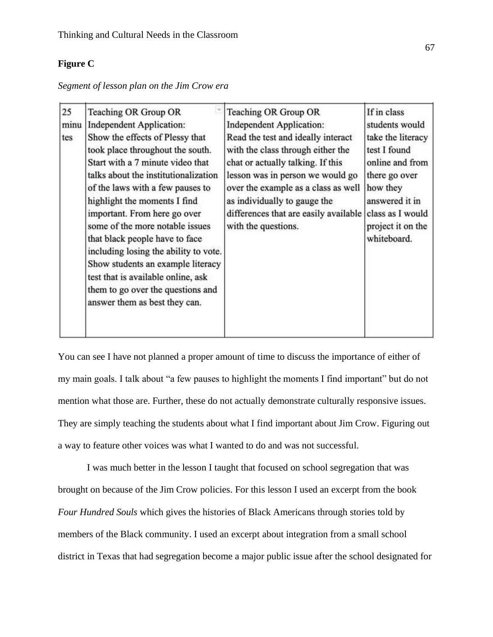# **Figure C**

| Segment of lesson plan on the Jim Crow era |  |  |  |  |
|--------------------------------------------|--|--|--|--|
|                                            |  |  |  |  |

| Show students an example literacy<br>test that is available online, ask<br>them to go over the questions and | 25<br>minu<br>tes | Teaching OR Group OR<br><b>Independent Application:</b><br>Show the effects of Plessy that<br>took place throughout the south.<br>Start with a 7 minute video that<br>talks about the institutionalization<br>of the laws with a few pauses to<br>highlight the moments I find<br>important. From here go over<br>some of the more notable issues<br>that black people have to face<br>including losing the ability to vote.<br>answer them as best they can. | Teaching OR Group OR<br><b>Independent Application:</b><br>Read the test and ideally interact<br>with the class through either the<br>chat or actually talking. If this<br>lesson was in person we would go<br>over the example as a class as well<br>as individually to gauge the<br>differences that are easily available<br>with the questions. | If in class<br>students would<br>take the literacy<br>test I found<br>online and from<br>there go over<br>how they<br>answered it in<br>class as I would<br>project it on the<br>whiteboard. |
|--------------------------------------------------------------------------------------------------------------|-------------------|---------------------------------------------------------------------------------------------------------------------------------------------------------------------------------------------------------------------------------------------------------------------------------------------------------------------------------------------------------------------------------------------------------------------------------------------------------------|----------------------------------------------------------------------------------------------------------------------------------------------------------------------------------------------------------------------------------------------------------------------------------------------------------------------------------------------------|----------------------------------------------------------------------------------------------------------------------------------------------------------------------------------------------|
|--------------------------------------------------------------------------------------------------------------|-------------------|---------------------------------------------------------------------------------------------------------------------------------------------------------------------------------------------------------------------------------------------------------------------------------------------------------------------------------------------------------------------------------------------------------------------------------------------------------------|----------------------------------------------------------------------------------------------------------------------------------------------------------------------------------------------------------------------------------------------------------------------------------------------------------------------------------------------------|----------------------------------------------------------------------------------------------------------------------------------------------------------------------------------------------|

You can see I have not planned a proper amount of time to discuss the importance of either of my main goals. I talk about "a few pauses to highlight the moments I find important" but do not mention what those are. Further, these do not actually demonstrate culturally responsive issues. They are simply teaching the students about what I find important about Jim Crow. Figuring out a way to feature other voices was what I wanted to do and was not successful.

I was much better in the lesson I taught that focused on school segregation that was brought on because of the Jim Crow policies. For this lesson I used an excerpt from the book *Four Hundred Souls* which gives the histories of Black Americans through stories told by members of the Black community. I used an excerpt about integration from a small school district in Texas that had segregation become a major public issue after the school designated for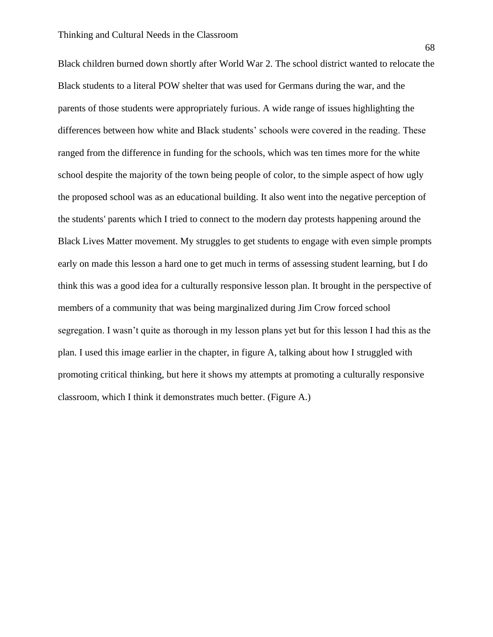Black children burned down shortly after World War 2. The school district wanted to relocate the Black students to a literal POW shelter that was used for Germans during the war, and the parents of those students were appropriately furious. A wide range of issues highlighting the differences between how white and Black students' schools were covered in the reading. These ranged from the difference in funding for the schools, which was ten times more for the white school despite the majority of the town being people of color, to the simple aspect of how ugly the proposed school was as an educational building. It also went into the negative perception of the students' parents which I tried to connect to the modern day protests happening around the Black Lives Matter movement. My struggles to get students to engage with even simple prompts early on made this lesson a hard one to get much in terms of assessing student learning, but I do think this was a good idea for a culturally responsive lesson plan. It brought in the perspective of members of a community that was being marginalized during Jim Crow forced school segregation. I wasn't quite as thorough in my lesson plans yet but for this lesson I had this as the plan. I used this image earlier in the chapter, in figure A, talking about how I struggled with promoting critical thinking, but here it shows my attempts at promoting a culturally responsive classroom, which I think it demonstrates much better. (Figure A.)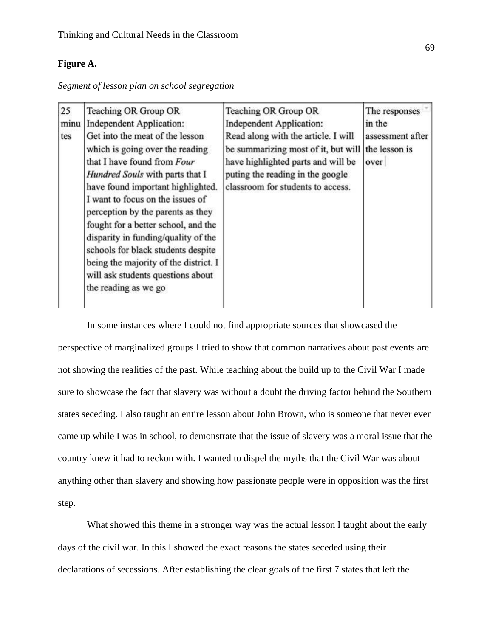## **Figure A.**

|  |  |  |  |  | Segment of lesson plan on school segregation |  |
|--|--|--|--|--|----------------------------------------------|--|
|--|--|--|--|--|----------------------------------------------|--|

| 25<br>minu<br>tes | Teaching OR Group OR<br>Independent Application:<br>Get into the meat of the lesson<br>which is going over the reading<br>that I have found from Four<br>Hundred Souls with parts that I<br>have found important highlighted.<br>I want to focus on the issues of<br>perception by the parents as they<br>fought for a better school, and the<br>disparity in funding/quality of the<br>schools for black students despite<br>being the majority of the district. I<br>will ask students questions about | Teaching OR Group OR<br><b>Independent Application:</b><br>Read along with the article. I will<br>be summarizing most of it, but will<br>have highlighted parts and will be<br>puting the reading in the google<br>classroom for students to access. | The responses<br>in the<br>assessment after<br>the lesson is<br>over |
|-------------------|----------------------------------------------------------------------------------------------------------------------------------------------------------------------------------------------------------------------------------------------------------------------------------------------------------------------------------------------------------------------------------------------------------------------------------------------------------------------------------------------------------|------------------------------------------------------------------------------------------------------------------------------------------------------------------------------------------------------------------------------------------------------|----------------------------------------------------------------------|
|                   | the reading as we go                                                                                                                                                                                                                                                                                                                                                                                                                                                                                     |                                                                                                                                                                                                                                                      |                                                                      |

In some instances where I could not find appropriate sources that showcased the perspective of marginalized groups I tried to show that common narratives about past events are not showing the realities of the past. While teaching about the build up to the Civil War I made sure to showcase the fact that slavery was without a doubt the driving factor behind the Southern states seceding. I also taught an entire lesson about John Brown, who is someone that never even came up while I was in school, to demonstrate that the issue of slavery was a moral issue that the country knew it had to reckon with. I wanted to dispel the myths that the Civil War was about anything other than slavery and showing how passionate people were in opposition was the first step.

What showed this theme in a stronger way was the actual lesson I taught about the early days of the civil war. In this I showed the exact reasons the states seceded using their declarations of secessions. After establishing the clear goals of the first 7 states that left the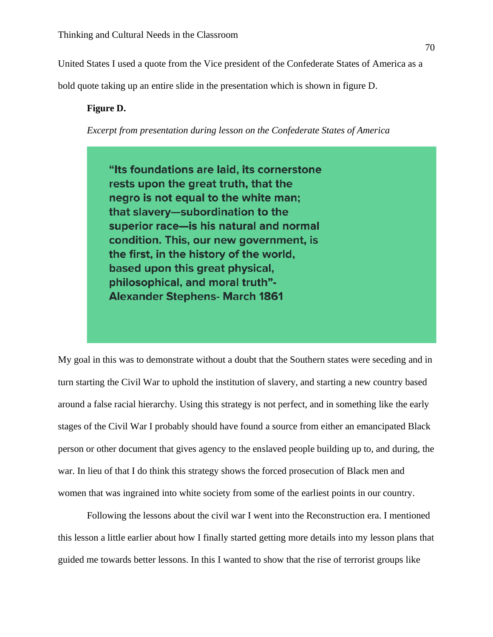United States I used a quote from the Vice president of the Confederate States of America as a

bold quote taking up an entire slide in the presentation which is shown in figure D.

### **Figure D.**

*Excerpt from presentation during lesson on the Confederate States of America*

"Its foundations are laid, its cornerstone rests upon the great truth, that the negro is not equal to the white man; that slavery-subordination to the superior race-is his natural and normal condition. This, our new government, is the first, in the history of the world, based upon this great physical, philosophical, and moral truth"-**Alexander Stephens- March 1861** 

My goal in this was to demonstrate without a doubt that the Southern states were seceding and in turn starting the Civil War to uphold the institution of slavery, and starting a new country based around a false racial hierarchy. Using this strategy is not perfect, and in something like the early stages of the Civil War I probably should have found a source from either an emancipated Black person or other document that gives agency to the enslaved people building up to, and during, the war. In lieu of that I do think this strategy shows the forced prosecution of Black men and women that was ingrained into white society from some of the earliest points in our country.

Following the lessons about the civil war I went into the Reconstruction era. I mentioned this lesson a little earlier about how I finally started getting more details into my lesson plans that guided me towards better lessons. In this I wanted to show that the rise of terrorist groups like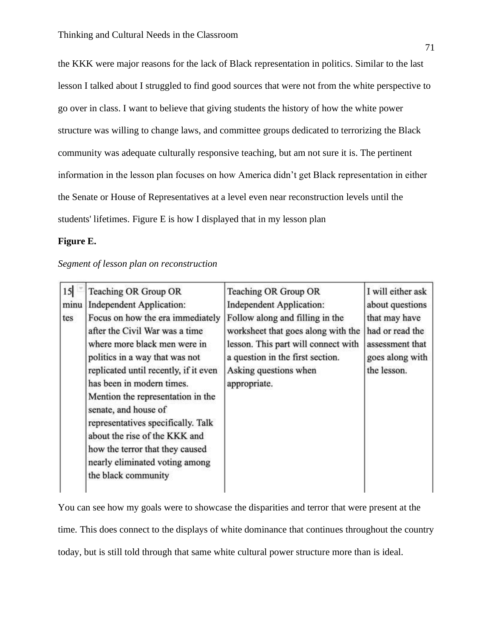the KKK were major reasons for the lack of Black representation in politics. Similar to the last lesson I talked about I struggled to find good sources that were not from the white perspective to go over in class. I want to believe that giving students the history of how the white power structure was willing to change laws, and committee groups dedicated to terrorizing the Black community was adequate culturally responsive teaching, but am not sure it is. The pertinent information in the lesson plan focuses on how America didn't get Black representation in either the Senate or House of Representatives at a level even near reconstruction levels until the students' lifetimes. Figure E is how I displayed that in my lesson plan

#### **Figure E.**

#### *Segment of lesson plan on reconstruction*

| 15   | Teaching OR Group OR                                                                                                                                                                                                                                                                                                                                                                                                                       | Teaching OR Group OR                                                                                                                                                                      | I will either ask                                                                     |
|------|--------------------------------------------------------------------------------------------------------------------------------------------------------------------------------------------------------------------------------------------------------------------------------------------------------------------------------------------------------------------------------------------------------------------------------------------|-------------------------------------------------------------------------------------------------------------------------------------------------------------------------------------------|---------------------------------------------------------------------------------------|
| minu | <b>Independent Application:</b>                                                                                                                                                                                                                                                                                                                                                                                                            | <b>Independent Application:</b>                                                                                                                                                           | about questions                                                                       |
| tes  | Focus on how the era immediately<br>after the Civil War was a time<br>where more black men were in<br>politics in a way that was not<br>replicated until recently, if it even<br>has been in modern times.<br>Mention the representation in the<br>senate, and house of<br>representatives specifically. Talk<br>about the rise of the KKK and<br>how the terror that they caused<br>nearly eliminated voting among<br>the black community | Follow along and filling in the<br>worksheet that goes along with the<br>lesson. This part will connect with<br>a question in the first section.<br>Asking questions when<br>appropriate. | that may have<br>had or read the<br>assessment that<br>goes along with<br>the lesson. |

You can see how my goals were to showcase the disparities and terror that were present at the time. This does connect to the displays of white dominance that continues throughout the country today, but is still told through that same white cultural power structure more than is ideal.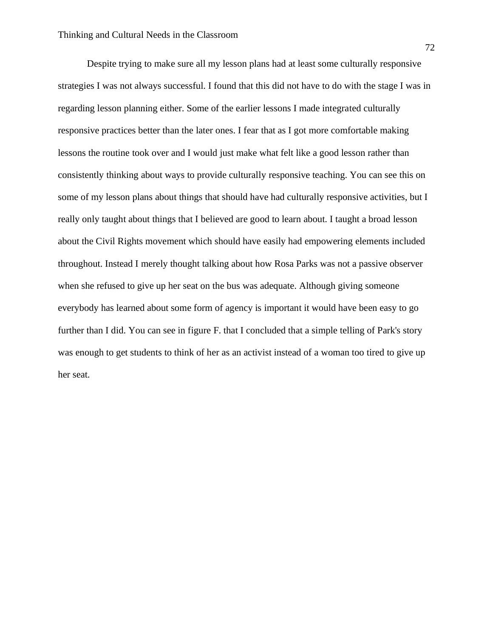Despite trying to make sure all my lesson plans had at least some culturally responsive strategies I was not always successful. I found that this did not have to do with the stage I was in regarding lesson planning either. Some of the earlier lessons I made integrated culturally responsive practices better than the later ones. I fear that as I got more comfortable making lessons the routine took over and I would just make what felt like a good lesson rather than consistently thinking about ways to provide culturally responsive teaching. You can see this on some of my lesson plans about things that should have had culturally responsive activities, but I really only taught about things that I believed are good to learn about. I taught a broad lesson about the Civil Rights movement which should have easily had empowering elements included throughout. Instead I merely thought talking about how Rosa Parks was not a passive observer when she refused to give up her seat on the bus was adequate. Although giving someone everybody has learned about some form of agency is important it would have been easy to go further than I did. You can see in figure F. that I concluded that a simple telling of Park's story was enough to get students to think of her as an activist instead of a woman too tired to give up her seat.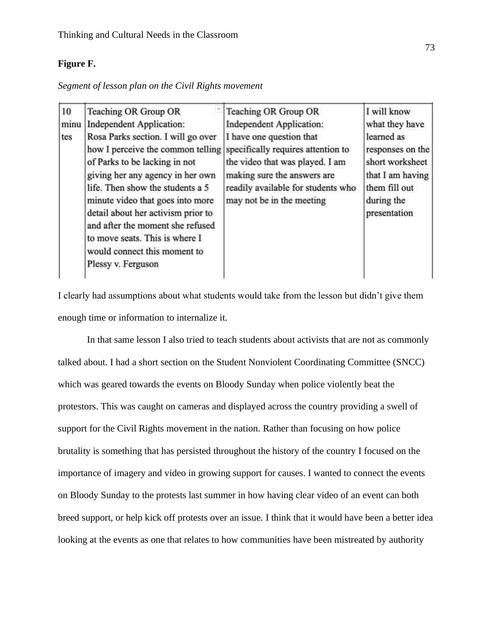## **Figure F.**

*Segment of lesson plan on the Civil Rights movement* 

| 10   | Teaching OR Group OR                                                                                                                                                                                                                                                                                                                                                                   | Teaching OR Group OR                                                                                                                                                                                | I will know                                                                                                          |
|------|----------------------------------------------------------------------------------------------------------------------------------------------------------------------------------------------------------------------------------------------------------------------------------------------------------------------------------------------------------------------------------------|-----------------------------------------------------------------------------------------------------------------------------------------------------------------------------------------------------|----------------------------------------------------------------------------------------------------------------------|
| minu | <b>Independent Application:</b>                                                                                                                                                                                                                                                                                                                                                        | <b>Independent Application:</b>                                                                                                                                                                     | what they have                                                                                                       |
| tes  | Rosa Parks section. I will go over<br>how I perceive the common telling<br>of Parks to be lacking in not<br>giving her any agency in her own<br>life. Then show the students a 5<br>minute video that goes into more<br>detail about her activism prior to<br>and after the moment she refused<br>to move seats. This is where I<br>would connect this moment to<br>Plessy v. Ferguson | I have one question that<br>specifically requires attention to<br>the video that was played. I am<br>making sure the answers are<br>readily available for students who<br>may not be in the meeting | learned as<br>responses on the<br>short worksheet<br>that I am having<br>them fill out<br>during the<br>presentation |

I clearly had assumptions about what students would take from the lesson but didn't give them enough time or information to internalize it.

In that same lesson I also tried to teach students about activists that are not as commonly talked about. I had a short section on the Student Nonviolent Coordinating Committee (SNCC) which was geared towards the events on Bloody Sunday when police violently beat the protestors. This was caught on cameras and displayed across the country providing a swell of support for the Civil Rights movement in the nation. Rather than focusing on how police brutality is something that has persisted throughout the history of the country I focused on the importance of imagery and video in growing support for causes. I wanted to connect the events on Bloody Sunday to the protests last summer in how having clear video of an event can both breed support, or help kick off protests over an issue. I think that it would have been a better idea looking at the events as one that relates to how communities have been mistreated by authority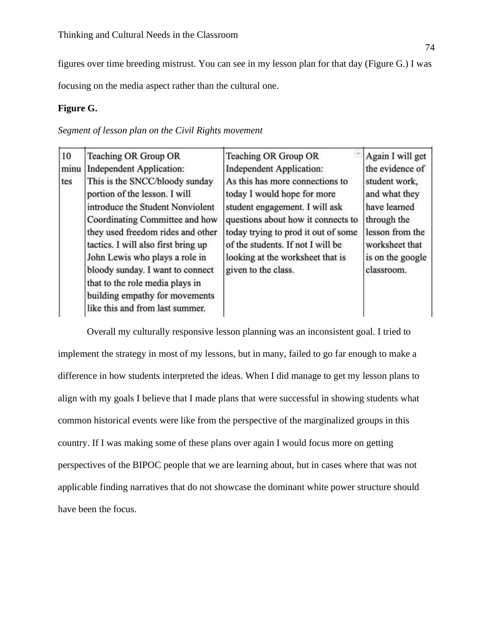figures over time breeding mistrust. You can see in my lesson plan for that day (Figure G.) I was

focusing on the media aspect rather than the cultural one.

### **Figure G.**

*Segment of lesson plan on the Civil Rights movement* 

| $ 10\rangle$ | Teaching OR Group OR                | Teaching OR Group OR                | Again I will get |
|--------------|-------------------------------------|-------------------------------------|------------------|
| minu         | <b>Independent Application:</b>     | <b>Independent Application:</b>     | the evidence of  |
| tes          | This is the SNCC/bloody sunday      | As this has more connections to     | student work,    |
|              | portion of the lesson. I will       | today I would hope for more         | and what they    |
|              | introduce the Student Nonviolent    | student engagement. I will ask      | have learned     |
|              | Coordinating Committee and how      | questions about how it connects to  | through the      |
|              | they used freedom rides and other   | today trying to prod it out of some | lesson from the  |
|              | tactics. I will also first bring up | of the students. If not I will be   | worksheet that   |
|              | John Lewis who plays a role in      | looking at the worksheet that is    | is on the google |
|              | bloody sunday. I want to connect    | given to the class.                 | classroom.       |
|              | that to the role media plays in     |                                     |                  |
|              | building empathy for movements      |                                     |                  |
|              | like this and from last summer.     |                                     |                  |

Overall my culturally responsive lesson planning was an inconsistent goal. I tried to implement the strategy in most of my lessons, but in many, failed to go far enough to make a difference in how students interpreted the ideas. When I did manage to get my lesson plans to align with my goals I believe that I made plans that were successful in showing students what common historical events were like from the perspective of the marginalized groups in this country. If I was making some of these plans over again I would focus more on getting perspectives of the BIPOC people that we are learning about, but in cases where that was not applicable finding narratives that do not showcase the dominant white power structure should have been the focus.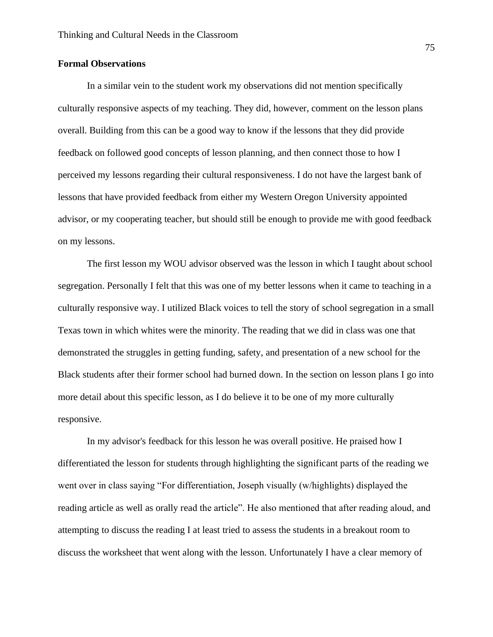### **Formal Observations**

In a similar vein to the student work my observations did not mention specifically culturally responsive aspects of my teaching. They did, however, comment on the lesson plans overall. Building from this can be a good way to know if the lessons that they did provide feedback on followed good concepts of lesson planning, and then connect those to how I perceived my lessons regarding their cultural responsiveness. I do not have the largest bank of lessons that have provided feedback from either my Western Oregon University appointed advisor, or my cooperating teacher, but should still be enough to provide me with good feedback on my lessons.

The first lesson my WOU advisor observed was the lesson in which I taught about school segregation. Personally I felt that this was one of my better lessons when it came to teaching in a culturally responsive way. I utilized Black voices to tell the story of school segregation in a small Texas town in which whites were the minority. The reading that we did in class was one that demonstrated the struggles in getting funding, safety, and presentation of a new school for the Black students after their former school had burned down. In the section on lesson plans I go into more detail about this specific lesson, as I do believe it to be one of my more culturally responsive.

In my advisor's feedback for this lesson he was overall positive. He praised how I differentiated the lesson for students through highlighting the significant parts of the reading we went over in class saying "For differentiation, Joseph visually (w/highlights) displayed the reading article as well as orally read the article". He also mentioned that after reading aloud, and attempting to discuss the reading I at least tried to assess the students in a breakout room to discuss the worksheet that went along with the lesson. Unfortunately I have a clear memory of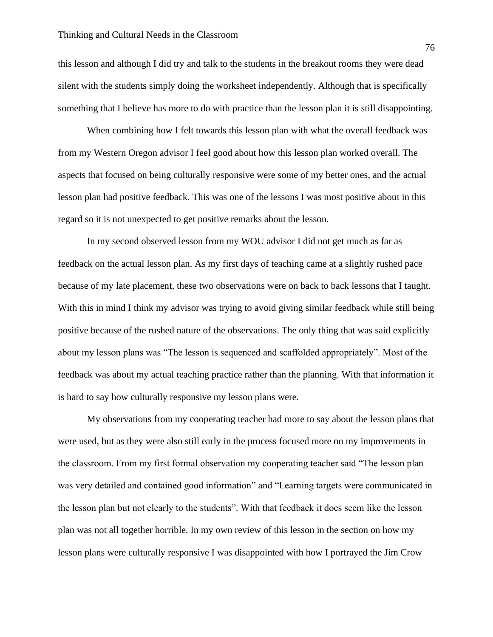#### Thinking and Cultural Needs in the Classroom

this lesson and although I did try and talk to the students in the breakout rooms they were dead silent with the students simply doing the worksheet independently. Although that is specifically something that I believe has more to do with practice than the lesson plan it is still disappointing.

When combining how I felt towards this lesson plan with what the overall feedback was from my Western Oregon advisor I feel good about how this lesson plan worked overall. The aspects that focused on being culturally responsive were some of my better ones, and the actual lesson plan had positive feedback. This was one of the lessons I was most positive about in this regard so it is not unexpected to get positive remarks about the lesson.

In my second observed lesson from my WOU advisor I did not get much as far as feedback on the actual lesson plan. As my first days of teaching came at a slightly rushed pace because of my late placement, these two observations were on back to back lessons that I taught. With this in mind I think my advisor was trying to avoid giving similar feedback while still being positive because of the rushed nature of the observations. The only thing that was said explicitly about my lesson plans was "The lesson is sequenced and scaffolded appropriately". Most of the feedback was about my actual teaching practice rather than the planning. With that information it is hard to say how culturally responsive my lesson plans were.

My observations from my cooperating teacher had more to say about the lesson plans that were used, but as they were also still early in the process focused more on my improvements in the classroom. From my first formal observation my cooperating teacher said "The lesson plan was very detailed and contained good information" and "Learning targets were communicated in the lesson plan but not clearly to the students". With that feedback it does seem like the lesson plan was not all together horrible. In my own review of this lesson in the section on how my lesson plans were culturally responsive I was disappointed with how I portrayed the Jim Crow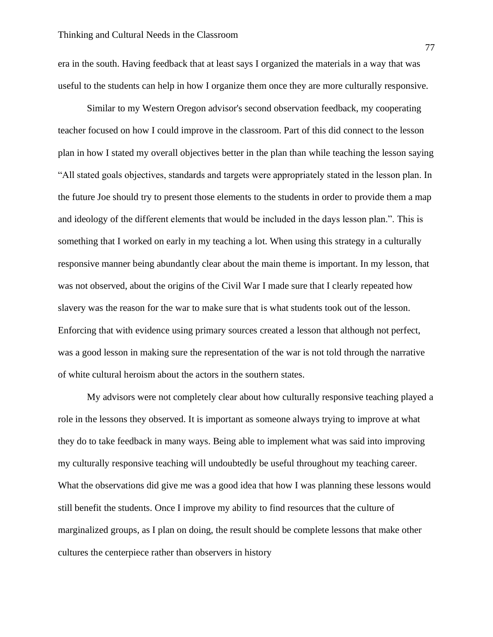era in the south. Having feedback that at least says I organized the materials in a way that was useful to the students can help in how I organize them once they are more culturally responsive.

Similar to my Western Oregon advisor's second observation feedback, my cooperating teacher focused on how I could improve in the classroom. Part of this did connect to the lesson plan in how I stated my overall objectives better in the plan than while teaching the lesson saying "All stated goals objectives, standards and targets were appropriately stated in the lesson plan. In the future Joe should try to present those elements to the students in order to provide them a map and ideology of the different elements that would be included in the days lesson plan.". This is something that I worked on early in my teaching a lot. When using this strategy in a culturally responsive manner being abundantly clear about the main theme is important. In my lesson, that was not observed, about the origins of the Civil War I made sure that I clearly repeated how slavery was the reason for the war to make sure that is what students took out of the lesson. Enforcing that with evidence using primary sources created a lesson that although not perfect, was a good lesson in making sure the representation of the war is not told through the narrative of white cultural heroism about the actors in the southern states.

My advisors were not completely clear about how culturally responsive teaching played a role in the lessons they observed. It is important as someone always trying to improve at what they do to take feedback in many ways. Being able to implement what was said into improving my culturally responsive teaching will undoubtedly be useful throughout my teaching career. What the observations did give me was a good idea that how I was planning these lessons would still benefit the students. Once I improve my ability to find resources that the culture of marginalized groups, as I plan on doing, the result should be complete lessons that make other cultures the centerpiece rather than observers in history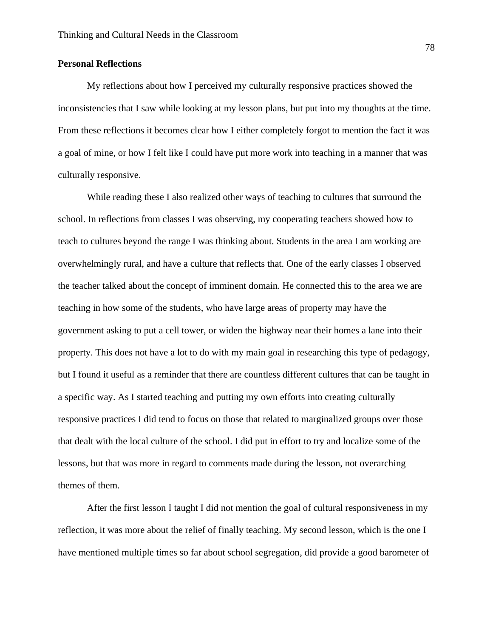### **Personal Reflections**

My reflections about how I perceived my culturally responsive practices showed the inconsistencies that I saw while looking at my lesson plans, but put into my thoughts at the time. From these reflections it becomes clear how I either completely forgot to mention the fact it was a goal of mine, or how I felt like I could have put more work into teaching in a manner that was culturally responsive.

While reading these I also realized other ways of teaching to cultures that surround the school. In reflections from classes I was observing, my cooperating teachers showed how to teach to cultures beyond the range I was thinking about. Students in the area I am working are overwhelmingly rural, and have a culture that reflects that. One of the early classes I observed the teacher talked about the concept of imminent domain. He connected this to the area we are teaching in how some of the students, who have large areas of property may have the government asking to put a cell tower, or widen the highway near their homes a lane into their property. This does not have a lot to do with my main goal in researching this type of pedagogy, but I found it useful as a reminder that there are countless different cultures that can be taught in a specific way. As I started teaching and putting my own efforts into creating culturally responsive practices I did tend to focus on those that related to marginalized groups over those that dealt with the local culture of the school. I did put in effort to try and localize some of the lessons, but that was more in regard to comments made during the lesson, not overarching themes of them.

After the first lesson I taught I did not mention the goal of cultural responsiveness in my reflection, it was more about the relief of finally teaching. My second lesson, which is the one I have mentioned multiple times so far about school segregation, did provide a good barometer of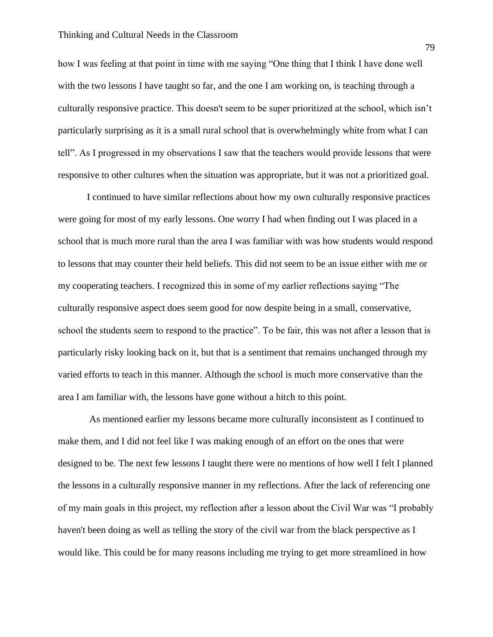how I was feeling at that point in time with me saying "One thing that I think I have done well with the two lessons I have taught so far, and the one I am working on, is teaching through a culturally responsive practice. This doesn't seem to be super prioritized at the school, which isn't particularly surprising as it is a small rural school that is overwhelmingly white from what I can tell". As I progressed in my observations I saw that the teachers would provide lessons that were responsive to other cultures when the situation was appropriate, but it was not a prioritized goal.

I continued to have similar reflections about how my own culturally responsive practices were going for most of my early lessons. One worry I had when finding out I was placed in a school that is much more rural than the area I was familiar with was how students would respond to lessons that may counter their held beliefs. This did not seem to be an issue either with me or my cooperating teachers. I recognized this in some of my earlier reflections saying "The culturally responsive aspect does seem good for now despite being in a small, conservative, school the students seem to respond to the practice". To be fair, this was not after a lesson that is particularly risky looking back on it, but that is a sentiment that remains unchanged through my varied efforts to teach in this manner. Although the school is much more conservative than the area I am familiar with, the lessons have gone without a hitch to this point.

As mentioned earlier my lessons became more culturally inconsistent as I continued to make them, and I did not feel like I was making enough of an effort on the ones that were designed to be. The next few lessons I taught there were no mentions of how well I felt I planned the lessons in a culturally responsive manner in my reflections. After the lack of referencing one of my main goals in this project, my reflection after a lesson about the Civil War was "I probably haven't been doing as well as telling the story of the civil war from the black perspective as I would like. This could be for many reasons including me trying to get more streamlined in how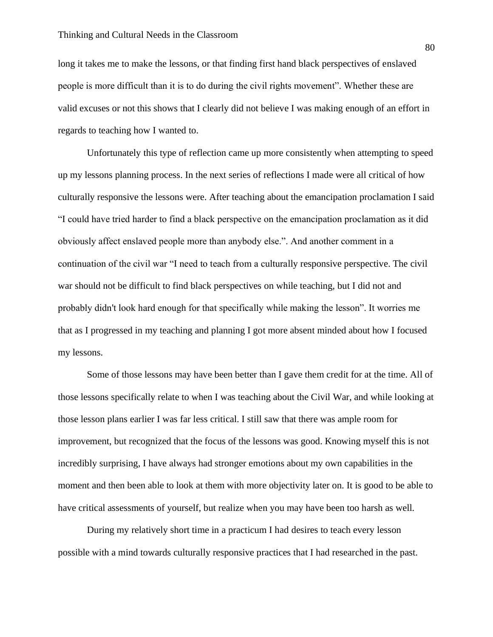long it takes me to make the lessons, or that finding first hand black perspectives of enslaved people is more difficult than it is to do during the civil rights movement". Whether these are valid excuses or not this shows that I clearly did not believe I was making enough of an effort in regards to teaching how I wanted to.

Unfortunately this type of reflection came up more consistently when attempting to speed up my lessons planning process. In the next series of reflections I made were all critical of how culturally responsive the lessons were. After teaching about the emancipation proclamation I said "I could have tried harder to find a black perspective on the emancipation proclamation as it did obviously affect enslaved people more than anybody else.". And another comment in a continuation of the civil war "I need to teach from a culturally responsive perspective. The civil war should not be difficult to find black perspectives on while teaching, but I did not and probably didn't look hard enough for that specifically while making the lesson". It worries me that as I progressed in my teaching and planning I got more absent minded about how I focused my lessons.

Some of those lessons may have been better than I gave them credit for at the time. All of those lessons specifically relate to when I was teaching about the Civil War, and while looking at those lesson plans earlier I was far less critical. I still saw that there was ample room for improvement, but recognized that the focus of the lessons was good. Knowing myself this is not incredibly surprising, I have always had stronger emotions about my own capabilities in the moment and then been able to look at them with more objectivity later on. It is good to be able to have critical assessments of yourself, but realize when you may have been too harsh as well.

During my relatively short time in a practicum I had desires to teach every lesson possible with a mind towards culturally responsive practices that I had researched in the past.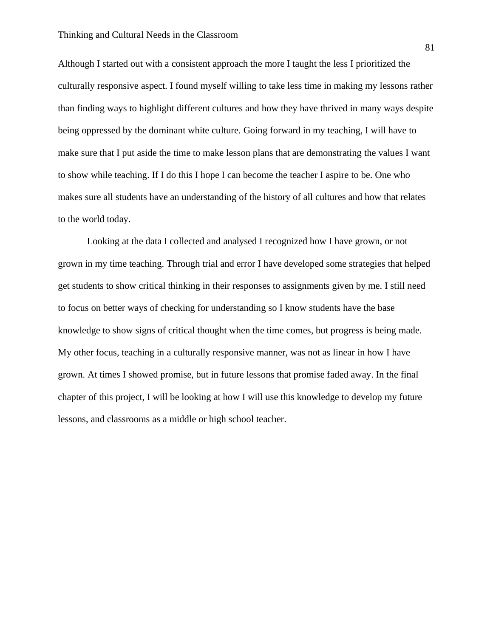Although I started out with a consistent approach the more I taught the less I prioritized the culturally responsive aspect. I found myself willing to take less time in making my lessons rather than finding ways to highlight different cultures and how they have thrived in many ways despite being oppressed by the dominant white culture. Going forward in my teaching, I will have to make sure that I put aside the time to make lesson plans that are demonstrating the values I want to show while teaching. If I do this I hope I can become the teacher I aspire to be. One who makes sure all students have an understanding of the history of all cultures and how that relates to the world today.

Looking at the data I collected and analysed I recognized how I have grown, or not grown in my time teaching. Through trial and error I have developed some strategies that helped get students to show critical thinking in their responses to assignments given by me. I still need to focus on better ways of checking for understanding so I know students have the base knowledge to show signs of critical thought when the time comes, but progress is being made. My other focus, teaching in a culturally responsive manner, was not as linear in how I have grown. At times I showed promise, but in future lessons that promise faded away. In the final chapter of this project, I will be looking at how I will use this knowledge to develop my future lessons, and classrooms as a middle or high school teacher.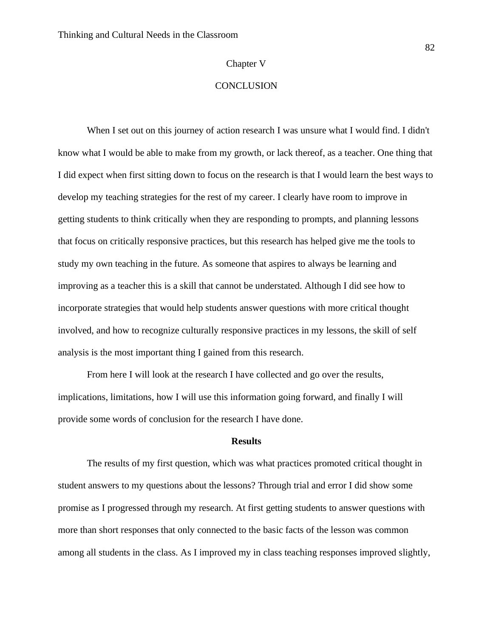#### Chapter V

### **CONCLUSION**

When I set out on this journey of action research I was unsure what I would find. I didn't know what I would be able to make from my growth, or lack thereof, as a teacher. One thing that I did expect when first sitting down to focus on the research is that I would learn the best ways to develop my teaching strategies for the rest of my career. I clearly have room to improve in getting students to think critically when they are responding to prompts, and planning lessons that focus on critically responsive practices, but this research has helped give me the tools to study my own teaching in the future. As someone that aspires to always be learning and improving as a teacher this is a skill that cannot be understated. Although I did see how to incorporate strategies that would help students answer questions with more critical thought involved, and how to recognize culturally responsive practices in my lessons, the skill of self analysis is the most important thing I gained from this research.

From here I will look at the research I have collected and go over the results, implications, limitations, how I will use this information going forward, and finally I will provide some words of conclusion for the research I have done.

#### **Results**

The results of my first question, which was what practices promoted critical thought in student answers to my questions about the lessons? Through trial and error I did show some promise as I progressed through my research. At first getting students to answer questions with more than short responses that only connected to the basic facts of the lesson was common among all students in the class. As I improved my in class teaching responses improved slightly,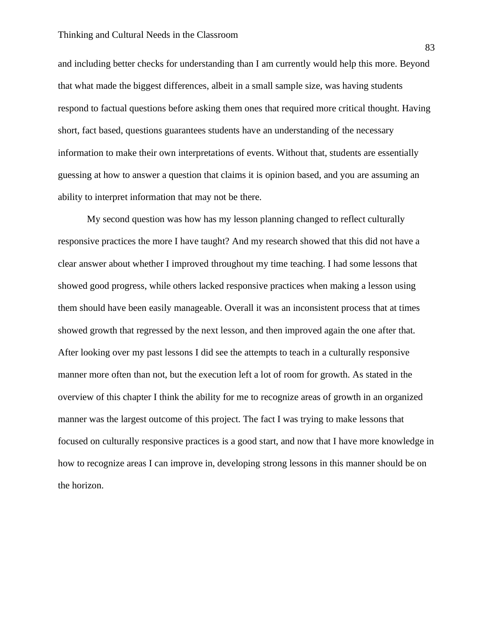and including better checks for understanding than I am currently would help this more. Beyond that what made the biggest differences, albeit in a small sample size, was having students respond to factual questions before asking them ones that required more critical thought. Having short, fact based, questions guarantees students have an understanding of the necessary information to make their own interpretations of events. Without that, students are essentially guessing at how to answer a question that claims it is opinion based, and you are assuming an ability to interpret information that may not be there.

My second question was how has my lesson planning changed to reflect culturally responsive practices the more I have taught? And my research showed that this did not have a clear answer about whether I improved throughout my time teaching. I had some lessons that showed good progress, while others lacked responsive practices when making a lesson using them should have been easily manageable. Overall it was an inconsistent process that at times showed growth that regressed by the next lesson, and then improved again the one after that. After looking over my past lessons I did see the attempts to teach in a culturally responsive manner more often than not, but the execution left a lot of room for growth. As stated in the overview of this chapter I think the ability for me to recognize areas of growth in an organized manner was the largest outcome of this project. The fact I was trying to make lessons that focused on culturally responsive practices is a good start, and now that I have more knowledge in how to recognize areas I can improve in, developing strong lessons in this manner should be on the horizon.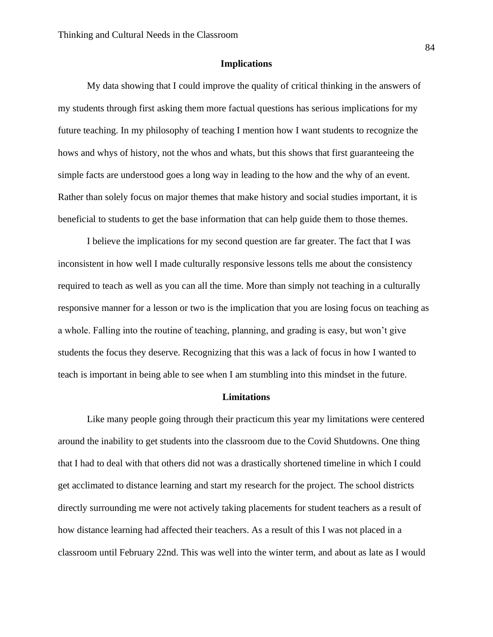#### **Implications**

My data showing that I could improve the quality of critical thinking in the answers of my students through first asking them more factual questions has serious implications for my future teaching. In my philosophy of teaching I mention how I want students to recognize the hows and whys of history, not the whos and whats, but this shows that first guaranteeing the simple facts are understood goes a long way in leading to the how and the why of an event. Rather than solely focus on major themes that make history and social studies important, it is beneficial to students to get the base information that can help guide them to those themes.

I believe the implications for my second question are far greater. The fact that I was inconsistent in how well I made culturally responsive lessons tells me about the consistency required to teach as well as you can all the time. More than simply not teaching in a culturally responsive manner for a lesson or two is the implication that you are losing focus on teaching as a whole. Falling into the routine of teaching, planning, and grading is easy, but won't give students the focus they deserve. Recognizing that this was a lack of focus in how I wanted to teach is important in being able to see when I am stumbling into this mindset in the future.

#### **Limitations**

Like many people going through their practicum this year my limitations were centered around the inability to get students into the classroom due to the Covid Shutdowns. One thing that I had to deal with that others did not was a drastically shortened timeline in which I could get acclimated to distance learning and start my research for the project. The school districts directly surrounding me were not actively taking placements for student teachers as a result of how distance learning had affected their teachers. As a result of this I was not placed in a classroom until February 22nd. This was well into the winter term, and about as late as I would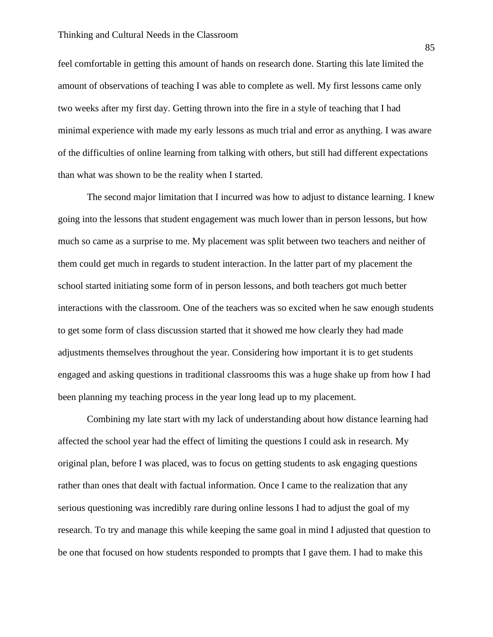feel comfortable in getting this amount of hands on research done. Starting this late limited the amount of observations of teaching I was able to complete as well. My first lessons came only two weeks after my first day. Getting thrown into the fire in a style of teaching that I had minimal experience with made my early lessons as much trial and error as anything. I was aware of the difficulties of online learning from talking with others, but still had different expectations than what was shown to be the reality when I started.

The second major limitation that I incurred was how to adjust to distance learning. I knew going into the lessons that student engagement was much lower than in person lessons, but how much so came as a surprise to me. My placement was split between two teachers and neither of them could get much in regards to student interaction. In the latter part of my placement the school started initiating some form of in person lessons, and both teachers got much better interactions with the classroom. One of the teachers was so excited when he saw enough students to get some form of class discussion started that it showed me how clearly they had made adjustments themselves throughout the year. Considering how important it is to get students engaged and asking questions in traditional classrooms this was a huge shake up from how I had been planning my teaching process in the year long lead up to my placement.

Combining my late start with my lack of understanding about how distance learning had affected the school year had the effect of limiting the questions I could ask in research. My original plan, before I was placed, was to focus on getting students to ask engaging questions rather than ones that dealt with factual information. Once I came to the realization that any serious questioning was incredibly rare during online lessons I had to adjust the goal of my research. To try and manage this while keeping the same goal in mind I adjusted that question to be one that focused on how students responded to prompts that I gave them. I had to make this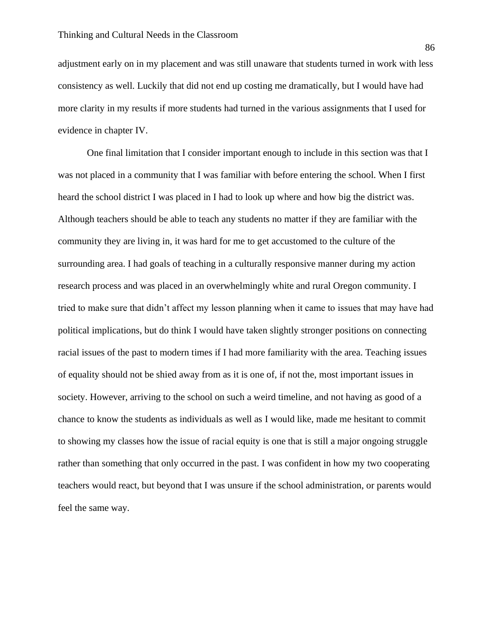adjustment early on in my placement and was still unaware that students turned in work with less consistency as well. Luckily that did not end up costing me dramatically, but I would have had more clarity in my results if more students had turned in the various assignments that I used for evidence in chapter IV.

One final limitation that I consider important enough to include in this section was that I was not placed in a community that I was familiar with before entering the school. When I first heard the school district I was placed in I had to look up where and how big the district was. Although teachers should be able to teach any students no matter if they are familiar with the community they are living in, it was hard for me to get accustomed to the culture of the surrounding area. I had goals of teaching in a culturally responsive manner during my action research process and was placed in an overwhelmingly white and rural Oregon community. I tried to make sure that didn't affect my lesson planning when it came to issues that may have had political implications, but do think I would have taken slightly stronger positions on connecting racial issues of the past to modern times if I had more familiarity with the area. Teaching issues of equality should not be shied away from as it is one of, if not the, most important issues in society. However, arriving to the school on such a weird timeline, and not having as good of a chance to know the students as individuals as well as I would like, made me hesitant to commit to showing my classes how the issue of racial equity is one that is still a major ongoing struggle rather than something that only occurred in the past. I was confident in how my two cooperating teachers would react, but beyond that I was unsure if the school administration, or parents would feel the same way.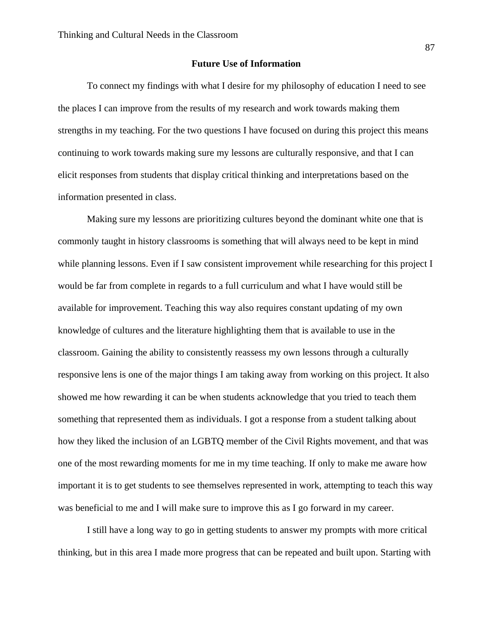#### **Future Use of Information**

To connect my findings with what I desire for my philosophy of education I need to see the places I can improve from the results of my research and work towards making them strengths in my teaching. For the two questions I have focused on during this project this means continuing to work towards making sure my lessons are culturally responsive, and that I can elicit responses from students that display critical thinking and interpretations based on the information presented in class.

Making sure my lessons are prioritizing cultures beyond the dominant white one that is commonly taught in history classrooms is something that will always need to be kept in mind while planning lessons. Even if I saw consistent improvement while researching for this project I would be far from complete in regards to a full curriculum and what I have would still be available for improvement. Teaching this way also requires constant updating of my own knowledge of cultures and the literature highlighting them that is available to use in the classroom. Gaining the ability to consistently reassess my own lessons through a culturally responsive lens is one of the major things I am taking away from working on this project. It also showed me how rewarding it can be when students acknowledge that you tried to teach them something that represented them as individuals. I got a response from a student talking about how they liked the inclusion of an LGBTQ member of the Civil Rights movement, and that was one of the most rewarding moments for me in my time teaching. If only to make me aware how important it is to get students to see themselves represented in work, attempting to teach this way was beneficial to me and I will make sure to improve this as I go forward in my career.

I still have a long way to go in getting students to answer my prompts with more critical thinking, but in this area I made more progress that can be repeated and built upon. Starting with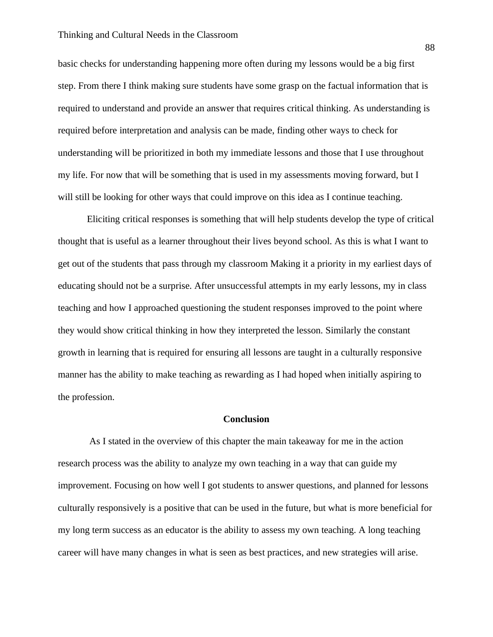#### Thinking and Cultural Needs in the Classroom

basic checks for understanding happening more often during my lessons would be a big first step. From there I think making sure students have some grasp on the factual information that is required to understand and provide an answer that requires critical thinking. As understanding is required before interpretation and analysis can be made, finding other ways to check for understanding will be prioritized in both my immediate lessons and those that I use throughout my life. For now that will be something that is used in my assessments moving forward, but I will still be looking for other ways that could improve on this idea as I continue teaching.

Eliciting critical responses is something that will help students develop the type of critical thought that is useful as a learner throughout their lives beyond school. As this is what I want to get out of the students that pass through my classroom Making it a priority in my earliest days of educating should not be a surprise. After unsuccessful attempts in my early lessons, my in class teaching and how I approached questioning the student responses improved to the point where they would show critical thinking in how they interpreted the lesson. Similarly the constant growth in learning that is required for ensuring all lessons are taught in a culturally responsive manner has the ability to make teaching as rewarding as I had hoped when initially aspiring to the profession.

#### **Conclusion**

As I stated in the overview of this chapter the main takeaway for me in the action research process was the ability to analyze my own teaching in a way that can guide my improvement. Focusing on how well I got students to answer questions, and planned for lessons culturally responsively is a positive that can be used in the future, but what is more beneficial for my long term success as an educator is the ability to assess my own teaching. A long teaching career will have many changes in what is seen as best practices, and new strategies will arise.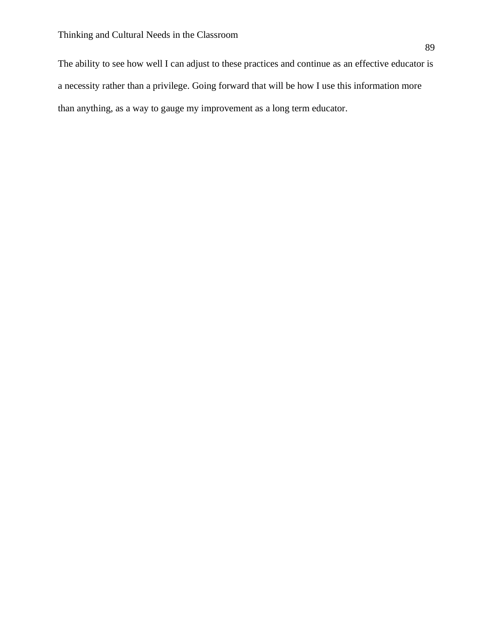The ability to see how well I can adjust to these practices and continue as an effective educator is a necessity rather than a privilege. Going forward that will be how I use this information more than anything, as a way to gauge my improvement as a long term educator.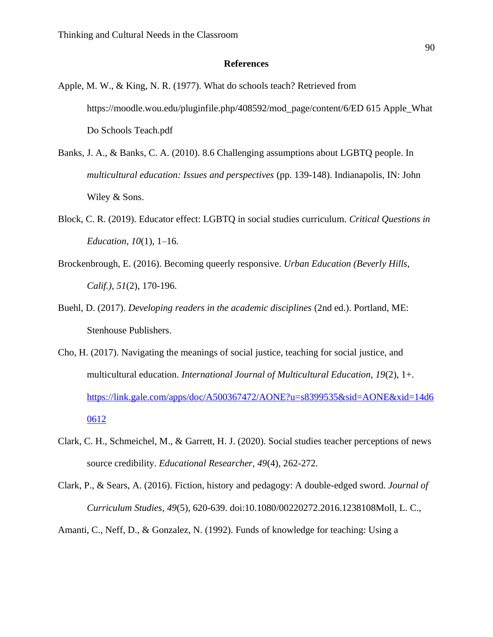#### **References**

- Apple, M. W., & King, N. R. (1977). What do schools teach? Retrieved from https://moodle.wou.edu/pluginfile.php/408592/mod\_page/content/6/ED 615 Apple\_What Do Schools Teach.pdf
- Banks, J. A., & Banks, C. A. (2010). 8.6 Challenging assumptions about LGBTQ people. In *multicultural education: Issues and perspectives* (pp. 139-148). Indianapolis, IN: John Wiley & Sons.
- Block, C. R. (2019). Educator effect: LGBTQ in social studies curriculum. *Critical Questions in Education*, *10*(1), 1–16.
- Brockenbrough, E. (2016). Becoming queerly responsive. *Urban Education (Beverly Hills, Calif.), 51*(2), 170-196.
- Buehl, D. (2017). *Developing readers in the academic disciplines* (2nd ed.). Portland, ME: Stenhouse Publishers.
- Cho, H. (2017). Navigating the meanings of social justice, teaching for social justice, and multicultural education. *International Journal of Multicultural Education, 19*(2), 1+. [https://link.gale.com/apps/doc/A500367472/AONE?u=s8399535&sid=AONE&xid=14d6](https://link.gale.com/apps/doc/A500367472/AONE?u=s8399535&sid=AONE&xid=14d60612) [0612](https://link.gale.com/apps/doc/A500367472/AONE?u=s8399535&sid=AONE&xid=14d60612)
- Clark, C. H., Schmeichel, M., & Garrett, H. J. (2020). Social studies teacher perceptions of news source credibility. *Educational Researcher, 49*(4), 262-272.
- Clark, P., & Sears, A. (2016). Fiction, history and pedagogy: A double-edged sword. *Journal of Curriculum Studies, 49*(5), 620-639. doi:10.1080/00220272.2016.1238108Moll, L. C.,

Amanti, C., Neff, D., & Gonzalez, N. (1992). Funds of knowledge for teaching: Using a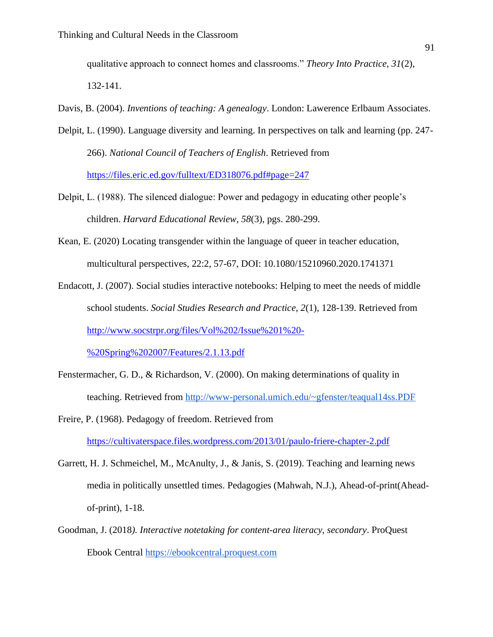qualitative approach to connect homes and classrooms." *Theory Into Practice, 31*(2), 132-141.

- Davis, B. (2004). *Inventions of teaching: A genealogy*. London: Lawerence Erlbaum Associates.
- Delpit, L. (1990). Language diversity and learning. In perspectives on talk and learning (pp. 247- 266). *National Council of Teachers of English*. Retrieved from <https://files.eric.ed.gov/fulltext/ED318076.pdf#page=247>
- Delpit, L. (1988). The silenced dialogue: Power and pedagogy in educating other people's children. *Harvard Educational Review, 58*(3), pgs. 280-299.
- Kean, E. (2020) Locating transgender within the language of queer in teacher education, multicultural perspectives, 22:2, 57-67, DOI: 10.1080/15210960.2020.1741371
- Endacott, J. (2007). Social studies interactive notebooks: Helping to meet the needs of middle school students. *Social Studies Research and Practice, 2*(1), 128-139. Retrieved from [http://www.socstrpr.org/files/Vol%202/Issue%201%20-](http://www.socstrpr.org/files/Vol%202/Issue%201%20-%20Spring%202007/Features/2.1.13.pdf) [%20Spring%202007/Features/2.1.13.pdf](http://www.socstrpr.org/files/Vol%202/Issue%201%20-%20Spring%202007/Features/2.1.13.pdf)
- Fenstermacher, G. D., & Richardson, V. (2000). On making determinations of quality in teaching. Retrieved from<http://www-personal.umich.edu/~gfenster/teaqual14ss.PDF>
- Freire, P. (1968). Pedagogy of freedom. Retrieved from <https://cultivaterspace.files.wordpress.com/2013/01/paulo-friere-chapter-2.pdf>
- Garrett, H. J. Schmeichel, M., McAnulty, J., & Janis, S. (2019). Teaching and learning news media in politically unsettled times. Pedagogies (Mahwah, N.J.), Ahead-of-print(Aheadof-print), 1-18.
- Goodman, J. (2018*). Interactive notetaking for content-area literacy, secondary*. ProQuest Ebook Central [https://ebookcentral.proquest.com](https://ebookcentral.proquest.com/)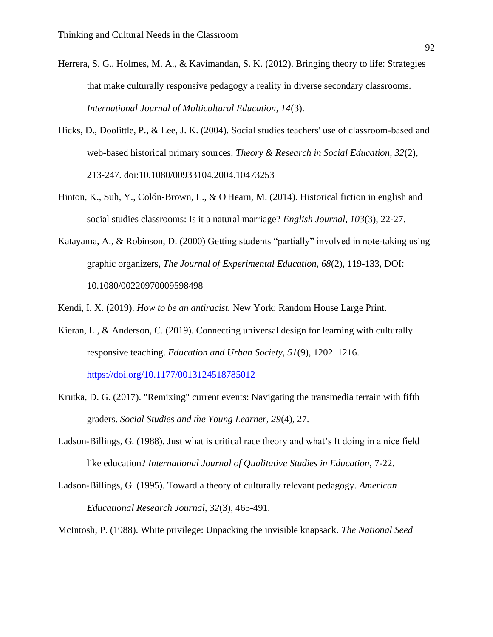- Herrera, S. G., Holmes, M. A., & Kavimandan, S. K. (2012). Bringing theory to life: Strategies that make culturally responsive pedagogy a reality in diverse secondary classrooms. *International Journal of Multicultural Education, 14*(3).
- Hicks, D., Doolittle, P., & Lee, J. K. (2004). Social studies teachers' use of classroom-based and web-based historical primary sources. *Theory & Research in Social Education, 32*(2), 213-247. doi:10.1080/00933104.2004.10473253
- Hinton, K., Suh, Y., Colón-Brown, L., & O'Hearn, M. (2014). Historical fiction in english and social studies classrooms: Is it a natural marriage? *English Journal, 103*(3), 22-27.
- Katayama, A., & Robinson, D. (2000) Getting students "partially" involved in note-taking using graphic organizers, *The Journal of Experimental Education, 68*(2), 119-133, DOI: 10.1080/00220970009598498

Kendi, I. X. (2019). *How to be an antiracist.* New York: Random House Large Print.

- Kieran, L., & Anderson, C. (2019). Connecting universal design for learning with culturally responsive teaching. *Education and Urban Society, 51*(9), 1202–1216. <https://doi.org/10.1177/0013124518785012>
- Krutka, D. G. (2017). "Remixing" current events: Navigating the transmedia terrain with fifth graders. *Social Studies and the Young Learner, 29*(4), 27.
- Ladson-Billings, G. (1988). Just what is critical race theory and what's It doing in a nice field like education? *International Journal of Qualitative Studies in Education,* 7-22.
- Ladson-Billings, G. (1995). Toward a theory of culturally relevant pedagogy. *American Educational Research Journal, 32*(3), 465-491.

McIntosh, P. (1988). White privilege: Unpacking the invisible knapsack. *The National Seed*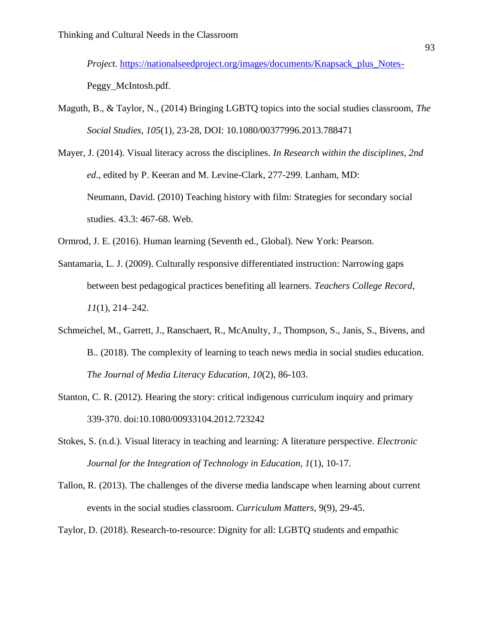*Project.* [https://nationalseedproject.org/images/documents/Knapsack\\_plus\\_Notes-](https://nationalseedproject.org/images/documents/Knapsack_plus_Notes-)

Peggy\_McIntosh.pdf.

- Maguth, B., & Taylor, N., (2014) Bringing LGBTQ topics into the social studies classroom, *The Social Studies, 105*(1), 23-28, DOI: 10.1080/00377996.2013.788471
- Mayer, J. (2014). Visual literacy across the disciplines. *In Research within the disciplines, 2nd ed*., edited by P. Keeran and M. Levine-Clark, 277-299. Lanham, MD: Neumann, David. (2010) Teaching history with film: Strategies for secondary social studies. 43.3: 467-68. Web.

Ormrod, J. E. (2016). Human learning (Seventh ed., Global). New York: Pearson.

- Santamaria, L. J. (2009). Culturally responsive differentiated instruction: Narrowing gaps between best pedagogical practices benefiting all learners. *Teachers College Record*, *11*(1), 214–242.
- Schmeichel, M., Garrett, J., Ranschaert, R., McAnulty, J., Thompson, S., Janis, S., Bivens, and B.. (2018). The complexity of learning to teach news media in social studies education. *The Journal of Media Literacy Education, 10*(2), 86-103.
- Stanton, C. R. (2012). Hearing the story: critical indigenous curriculum inquiry and primary 339-370. doi:10.1080/00933104.2012.723242
- Stokes, S. (n.d.). Visual literacy in teaching and learning: A literature perspective. *Electronic Journal for the Integration of Technology in Education, 1*(1), 10-17.
- Tallon, R. (2013). The challenges of the diverse media landscape when learning about current events in the social studies classroom. *Curriculum Matters,* 9(9), 29-45.
- Taylor, D. (2018). Research-to-resource: Dignity for all: LGBTQ students and empathic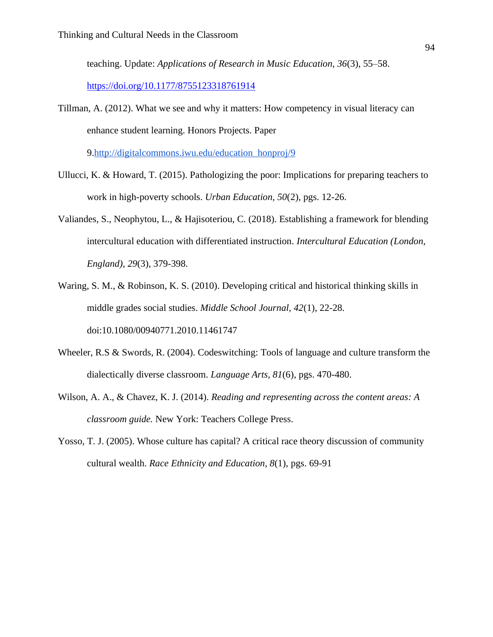teaching. Update: *Applications of Research in Music Education, 36*(3), 55–58.

<https://doi.org/10.1177/8755123318761914>

Tillman, A. (2012). What we see and why it matters: How competency in visual literacy can enhance student learning. Honors Projects. Paper

9[.http://digitalcommons.iwu.edu/education\\_honproj/9](http://digitalcommons.iwu.edu/education_honproj/9)

- Ullucci, K. & Howard, T. (2015). Pathologizing the poor: Implications for preparing teachers to work in high-poverty schools. *Urban Education, 50*(2), pgs. 12-26.
- Valiandes, S., Neophytou, L., & Hajisoteriou, C. (2018). Establishing a framework for blending intercultural education with differentiated instruction. *Intercultural Education (London, England), 29*(3), 379-398.
- Waring, S. M., & Robinson, K. S. (2010). Developing critical and historical thinking skills in middle grades social studies. *Middle School Journal, 42*(1), 22-28. doi:10.1080/00940771.2010.11461747
- Wheeler, R.S & Swords, R. (2004). Codeswitching: Tools of language and culture transform the dialectically diverse classroom. *Language Arts, 81*(6), pgs. 470-480.
- Wilson, A. A., & Chavez, K. J. (2014). *Reading and representing across the content areas: A classroom guide.* New York: Teachers College Press.
- Yosso, T. J. (2005). Whose culture has capital? A critical race theory discussion of community cultural wealth. *Race Ethnicity and Education, 8*(1), pgs. 69-91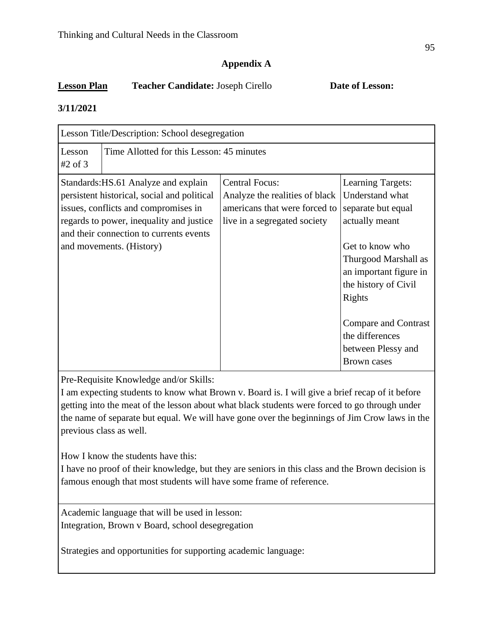# **Appendix A**

# **Lesson Plan Teacher Candidate:** Joseph Cirello **Date of Lesson:**

## **3/11/2021**

|                     | Lesson Title/Description: School desegregation                                                                                                                                                                                                 |                                                                                                                          |                                                                                                                                                                                                                                                                                   |  |
|---------------------|------------------------------------------------------------------------------------------------------------------------------------------------------------------------------------------------------------------------------------------------|--------------------------------------------------------------------------------------------------------------------------|-----------------------------------------------------------------------------------------------------------------------------------------------------------------------------------------------------------------------------------------------------------------------------------|--|
| Lesson<br>$#2$ of 3 | Time Allotted for this Lesson: 45 minutes                                                                                                                                                                                                      |                                                                                                                          |                                                                                                                                                                                                                                                                                   |  |
|                     | Standards: HS.61 Analyze and explain<br>persistent historical, social and political<br>issues, conflicts and compromises in<br>regards to power, inequality and justice<br>and their connection to currents events<br>and movements. (History) | <b>Central Focus:</b><br>Analyze the realities of black<br>americans that were forced to<br>live in a segregated society | <b>Learning Targets:</b><br>Understand what<br>separate but equal<br>actually meant<br>Get to know who<br>Thurgood Marshall as<br>an important figure in<br>the history of Civil<br>Rights<br>Compare and Contrast<br>the differences<br>between Plessy and<br><b>Brown cases</b> |  |

Pre-Requisite Knowledge and/or Skills:

I am expecting students to know what Brown v. Board is. I will give a brief recap of it before getting into the meat of the lesson about what black students were forced to go through under the name of separate but equal. We will have gone over the beginnings of Jim Crow laws in the previous class as well.

How I know the students have this:

I have no proof of their knowledge, but they are seniors in this class and the Brown decision is famous enough that most students will have some frame of reference.

Academic language that will be used in lesson: Integration, Brown v Board, school desegregation

Strategies and opportunities for supporting academic language: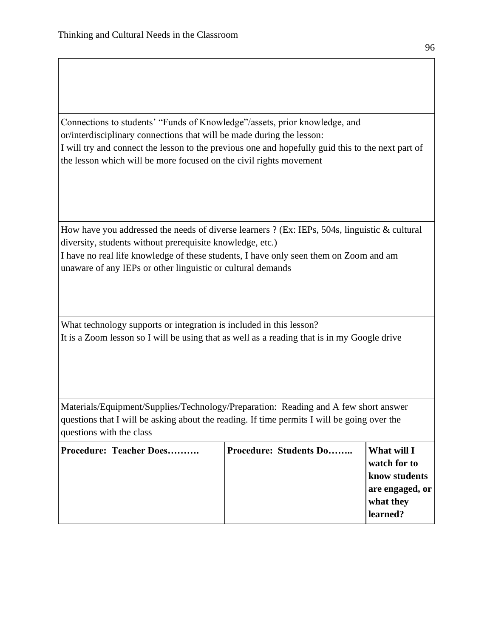Connections to students' "Funds of Knowledge"/assets, prior knowledge, and or/interdisciplinary connections that will be made during the lesson: I will try and connect the lesson to the previous one and hopefully guid this to the next part of the lesson which will be more focused on the civil rights movement

How have you addressed the needs of diverse learners ? (Ex: IEPs, 504s, linguistic & cultural diversity, students without prerequisite knowledge, etc.) I have no real life knowledge of these students, I have only seen them on Zoom and am

unaware of any IEPs or other linguistic or cultural demands

What technology supports or integration is included in this lesson? It is a Zoom lesson so I will be using that as well as a reading that is in my Google drive

Materials/Equipment/Supplies/Technology/Preparation: Reading and A few short answer questions that I will be asking about the reading. If time permits I will be going over the questions with the class

| Procedure: Teacher Does | Procedure: Students Do | What will I     |
|-------------------------|------------------------|-----------------|
|                         |                        | watch for to    |
|                         |                        | know students   |
|                         |                        | are engaged, or |
|                         |                        | what they       |
|                         |                        | learned?        |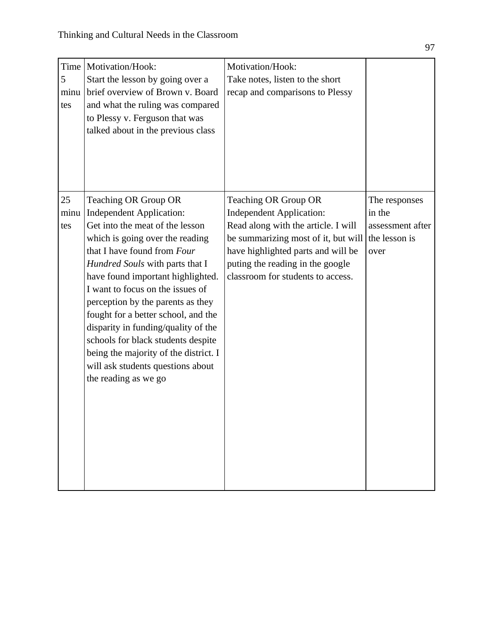| Time<br>5<br>minu<br>tes | Motivation/Hook:<br>Start the lesson by going over a<br>brief overview of Brown v. Board<br>and what the ruling was compared<br>to Plessy v. Ferguson that was<br>talked about in the previous class                                                                                                                                                                                                                                                                                                                                    | Motivation/Hook:<br>Take notes, listen to the short<br>recap and comparisons to Plessy                                                                                                                                                               |                                                                      |
|--------------------------|-----------------------------------------------------------------------------------------------------------------------------------------------------------------------------------------------------------------------------------------------------------------------------------------------------------------------------------------------------------------------------------------------------------------------------------------------------------------------------------------------------------------------------------------|------------------------------------------------------------------------------------------------------------------------------------------------------------------------------------------------------------------------------------------------------|----------------------------------------------------------------------|
| 25<br>minu<br>tes        | Teaching OR Group OR<br><b>Independent Application:</b><br>Get into the meat of the lesson<br>which is going over the reading<br>that I have found from Four<br>Hundred Souls with parts that I<br>have found important highlighted.<br>I want to focus on the issues of<br>perception by the parents as they<br>fought for a better school, and the<br>disparity in funding/quality of the<br>schools for black students despite<br>being the majority of the district. I<br>will ask students questions about<br>the reading as we go | Teaching OR Group OR<br><b>Independent Application:</b><br>Read along with the article. I will<br>be summarizing most of it, but will<br>have highlighted parts and will be<br>puting the reading in the google<br>classroom for students to access. | The responses<br>in the<br>assessment after<br>the lesson is<br>over |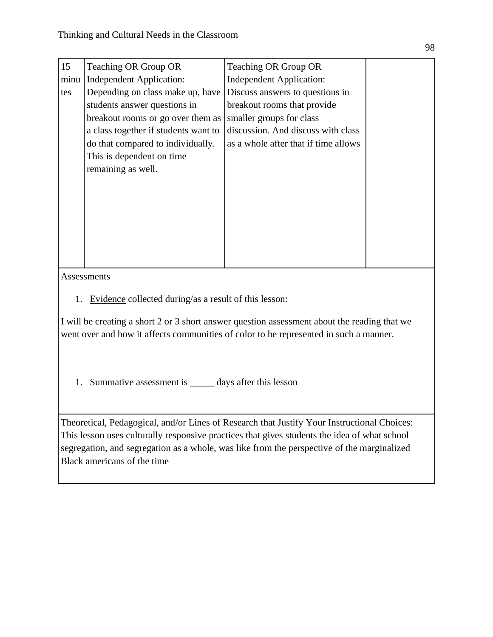| 15   | Teaching OR Group OR                 | <b>Teaching OR Group OR</b>          |  |
|------|--------------------------------------|--------------------------------------|--|
| minu | <b>Independent Application:</b>      | <b>Independent Application:</b>      |  |
| tes  | Depending on class make up, have     | Discuss answers to questions in      |  |
|      | students answer questions in         | breakout rooms that provide          |  |
|      | breakout rooms or go over them as    | smaller groups for class             |  |
|      | a class together if students want to | discussion. And discuss with class   |  |
|      | do that compared to individually.    | as a whole after that if time allows |  |
|      | This is dependent on time            |                                      |  |
|      | remaining as well.                   |                                      |  |
|      |                                      |                                      |  |
|      |                                      |                                      |  |
|      |                                      |                                      |  |
|      |                                      |                                      |  |
|      |                                      |                                      |  |
|      |                                      |                                      |  |
|      |                                      |                                      |  |
|      |                                      |                                      |  |

Assessments

1. Evidence collected during/as a result of this lesson:

I will be creating a short 2 or 3 short answer question assessment about the reading that we went over and how it affects communities of color to be represented in such a manner.

1. Summative assessment is \_\_\_\_\_ days after this lesson

Theoretical, Pedagogical, and/or Lines of Research that Justify Your Instructional Choices: This lesson uses culturally responsive practices that gives students the idea of what school segregation, and segregation as a whole, was like from the perspective of the marginalized Black americans of the time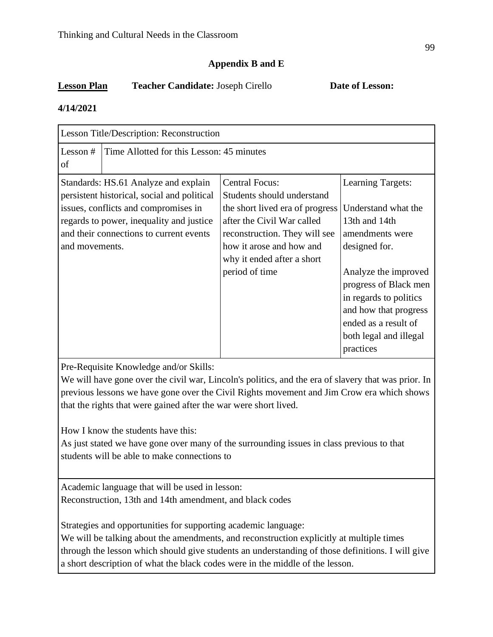# **Appendix B and E**

# **Lesson Plan Teacher Candidate:** Joseph Cirello **Date of Lesson:**

## **4/14/2021**

|                  | Lesson Title/Description: Reconstruction                                                                                                                                                                           |                                                                                                                                                                                                                                   |                                                                                                                                                                                                                                                     |  |
|------------------|--------------------------------------------------------------------------------------------------------------------------------------------------------------------------------------------------------------------|-----------------------------------------------------------------------------------------------------------------------------------------------------------------------------------------------------------------------------------|-----------------------------------------------------------------------------------------------------------------------------------------------------------------------------------------------------------------------------------------------------|--|
| Lesson $#$<br>of | Time Allotted for this Lesson: 45 minutes                                                                                                                                                                          |                                                                                                                                                                                                                                   |                                                                                                                                                                                                                                                     |  |
| and movements.   | Standards: HS.61 Analyze and explain<br>persistent historical, social and political<br>issues, conflicts and compromises in<br>regards to power, inequality and justice<br>and their connections to current events | <b>Central Focus:</b><br>Students should understand<br>the short lived era of progress<br>after the Civil War called<br>reconstruction. They will see<br>how it arose and how and<br>why it ended after a short<br>period of time | Learning Targets:<br>Understand what the<br>13th and 14th<br>amendments were<br>designed for.<br>Analyze the improved<br>progress of Black men<br>in regards to politics<br>and how that progress<br>ended as a result of<br>both legal and illegal |  |
|                  |                                                                                                                                                                                                                    |                                                                                                                                                                                                                                   | practices                                                                                                                                                                                                                                           |  |

Pre-Requisite Knowledge and/or Skills:

We will have gone over the civil war, Lincoln's politics, and the era of slavery that was prior. In previous lessons we have gone over the Civil Rights movement and Jim Crow era which shows that the rights that were gained after the war were short lived.

How I know the students have this:

As just stated we have gone over many of the surrounding issues in class previous to that students will be able to make connections to

Academic language that will be used in lesson: Reconstruction, 13th and 14th amendment, and black codes

Strategies and opportunities for supporting academic language:

We will be talking about the amendments, and reconstruction explicitly at multiple times through the lesson which should give students an understanding of those definitions. I will give a short description of what the black codes were in the middle of the lesson.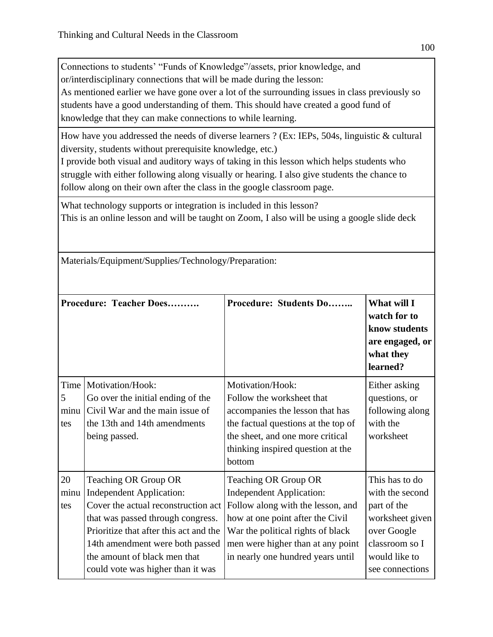Connections to students' "Funds of Knowledge"/assets, prior knowledge, and or/interdisciplinary connections that will be made during the lesson: As mentioned earlier we have gone over a lot of the surrounding issues in class previously so students have a good understanding of them. This should have created a good fund of knowledge that they can make connections to while learning.

How have you addressed the needs of diverse learners ? (Ex: IEPs, 504s, linguistic & cultural diversity, students without prerequisite knowledge, etc.)

I provide both visual and auditory ways of taking in this lesson which helps students who struggle with either following along visually or hearing. I also give students the chance to follow along on their own after the class in the google classroom page.

What technology supports or integration is included in this lesson? This is an online lesson and will be taught on Zoom, I also will be using a google slide deck

Materials/Equipment/Supplies/Technology/Preparation:

|                          | Procedure: Teacher Does                                                                                                                                                                                                                                                               | Procedure: Students Do                                                                                                                                                                                                                          | What will I<br>watch for to<br>know students<br>are engaged, or<br>what they<br>learned?                                                 |
|--------------------------|---------------------------------------------------------------------------------------------------------------------------------------------------------------------------------------------------------------------------------------------------------------------------------------|-------------------------------------------------------------------------------------------------------------------------------------------------------------------------------------------------------------------------------------------------|------------------------------------------------------------------------------------------------------------------------------------------|
| Time<br>5<br>minu<br>tes | Motivation/Hook:<br>Go over the initial ending of the<br>Civil War and the main issue of<br>the 13th and 14th amendments<br>being passed.                                                                                                                                             | Motivation/Hook:<br>Follow the worksheet that<br>accompanies the lesson that has<br>the factual questions at the top of<br>the sheet, and one more critical<br>thinking inspired question at the<br>bottom                                      | Either asking<br>questions, or<br>following along<br>with the<br>worksheet                                                               |
| 20<br>minu<br>tes        | Teaching OR Group OR<br><b>Independent Application:</b><br>Cover the actual reconstruction act<br>that was passed through congress.<br>Prioritize that after this act and the<br>14th amendment were both passed<br>the amount of black men that<br>could vote was higher than it was | Teaching OR Group OR<br><b>Independent Application:</b><br>Follow along with the lesson, and<br>how at one point after the Civil<br>War the political rights of black<br>men were higher than at any point<br>in nearly one hundred years until | This has to do<br>with the second<br>part of the<br>worksheet given<br>over Google<br>classroom so I<br>would like to<br>see connections |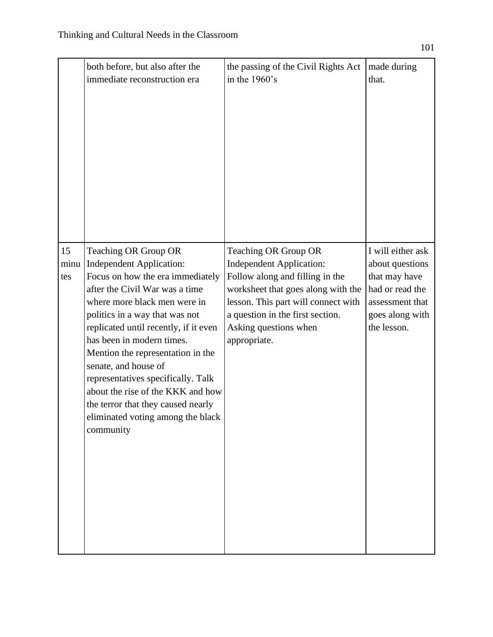|                   | both before, but also after the                                                                                                                                                                                                                                                                                                                                                                                                                                                                       | the passing of the Civil Rights Act                                                                                                                                                                                                                  | made during                                                                                                                   |
|-------------------|-------------------------------------------------------------------------------------------------------------------------------------------------------------------------------------------------------------------------------------------------------------------------------------------------------------------------------------------------------------------------------------------------------------------------------------------------------------------------------------------------------|------------------------------------------------------------------------------------------------------------------------------------------------------------------------------------------------------------------------------------------------------|-------------------------------------------------------------------------------------------------------------------------------|
|                   | immediate reconstruction era                                                                                                                                                                                                                                                                                                                                                                                                                                                                          | in the $1960$ 's                                                                                                                                                                                                                                     | that.                                                                                                                         |
| 15<br>minu<br>tes | Teaching OR Group OR<br><b>Independent Application:</b><br>Focus on how the era immediately<br>after the Civil War was a time<br>where more black men were in<br>politics in a way that was not<br>replicated until recently, if it even<br>has been in modern times.<br>Mention the representation in the<br>senate, and house of<br>representatives specifically. Talk<br>about the rise of the KKK and how<br>the terror that they caused nearly<br>eliminated voting among the black<br>community | Teaching OR Group OR<br><b>Independent Application:</b><br>Follow along and filling in the<br>worksheet that goes along with the<br>lesson. This part will connect with<br>a question in the first section.<br>Asking questions when<br>appropriate. | I will either ask<br>about questions<br>that may have<br>had or read the<br>assessment that<br>goes along with<br>the lesson. |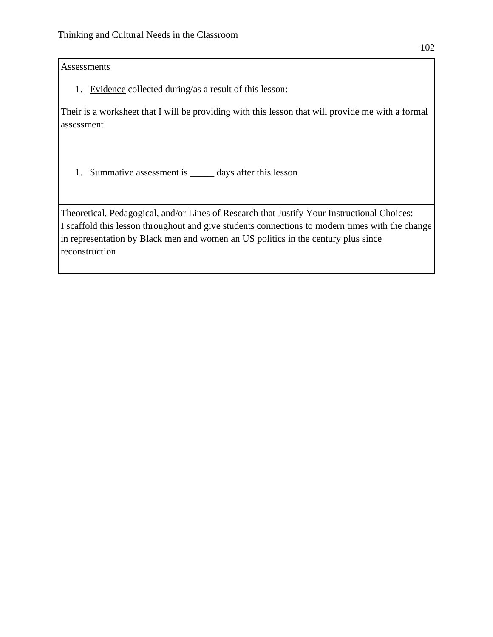Assessments

1. Evidence collected during/as a result of this lesson:

Their is a worksheet that I will be providing with this lesson that will provide me with a formal assessment

1. Summative assessment is \_\_\_\_\_ days after this lesson

Theoretical, Pedagogical, and/or Lines of Research that Justify Your Instructional Choices: I scaffold this lesson throughout and give students connections to modern times with the change in representation by Black men and women an US politics in the century plus since reconstruction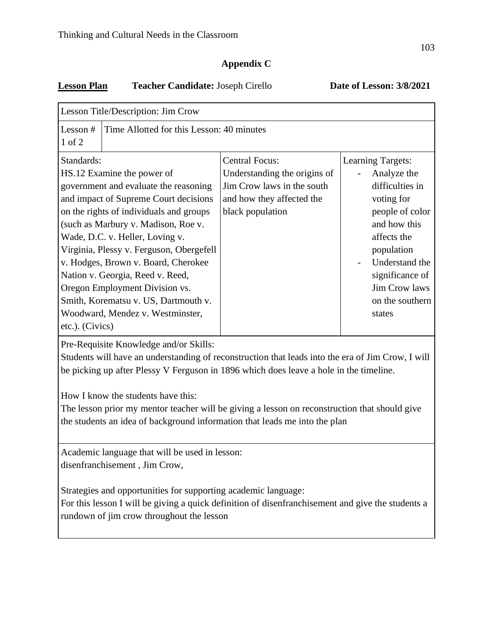## **Appendix C**

## **Lesson Plan Teacher Candidate:** Joseph Cirello **Date of Lesson: 3/8/2021**

| Lesson Title/Description: Jim Crow                                                                                                                                                                                                                                          |                                                                                                                                                                                                                                                                                                                                                                                                                                                                        |                                                                                                                                      |                                                                                                                                                                                                                      |  |
|-----------------------------------------------------------------------------------------------------------------------------------------------------------------------------------------------------------------------------------------------------------------------------|------------------------------------------------------------------------------------------------------------------------------------------------------------------------------------------------------------------------------------------------------------------------------------------------------------------------------------------------------------------------------------------------------------------------------------------------------------------------|--------------------------------------------------------------------------------------------------------------------------------------|----------------------------------------------------------------------------------------------------------------------------------------------------------------------------------------------------------------------|--|
| Lesson $#$<br>1 of 2                                                                                                                                                                                                                                                        | Time Allotted for this Lesson: 40 minutes                                                                                                                                                                                                                                                                                                                                                                                                                              |                                                                                                                                      |                                                                                                                                                                                                                      |  |
| Standards:<br>etc.). (Civics)                                                                                                                                                                                                                                               | HS.12 Examine the power of<br>government and evaluate the reasoning<br>and impact of Supreme Court decisions<br>on the rights of individuals and groups<br>(such as Marbury v. Madison, Roe v.<br>Wade, D.C. v. Heller, Loving v.<br>Virginia, Plessy v. Ferguson, Obergefell<br>v. Hodges, Brown v. Board, Cherokee<br>Nation v. Georgia, Reed v. Reed,<br>Oregon Employment Division vs.<br>Smith, Korematsu v. US, Dartmouth v.<br>Woodward, Mendez v. Westminster, | <b>Central Focus:</b><br>Understanding the origins of<br>Jim Crow laws in the south<br>and how they affected the<br>black population | Learning Targets:<br>Analyze the<br>difficulties in<br>voting for<br>people of color<br>and how this<br>affects the<br>population<br>Understand the<br>significance of<br>Jim Crow laws<br>on the southern<br>states |  |
| Pre-Requisite Knowledge and/or Skills:<br>Students will have an understanding of reconstruction that leads into the era of Jim Crow, I will<br>be picking up after Plessy V Ferguson in 1896 which does leave a hole in the timeline.<br>How I know the students have this: |                                                                                                                                                                                                                                                                                                                                                                                                                                                                        |                                                                                                                                      |                                                                                                                                                                                                                      |  |

The lesson prior my mentor teacher will be giving a lesson on reconstruction that should give the students an idea of background information that leads me into the plan

Academic language that will be used in lesson: disenfranchisement , Jim Crow,

Strategies and opportunities for supporting academic language:

For this lesson I will be giving a quick definition of disenfranchisement and give the students a rundown of jim crow throughout the lesson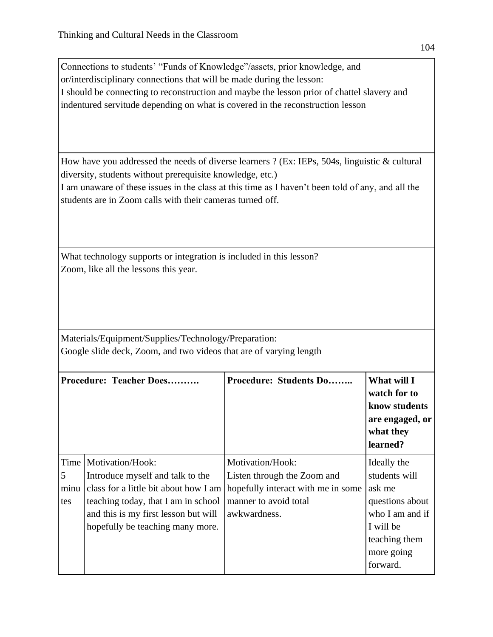Connections to students' "Funds of Knowledge"/assets, prior knowledge, and or/interdisciplinary connections that will be made during the lesson: I should be connecting to reconstruction and maybe the lesson prior of chattel slavery and indentured servitude depending on what is covered in the reconstruction lesson

How have you addressed the needs of diverse learners ? (Ex: IEPs, 504s, linguistic & cultural diversity, students without prerequisite knowledge, etc.)

I am unaware of these issues in the class at this time as I haven't been told of any, and all the students are in Zoom calls with their cameras turned off.

What technology supports or integration is included in this lesson? Zoom, like all the lessons this year.

Materials/Equipment/Supplies/Technology/Preparation: Google slide deck, Zoom, and two videos that are of varying length

|                  | Procedure: Teacher Does                                                                                                                                                                                                 | <b>Procedure: Students Do</b>                                                                                                  | What will I<br>watch for to<br>know students<br>are engaged, or<br>what they<br>learned?                                             |
|------------------|-------------------------------------------------------------------------------------------------------------------------------------------------------------------------------------------------------------------------|--------------------------------------------------------------------------------------------------------------------------------|--------------------------------------------------------------------------------------------------------------------------------------|
| 5<br>minu<br>tes | Time   Motivation/Hook:<br>Introduce myself and talk to the<br>class for a little bit about how I am<br>teaching today, that I am in school<br>and this is my first lesson but will<br>hopefully be teaching many more. | Motivation/Hook:<br>Listen through the Zoom and<br>hopefully interact with me in some<br>manner to avoid total<br>awkwardness. | Ideally the<br>students will<br>ask me<br>questions about<br>who I am and if<br>I will be<br>teaching them<br>more going<br>forward. |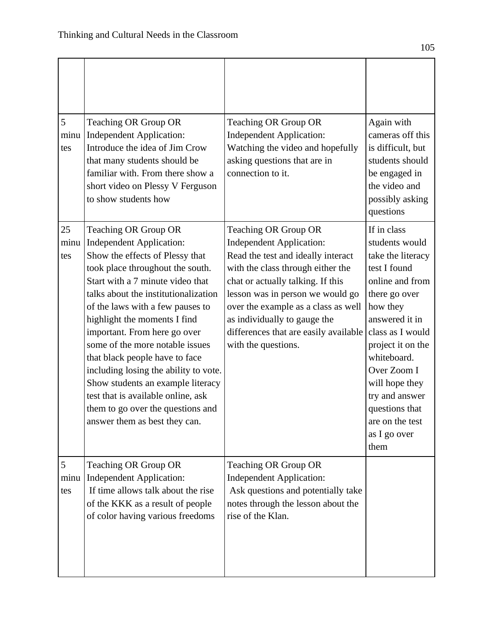| 5<br>minu<br>tes  | Teaching OR Group OR<br><b>Independent Application:</b><br>Introduce the idea of Jim Crow<br>that many students should be<br>familiar with. From there show a<br>short video on Plessy V Ferguson<br>to show students how                                                                                                                                                                                                                                                                                                                                                     | Teaching OR Group OR<br><b>Independent Application:</b><br>Watching the video and hopefully<br>asking questions that are in<br>connection to it.                                                                                                                                                                                                   | Again with<br>cameras off this<br>is difficult, but<br>students should<br>be engaged in<br>the video and<br>possibly asking<br>questions                                                                                                                                                                     |
|-------------------|-------------------------------------------------------------------------------------------------------------------------------------------------------------------------------------------------------------------------------------------------------------------------------------------------------------------------------------------------------------------------------------------------------------------------------------------------------------------------------------------------------------------------------------------------------------------------------|----------------------------------------------------------------------------------------------------------------------------------------------------------------------------------------------------------------------------------------------------------------------------------------------------------------------------------------------------|--------------------------------------------------------------------------------------------------------------------------------------------------------------------------------------------------------------------------------------------------------------------------------------------------------------|
| 25<br>minu<br>tes | Teaching OR Group OR<br><b>Independent Application:</b><br>Show the effects of Plessy that<br>took place throughout the south.<br>Start with a 7 minute video that<br>talks about the institutionalization<br>of the laws with a few pauses to<br>highlight the moments I find<br>important. From here go over<br>some of the more notable issues<br>that black people have to face<br>including losing the ability to vote.<br>Show students an example literacy<br>test that is available online, ask<br>them to go over the questions and<br>answer them as best they can. | Teaching OR Group OR<br><b>Independent Application:</b><br>Read the test and ideally interact<br>with the class through either the<br>chat or actually talking. If this<br>lesson was in person we would go<br>over the example as a class as well<br>as individually to gauge the<br>differences that are easily available<br>with the questions. | If in class<br>students would<br>take the literacy<br>test I found<br>online and from<br>there go over<br>how they<br>answered it in<br>class as I would<br>project it on the<br>whiteboard.<br>Over Zoom I<br>will hope they<br>try and answer<br>questions that<br>are on the test<br>as I go over<br>them |
| 5<br>minu<br>tes  | Teaching OR Group OR<br><b>Independent Application:</b><br>If time allows talk about the rise<br>of the KKK as a result of people<br>of color having various freedoms                                                                                                                                                                                                                                                                                                                                                                                                         | Teaching OR Group OR<br><b>Independent Application:</b><br>Ask questions and potentially take<br>notes through the lesson about the<br>rise of the Klan.                                                                                                                                                                                           |                                                                                                                                                                                                                                                                                                              |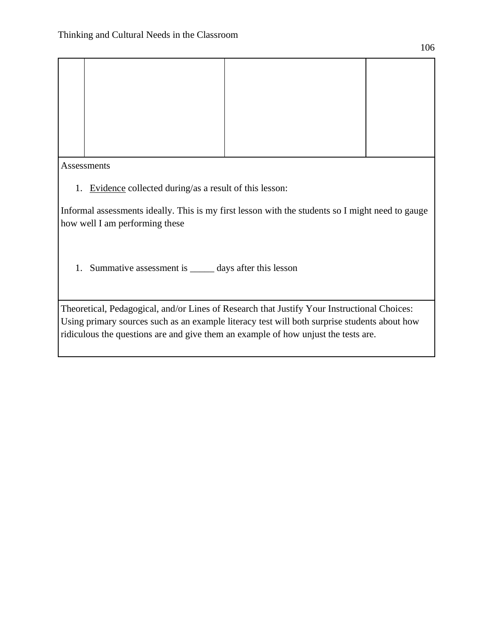| Assessments                                                 |                                                                                                  |  |  |  |
|-------------------------------------------------------------|--------------------------------------------------------------------------------------------------|--|--|--|
| Evidence collected during/as a result of this lesson:<br>1. |                                                                                                  |  |  |  |
|                                                             | Informal assessments ideally. This is my first lesson with the students so I might need to gauge |  |  |  |

ormal assessments ideally. This is my first lesson with the students so I might need to gauge how well I am performing these

1. Summative assessment is \_\_\_\_\_ days after this lesson

Theoretical, Pedagogical, and/or Lines of Research that Justify Your Instructional Choices: Using primary sources such as an example literacy test will both surprise students about how ridiculous the questions are and give them an example of how unjust the tests are.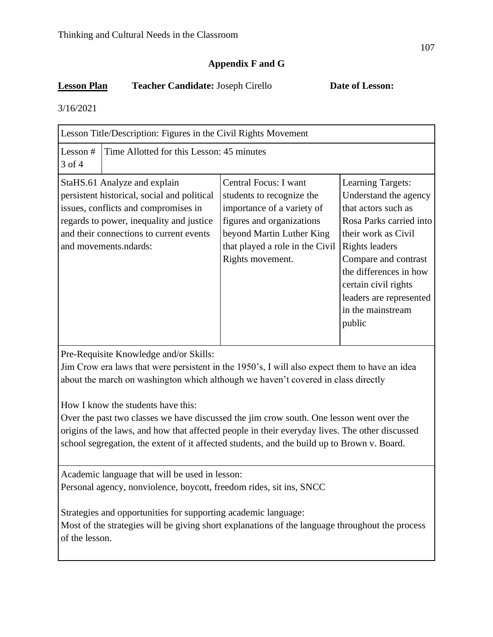## **Appendix F and G**

## **Lesson Plan Teacher Candidate:** Joseph Cirello **Date of Lesson:**

3/16/2021

| Lesson Title/Description: Figures in the Civil Rights Movement                                                                                                                                                                      |                                                                                                                                                                                                   |                                                                                                                                                                                                                                                                                  |  |  |
|-------------------------------------------------------------------------------------------------------------------------------------------------------------------------------------------------------------------------------------|---------------------------------------------------------------------------------------------------------------------------------------------------------------------------------------------------|----------------------------------------------------------------------------------------------------------------------------------------------------------------------------------------------------------------------------------------------------------------------------------|--|--|
| Lesson $#$<br>$3$ of $4$                                                                                                                                                                                                            | Time Allotted for this Lesson: 45 minutes                                                                                                                                                         |                                                                                                                                                                                                                                                                                  |  |  |
| StaHS.61 Analyze and explain<br>persistent historical, social and political<br>issues, conflicts and compromises in<br>regards to power, inequality and justice<br>and their connections to current events<br>and movements.ndards: | Central Focus: I want<br>students to recognize the<br>importance of a variety of<br>figures and organizations<br>beyond Martin Luther King<br>that played a role in the Civil<br>Rights movement. | Learning Targets:<br>Understand the agency<br>that actors such as<br>Rosa Parks carried into<br>their work as Civil<br><b>Rights leaders</b><br>Compare and contrast<br>the differences in how<br>certain civil rights<br>leaders are represented<br>in the mainstream<br>public |  |  |

Pre-Requisite Knowledge and/or Skills:

Jim Crow era laws that were persistent in the 1950's, I will also expect them to have an idea about the march on washington which although we haven't covered in class directly

How I know the students have this:

Over the past two classes we have discussed the jim crow south. One lesson went over the origins of the laws, and how that affected people in their everyday lives. The other discussed school segregation, the extent of it affected students, and the build up to Brown v. Board.

Academic language that will be used in lesson: Personal agency, nonviolence, boycott, freedom rides, sit ins, SNCC

Strategies and opportunities for supporting academic language:

Most of the strategies will be giving short explanations of the language throughout the process of the lesson.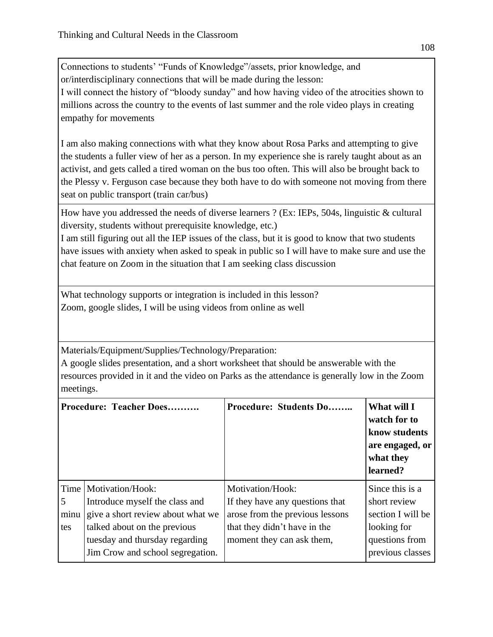Connections to students' "Funds of Knowledge"/assets, prior knowledge, and or/interdisciplinary connections that will be made during the lesson: I will connect the history of "bloody sunday" and how having video of the atrocities shown to millions across the country to the events of last summer and the role video plays in creating empathy for movements

I am also making connections with what they know about Rosa Parks and attempting to give the students a fuller view of her as a person. In my experience she is rarely taught about as an activist, and gets called a tired woman on the bus too often. This will also be brought back to the Plessy v. Ferguson case because they both have to do with someone not moving from there seat on public transport (train car/bus)

How have you addressed the needs of diverse learners ? (Ex: IEPs, 504s, linguistic & cultural diversity, students without prerequisite knowledge, etc.)

I am still figuring out all the IEP issues of the class, but it is good to know that two students have issues with anxiety when asked to speak in public so I will have to make sure and use the chat feature on Zoom in the situation that I am seeking class discussion

What technology supports or integration is included in this lesson? Zoom, google slides, I will be using videos from online as well

Materials/Equipment/Supplies/Technology/Preparation:

A google slides presentation, and a short worksheet that should be answerable with the resources provided in it and the video on Parks as the attendance is generally low in the Zoom meetings.

|                | Procedure: Teacher Does                                            | <b>Procedure: Students Do</b>   | What will I<br>watch for to<br>know students<br>are engaged, or<br>what they<br>learned? |
|----------------|--------------------------------------------------------------------|---------------------------------|------------------------------------------------------------------------------------------|
| Time           | Motivation/Hook:                                                   | Motivation/Hook:                | Since this is a                                                                          |
| $\overline{5}$ | Introduce myself the class and                                     | If they have any questions that | short review                                                                             |
| minu           | give a short review about what we                                  | arose from the previous lessons | section I will be                                                                        |
| tes            | talked about on the previous                                       | that they didn't have in the    | looking for                                                                              |
|                | tuesday and thursday regarding<br>Jim Crow and school segregation. | moment they can ask them,       | questions from<br>previous classes                                                       |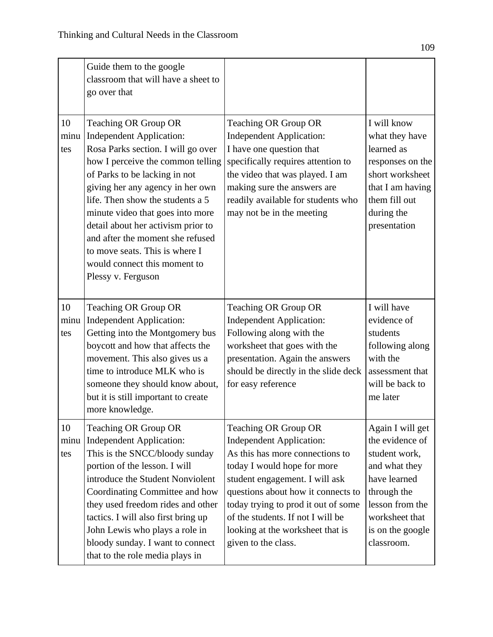|                   | Guide them to the google<br>classroom that will have a sheet to<br>go over that                                                                                                                                                                                                                                                                                                                                                                   |                                                                                                                                                                                                                                                                                                                                          |                                                                                                                                                                             |
|-------------------|---------------------------------------------------------------------------------------------------------------------------------------------------------------------------------------------------------------------------------------------------------------------------------------------------------------------------------------------------------------------------------------------------------------------------------------------------|------------------------------------------------------------------------------------------------------------------------------------------------------------------------------------------------------------------------------------------------------------------------------------------------------------------------------------------|-----------------------------------------------------------------------------------------------------------------------------------------------------------------------------|
| 10<br>minu<br>tes | Teaching OR Group OR<br><b>Independent Application:</b><br>Rosa Parks section. I will go over<br>how I perceive the common telling<br>of Parks to be lacking in not<br>giving her any agency in her own<br>life. Then show the students a 5<br>minute video that goes into more<br>detail about her activism prior to<br>and after the moment she refused<br>to move seats. This is where I<br>would connect this moment to<br>Plessy v. Ferguson | Teaching OR Group OR<br><b>Independent Application:</b><br>I have one question that<br>specifically requires attention to<br>the video that was played. I am<br>making sure the answers are<br>readily available for students who<br>may not be in the meeting                                                                           | I will know<br>what they have<br>learned as<br>responses on the<br>short worksheet<br>that I am having<br>them fill out<br>during the<br>presentation                       |
| 10<br>minu<br>tes | Teaching OR Group OR<br><b>Independent Application:</b><br>Getting into the Montgomery bus<br>boycott and how that affects the<br>movement. This also gives us a<br>time to introduce MLK who is<br>someone they should know about,<br>but it is still important to create<br>more knowledge.                                                                                                                                                     | Teaching OR Group OR<br><b>Independent Application:</b><br>Following along with the<br>worksheet that goes with the<br>presentation. Again the answers<br>should be directly in the slide deck<br>for easy reference                                                                                                                     | I will have<br>evidence of<br>students<br>following along<br>with the<br>assessment that<br>will be back to<br>me later                                                     |
| 10<br>minu<br>tes | Teaching OR Group OR<br><b>Independent Application:</b><br>This is the SNCC/bloody sunday<br>portion of the lesson. I will<br>introduce the Student Nonviolent<br>Coordinating Committee and how<br>they used freedom rides and other<br>tactics. I will also first bring up<br>John Lewis who plays a role in<br>bloody sunday. I want to connect<br>that to the role media plays in                                                             | Teaching OR Group OR<br><b>Independent Application:</b><br>As this has more connections to<br>today I would hope for more<br>student engagement. I will ask<br>questions about how it connects to<br>today trying to prod it out of some<br>of the students. If not I will be<br>looking at the worksheet that is<br>given to the class. | Again I will get<br>the evidence of<br>student work,<br>and what they<br>have learned<br>through the<br>lesson from the<br>worksheet that<br>is on the google<br>classroom. |